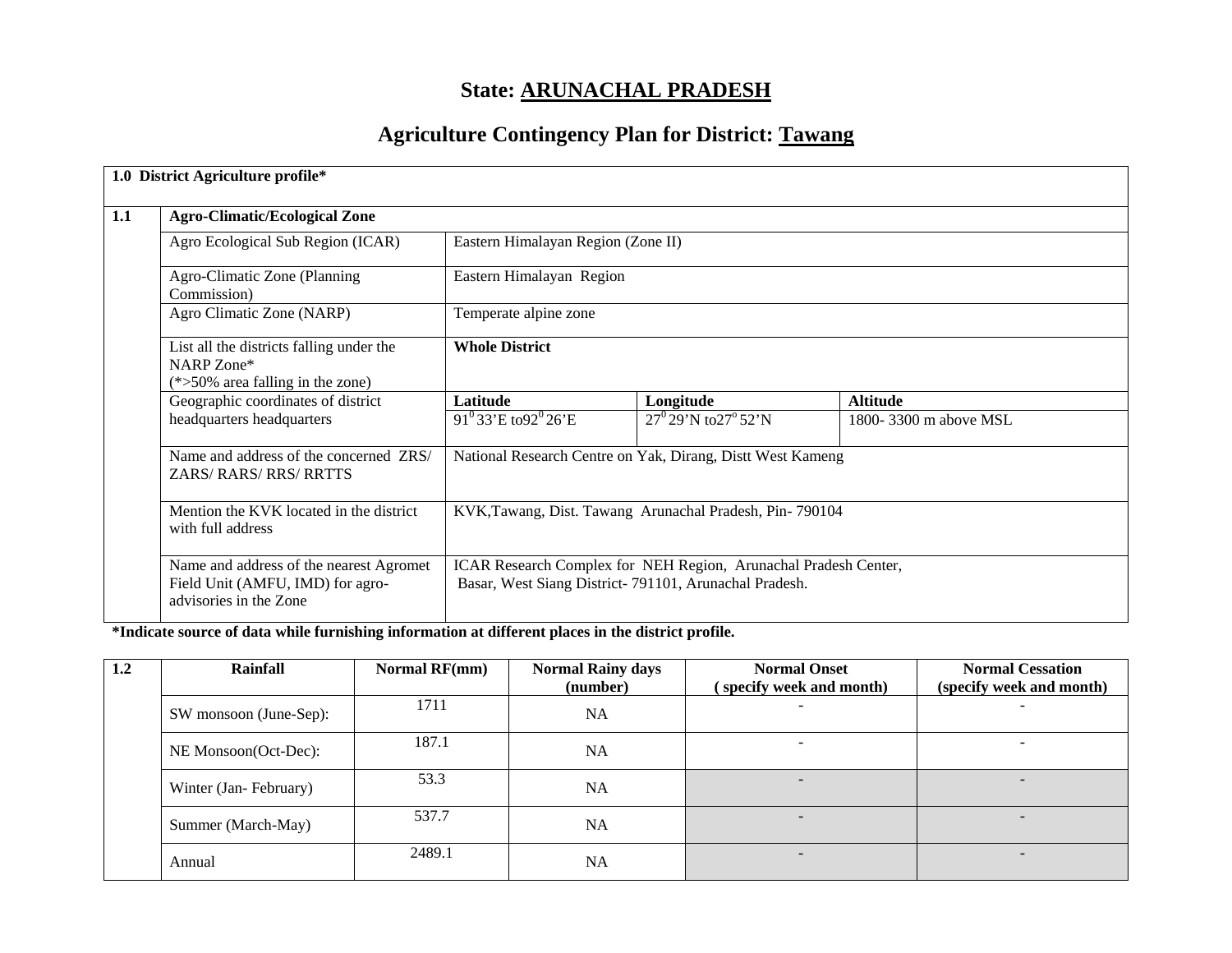# **State: ARUNACHAL PRADESH**

# **Agriculture Contingency Plan for District: Tawang**

| 1.0 District Agriculture profile*                                                                     |                                                                                                                          |                                                            |                       |  |  |  |
|-------------------------------------------------------------------------------------------------------|--------------------------------------------------------------------------------------------------------------------------|------------------------------------------------------------|-----------------------|--|--|--|
| <b>Agro-Climatic/Ecological Zone</b>                                                                  |                                                                                                                          |                                                            |                       |  |  |  |
| Agro Ecological Sub Region (ICAR)                                                                     |                                                                                                                          | Eastern Himalayan Region (Zone II)                         |                       |  |  |  |
| Agro-Climatic Zone (Planning)<br>Commission)                                                          | Eastern Himalayan Region                                                                                                 |                                                            |                       |  |  |  |
| Agro Climatic Zone (NARP)                                                                             | Temperate alpine zone                                                                                                    |                                                            |                       |  |  |  |
| List all the districts falling under the<br>NARP Zone*<br>$(*>50\%$ area falling in the zone)         | <b>Whole District</b>                                                                                                    |                                                            |                       |  |  |  |
| Geographic coordinates of district                                                                    | Latitude                                                                                                                 | Longitude                                                  | <b>Altitude</b>       |  |  |  |
| headquarters headquarters                                                                             | $91^033'E$ to $92^026'E$                                                                                                 | $27^0$ 29'N to $27^0$ 52'N                                 | 1800-3300 m above MSL |  |  |  |
| Name and address of the concerned ZRS/<br>ZARS/RARS/RRS/RRTTS                                         |                                                                                                                          | National Research Centre on Yak, Dirang, Distt West Kameng |                       |  |  |  |
| Mention the KVK located in the district<br>with full address                                          | KVK, Tawang, Dist. Tawang Arunachal Pradesh, Pin-790104                                                                  |                                                            |                       |  |  |  |
| Name and address of the nearest Agromet<br>Field Unit (AMFU, IMD) for agro-<br>advisories in the Zone | ICAR Research Complex for NEH Region, Arunachal Pradesh Center,<br>Basar, West Siang District-791101, Arunachal Pradesh. |                                                            |                       |  |  |  |

# **\*Indicate source of data while furnishing information at different places in the district profile.**

| 1.2 | Rainfall               | Normal RF(mm) | <b>Normal Rainy days</b><br>(number) | <b>Normal Onset</b><br>(specify week and month) | <b>Normal Cessation</b><br>(specify week and month) |
|-----|------------------------|---------------|--------------------------------------|-------------------------------------------------|-----------------------------------------------------|
|     | SW monsoon (June-Sep): | 1711          | <b>NA</b>                            |                                                 | -                                                   |
|     | NE Monsoon(Oct-Dec):   | 187.1         | <b>NA</b>                            |                                                 |                                                     |
|     | Winter (Jan-February)  | 53.3          | <b>NA</b>                            | $\overline{\phantom{0}}$                        |                                                     |
|     | Summer (March-May)     | 537.7         | <b>NA</b>                            | -                                               | $\overline{\phantom{0}}$                            |
|     | Annual                 | 2489.1        | <b>NA</b>                            | -                                               | $\overline{\phantom{0}}$                            |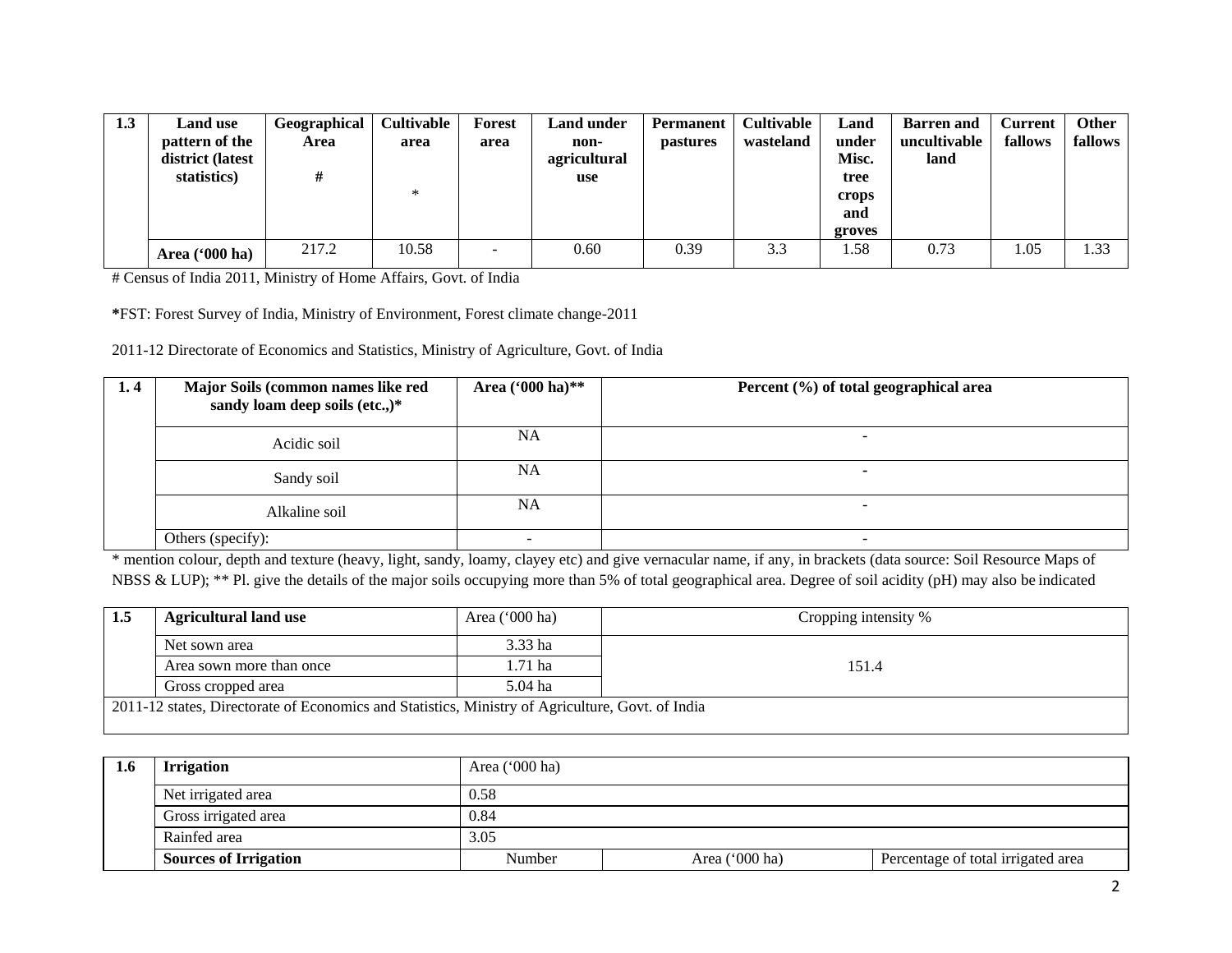| 1.3 | <b>Land use</b>  | Geographical | <b>Cultivable</b> | Forest                   | <b>Land under</b> | Permanent       | <b>Cultivable</b> | Land   | <b>Barren</b> and | Current | Other   |
|-----|------------------|--------------|-------------------|--------------------------|-------------------|-----------------|-------------------|--------|-------------------|---------|---------|
|     | pattern of the   | Area         | area              | area                     | non-              | <i>pastures</i> | wasteland         | under  | uncultivable      | fallows | fallows |
|     | district (latest |              |                   |                          | agricultural      |                 |                   | Misc.  | land              |         |         |
|     | statistics)      |              |                   |                          | use               |                 |                   | tree   |                   |         |         |
|     |                  |              | $\ast$            |                          |                   |                 |                   | crops  |                   |         |         |
|     |                  |              |                   |                          |                   |                 |                   | and    |                   |         |         |
|     |                  |              |                   |                          |                   |                 |                   | groves |                   |         |         |
|     | Area ('000 ha)   | 217.2        | 10.58             | $\overline{\phantom{0}}$ | 0.60              | 0.39            | 3.3               | .58    | 0.73              | 1.05    | 1.33    |

# Census of India 2011, Ministry of Home Affairs, Govt. of India

**\***FST: Forest Survey of India, Ministry of Environment, Forest climate change-2011

2011-12 Directorate of Economics and Statistics, Ministry of Agriculture, Govt. of India

| 1.4 | Major Soils (common names like red<br>sandy loam deep soils (etc.,)* | Area $(900 \text{ ha})$ ** | Percent (%) of total geographical area |
|-----|----------------------------------------------------------------------|----------------------------|----------------------------------------|
|     | Acidic soil                                                          | NA                         | $\overline{\phantom{0}}$               |
|     | Sandy soil                                                           | NA                         |                                        |
|     | Alkaline soil                                                        | NA                         | $\overline{\phantom{a}}$               |
|     | Others (specify):                                                    |                            |                                        |

\* mention colour, depth and texture (heavy, light, sandy, loamy, clayey etc) and give vernacular name, if any, in brackets (data source: Soil Resource Maps of NBSS & LUP); \*\* Pl. give the details of the major soils occupying more than 5% of total geographical area. Degree of soil acidity (pH) may also be indicated

| 1.5 | <b>Agricultural land use</b>                                                                     | Area $('000 ha)$ | Cropping intensity % |  |  |  |  |
|-----|--------------------------------------------------------------------------------------------------|------------------|----------------------|--|--|--|--|
|     | Net sown area                                                                                    | 3.33 ha          |                      |  |  |  |  |
|     | Area sown more than once                                                                         | 1.71 ha          | 151.4                |  |  |  |  |
|     | Gross cropped area                                                                               | 5.04 ha          |                      |  |  |  |  |
|     | 2011-12 states, Directorate of Economics and Statistics, Ministry of Agriculture, Govt. of India |                  |                      |  |  |  |  |

| 1.6 | <b>Irrigation</b>            | Area ('000 ha) |                |                                    |  |  |  |
|-----|------------------------------|----------------|----------------|------------------------------------|--|--|--|
|     | Net irrigated area           | 0.58           |                |                                    |  |  |  |
|     | Gross irrigated area         | 0.84           |                |                                    |  |  |  |
|     | Rainfed area                 | 3.05           |                |                                    |  |  |  |
|     | <b>Sources of Irrigation</b> | Number         | Area ('000 ha) | Percentage of total irrigated area |  |  |  |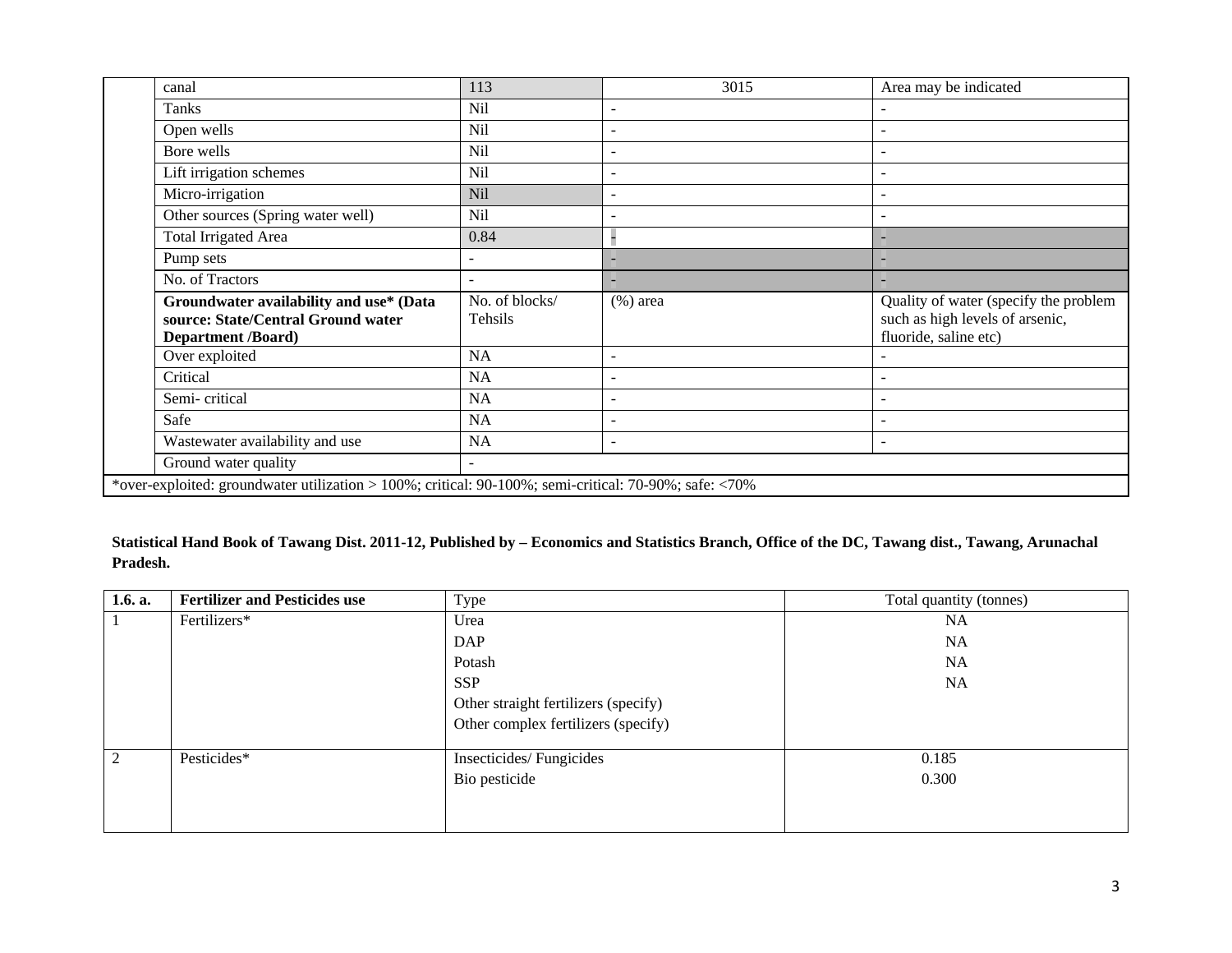| canal                                                                                                      | 113                       | 3015                     | Area may be indicated                                                                             |
|------------------------------------------------------------------------------------------------------------|---------------------------|--------------------------|---------------------------------------------------------------------------------------------------|
| Tanks                                                                                                      | Nil                       |                          |                                                                                                   |
| Open wells                                                                                                 | <b>Nil</b>                |                          |                                                                                                   |
| Bore wells                                                                                                 | Nil                       |                          |                                                                                                   |
| Lift irrigation schemes                                                                                    | Nil                       |                          |                                                                                                   |
| Micro-irrigation                                                                                           | Nil                       |                          |                                                                                                   |
| Other sources (Spring water well)                                                                          | Nil                       |                          |                                                                                                   |
| <b>Total Irrigated Area</b>                                                                                | 0.84                      |                          |                                                                                                   |
| Pump sets                                                                                                  |                           |                          |                                                                                                   |
| No. of Tractors                                                                                            | $\overline{\phantom{a}}$  |                          |                                                                                                   |
| Groundwater availability and use* (Data<br>source: State/Central Ground water<br><b>Department /Board)</b> | No. of blocks/<br>Tehsils | $(\%)$ area              | Quality of water (specify the problem<br>such as high levels of arsenic,<br>fluoride, saline etc) |
| Over exploited                                                                                             | <b>NA</b>                 | $\overline{\phantom{a}}$ |                                                                                                   |
| Critical                                                                                                   | <b>NA</b>                 | $\overline{\phantom{a}}$ |                                                                                                   |
| Semi-critical                                                                                              | <b>NA</b>                 |                          |                                                                                                   |
|                                                                                                            |                           |                          |                                                                                                   |
| Safe                                                                                                       | <b>NA</b>                 | $\overline{\phantom{a}}$ |                                                                                                   |
| Wastewater availability and use                                                                            | <b>NA</b>                 |                          |                                                                                                   |
| Ground water quality                                                                                       | $\sim$                    |                          |                                                                                                   |
| *over-exploited: groundwater utilization > 100%; critical: 90-100%; semi-critical: 70-90%; safe: <70%      |                           |                          |                                                                                                   |

# **Statistical Hand Book of Tawang Dist. 2011-12, Published by – Economics and Statistics Branch, Office of the DC, Tawang dist., Tawang, Arunachal Pradesh.**

| 1.6. a. | <b>Fertilizer and Pesticides use</b> | Type                                 | Total quantity (tonnes) |
|---------|--------------------------------------|--------------------------------------|-------------------------|
|         | Fertilizers*                         | Urea                                 | <b>NA</b>               |
|         |                                      | <b>DAP</b>                           | <b>NA</b>               |
|         |                                      | Potash                               | <b>NA</b>               |
|         |                                      | <b>SSP</b>                           | <b>NA</b>               |
|         |                                      | Other straight fertilizers (specify) |                         |
|         |                                      | Other complex fertilizers (specify)  |                         |
| 2       | Pesticides*                          | Insecticides/Fungicides              | 0.185                   |
|         |                                      | Bio pesticide                        | 0.300                   |
|         |                                      |                                      |                         |
|         |                                      |                                      |                         |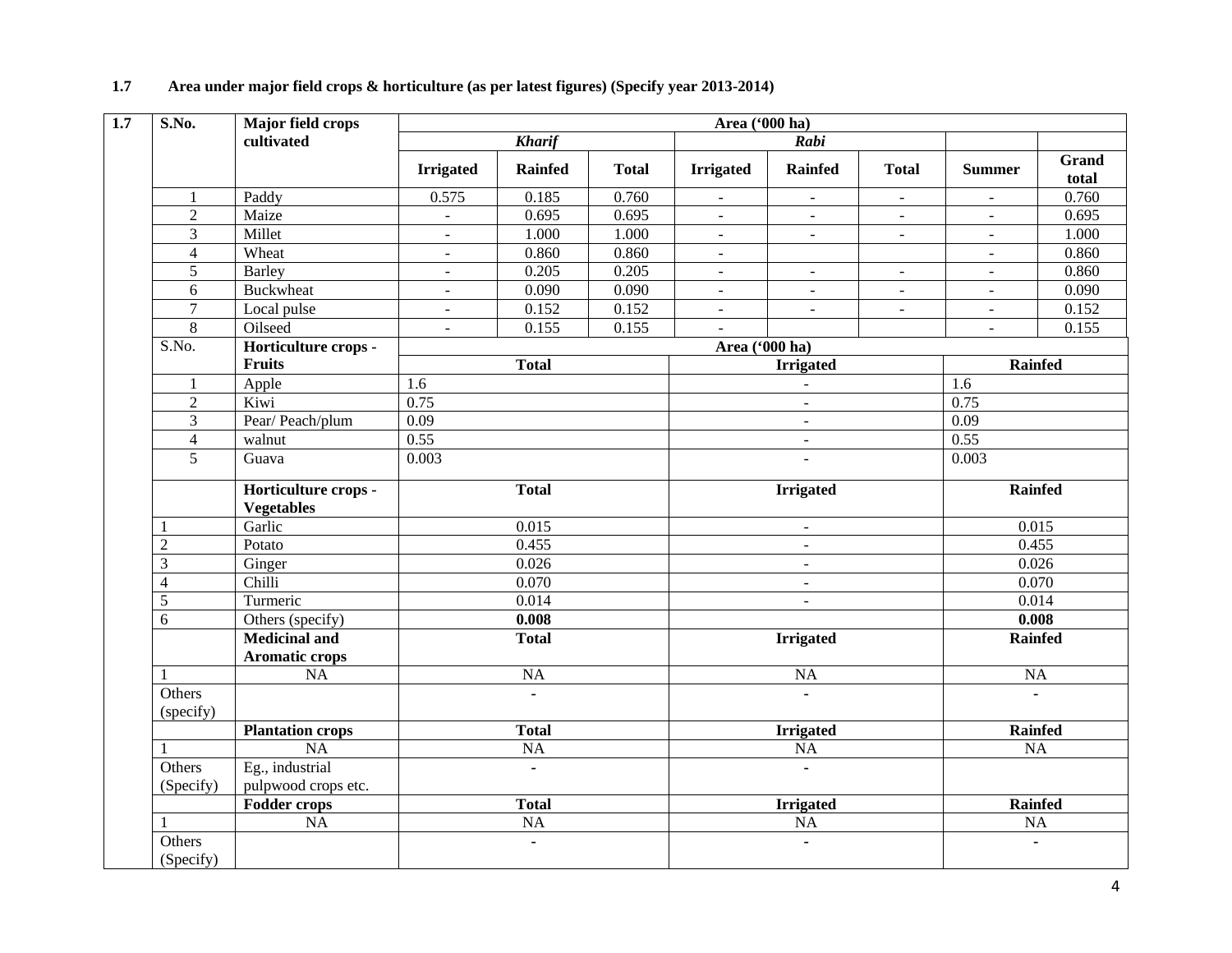| <b>S.No.</b>        | Major field crops                         |                  |                 |              | Area ('000 ha)           |                  |                |                          |                       |  |
|---------------------|-------------------------------------------|------------------|-----------------|--------------|--------------------------|------------------|----------------|--------------------------|-----------------------|--|
|                     | cultivated                                |                  | <b>Kharif</b>   |              |                          | Rabi             |                |                          |                       |  |
|                     |                                           | <b>Irrigated</b> | <b>Rainfed</b>  | <b>Total</b> | <b>Irrigated</b>         | <b>Rainfed</b>   | <b>Total</b>   | <b>Summer</b>            | <b>Grand</b><br>total |  |
| 1                   | Paddy                                     | 0.575            | 0.185           | 0.760        | $\blacksquare$           | $\blacksquare$   | $\blacksquare$ | $\blacksquare$           | 0.760                 |  |
| $\sqrt{2}$          | Maize                                     | $\omega$         | 0.695           | 0.695        | $\overline{\phantom{a}}$ | $\blacksquare$   | $\blacksquare$ | $\blacksquare$           | 0.695                 |  |
| 3                   | Millet                                    | $\blacksquare$   | 1.000           | 1.000        | $\blacksquare$           | $\blacksquare$   | $\blacksquare$ | $\blacksquare$           | 1.000                 |  |
| $\overline{4}$      | Wheat                                     | $\blacksquare$   | 0.860           | 0.860        | $\blacksquare$           |                  |                | $\sim$                   | 0.860                 |  |
| $\overline{5}$      | Barley                                    | $\blacksquare$   | 0.205           | 0.205        | $\equiv$                 | $\blacksquare$   | $\blacksquare$ | $\blacksquare$           | 0.860                 |  |
| 6                   | <b>Buckwheat</b>                          | $\blacksquare$   | 0.090           | 0.090        | $\overline{\phantom{a}}$ |                  | $\overline{a}$ | $\overline{\phantom{a}}$ | 0.090                 |  |
| $\overline{7}$      | Local pulse                               | $\blacksquare$   | 0.152           | 0.152        | $\blacksquare$           | $\blacksquare$   | $\blacksquare$ | $\blacksquare$           | 0.152                 |  |
| $\,8\,$             | Oilseed                                   | $\omega$         | 0.155           | 0.155        | $\equiv$                 |                  |                | $\equiv$                 | 0.155                 |  |
| S.No.               | Horticulture crops -                      |                  |                 |              | Area ('000 ha)           |                  |                |                          |                       |  |
|                     | <b>Fruits</b>                             |                  | <b>Total</b>    |              |                          | <b>Irrigated</b> |                | <b>Rainfed</b>           |                       |  |
| $\mathbf{1}$        | Apple                                     | 1.6              |                 |              |                          | $\overline{a}$   |                | 1.6                      |                       |  |
| $\overline{2}$      | Kiwi                                      | 0.75             |                 |              |                          | $\overline{a}$   |                | 0.75                     |                       |  |
| 3                   | Pear/Peach/plum                           | 0.09             |                 |              |                          | $\blacksquare$   |                |                          | 0.09                  |  |
| $\overline{4}$      | walnut                                    | 0.55             |                 |              |                          | $\equiv$         |                |                          | 0.55                  |  |
| 5                   | Guava                                     | 0.003            |                 |              |                          |                  |                |                          | 0.003                 |  |
|                     | Horticulture crops -<br><b>Vegetables</b> |                  | <b>Total</b>    |              |                          | <b>Irrigated</b> |                | <b>Rainfed</b>           |                       |  |
| 1                   | Garlic                                    |                  | 0.015           |              |                          | $\overline{a}$   |                | 0.015                    |                       |  |
| $\overline{2}$      | Potato                                    |                  | 0.455           |              |                          | $\blacksquare$   |                | 0.455                    |                       |  |
| 3                   | Ginger                                    |                  | 0.026           |              |                          | $\blacksquare$   |                | 0.026                    |                       |  |
| $\overline{4}$      | Chilli                                    |                  | 0.070           |              |                          | $\blacksquare$   |                | 0.070                    |                       |  |
| 5                   | Turmeric                                  |                  | 0.014           |              |                          | $\blacksquare$   |                | 0.014                    |                       |  |
| 6                   | Others (specify)                          |                  | 0.008           |              |                          |                  |                | 0.008                    |                       |  |
|                     | <b>Medicinal and</b>                      |                  | <b>Total</b>    |              |                          | <b>Irrigated</b> |                | <b>Rainfed</b>           |                       |  |
|                     | <b>Aromatic crops</b>                     |                  |                 |              |                          |                  |                |                          |                       |  |
| $\mathbf{1}$        | <b>NA</b>                                 |                  | NA              |              |                          | <b>NA</b>        |                | NA                       |                       |  |
| Others<br>(specify) |                                           |                  | ÷.              |              |                          | $\blacksquare$   |                |                          | ä,                    |  |
|                     | <b>Plantation crops</b>                   |                  | <b>Total</b>    |              |                          | <b>Irrigated</b> |                | <b>Rainfed</b>           |                       |  |
| 1                   | NA                                        |                  | $\overline{NA}$ |              |                          | <b>NA</b>        |                | NA                       |                       |  |
| Others              | Eg., industrial                           |                  |                 |              |                          |                  |                |                          |                       |  |
| (Specify)           | pulpwood crops etc.                       |                  |                 |              |                          |                  |                |                          |                       |  |
|                     | <b>Fodder crops</b>                       |                  | <b>Total</b>    |              |                          | <b>Irrigated</b> |                | <b>Rainfed</b>           |                       |  |
| 1                   | NA                                        |                  | $\rm NA$        |              |                          | <b>NA</b>        |                | <b>NA</b>                |                       |  |
| Others<br>(Specify) |                                           |                  | $\blacksquare$  |              |                          | $\blacksquare$   |                | ä,                       |                       |  |

# **1.7 Area under major field crops & horticulture (as per latest figures) (Specify year 2013-2014)**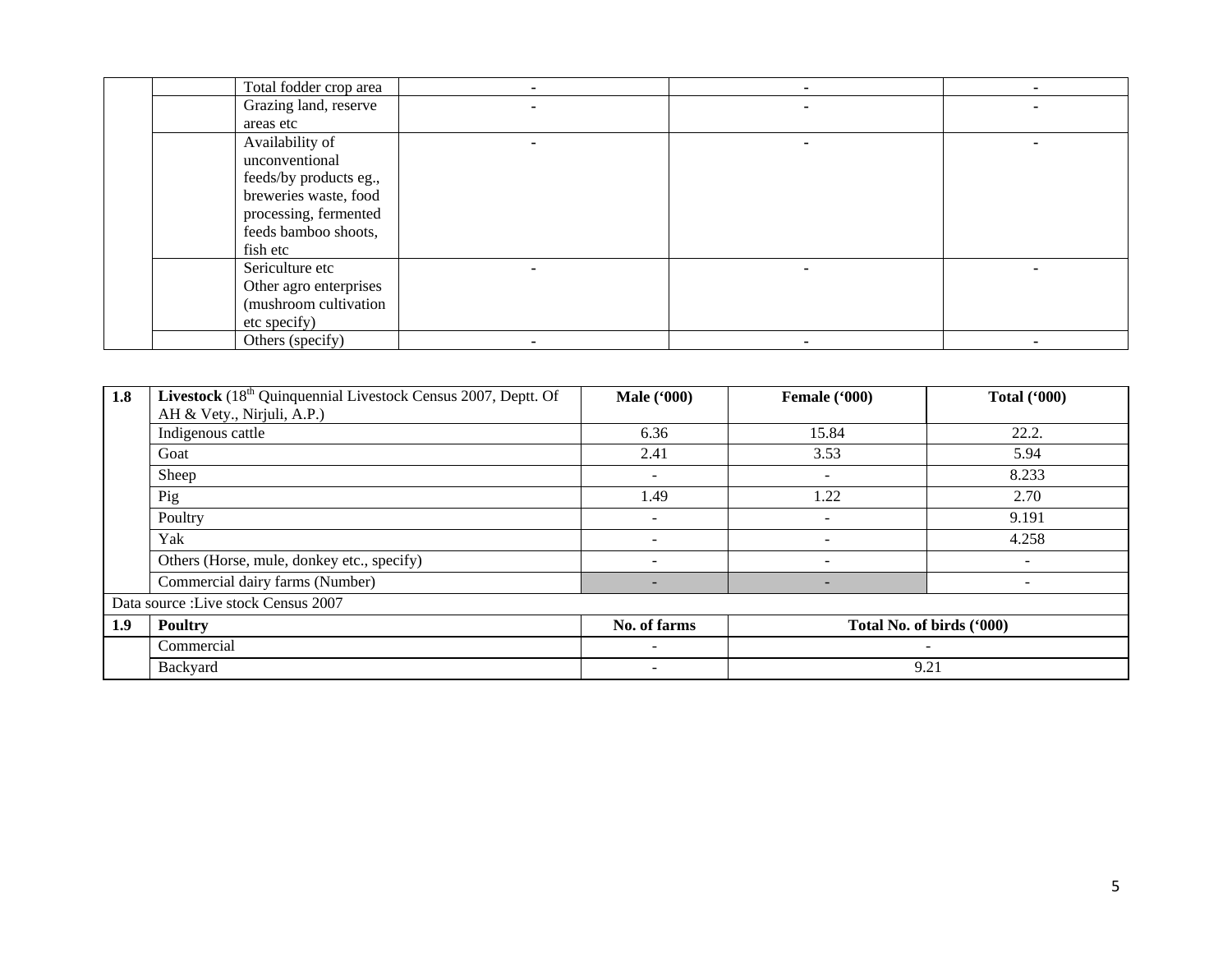| Total fodder crop area |  |  |
|------------------------|--|--|
| Grazing land, reserve  |  |  |
| areas etc              |  |  |
| Availability of        |  |  |
| unconventional         |  |  |
| feeds/by products eg., |  |  |
| breweries waste, food  |  |  |
| processing, fermented  |  |  |
| feeds bamboo shoots,   |  |  |
| fish etc               |  |  |
| Sericulture etc        |  |  |
| Other agro enterprises |  |  |
| (mushroom cultivation  |  |  |
| etc specify)           |  |  |
| Others (specify)       |  |  |

| 1.8 | <b>Livestock</b> $(18th$ Quinquennial Livestock Census 2007, Deptt. Of | <b>Male</b> ('000)       | Female ('000) | <b>Total ('000)</b>          |
|-----|------------------------------------------------------------------------|--------------------------|---------------|------------------------------|
|     | AH & Vety., Nirjuli, A.P.)                                             |                          |               |                              |
|     | Indigenous cattle                                                      | 6.36                     | 15.84         | 22.2.                        |
|     | Goat                                                                   | 2.41                     | 3.53          | 5.94                         |
|     | Sheep                                                                  | $\sim$                   | ۰             | 8.233                        |
|     | Pig                                                                    | 1.49                     | 1.22          | 2.70                         |
|     | Poultry                                                                | $\overline{\phantom{a}}$ |               | 9.191                        |
|     | Yak                                                                    | $\overline{\phantom{0}}$ |               | 4.258                        |
|     | Others (Horse, mule, donkey etc., specify)                             | $\overline{\phantom{a}}$ | ۰             | -                            |
|     | Commercial dairy farms (Number)                                        | -                        | -             | $\qquad \qquad \blacksquare$ |
|     | Data source : Live stock Census 2007                                   |                          |               |                              |
| 1.9 | <b>Poultry</b>                                                         | No. of farms             |               | Total No. of birds ('000)    |
|     | Commercial                                                             | $\sim$                   |               | $\overline{\phantom{a}}$     |
|     | Backyard                                                               | $\overline{\phantom{a}}$ |               | 9.21                         |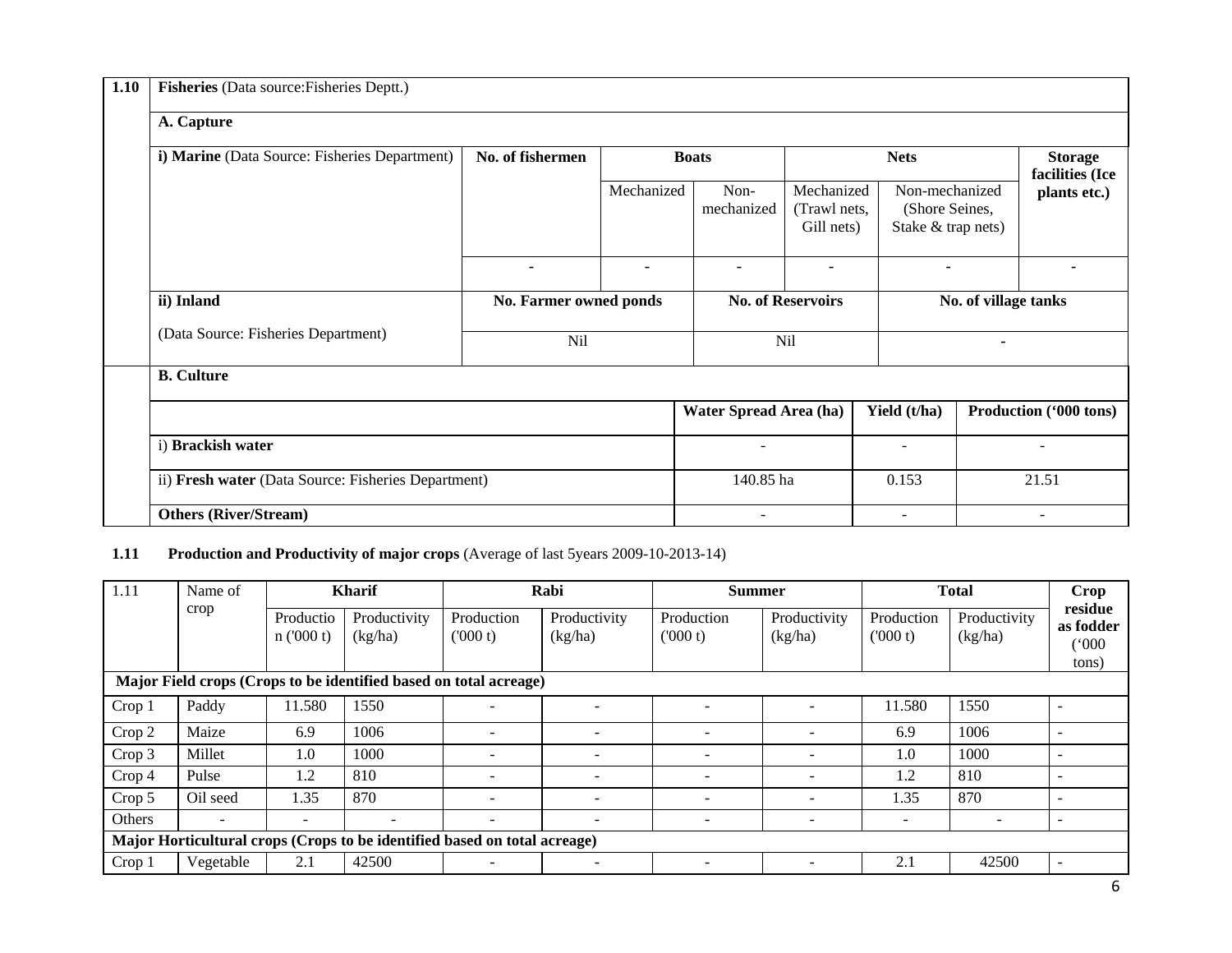| 1.10 | Fisheries (Data source: Fisheries Deptt.)           |                        |                |                          |                                          |                                                        |  |                                   |  |  |
|------|-----------------------------------------------------|------------------------|----------------|--------------------------|------------------------------------------|--------------------------------------------------------|--|-----------------------------------|--|--|
|      | A. Capture                                          |                        |                |                          |                                          |                                                        |  |                                   |  |  |
|      | i) Marine (Data Source: Fisheries Department)       | No. of fishermen       |                | <b>Boats</b>             |                                          | <b>Nets</b>                                            |  | <b>Storage</b><br>facilities (Ice |  |  |
|      |                                                     |                        | Mechanized     | Non-<br>mechanized       | Mechanized<br>(Trawl nets,<br>Gill nets) | Non-mechanized<br>(Shore Seines,<br>Stake & trap nets) |  | plants etc.)                      |  |  |
|      |                                                     | $\blacksquare$         | $\blacksquare$ | $\blacksquare$           | $\blacksquare$                           |                                                        |  |                                   |  |  |
|      | ii) Inland                                          | No. Farmer owned ponds |                | <b>No. of Reservoirs</b> |                                          | No. of village tanks                                   |  |                                   |  |  |
|      | (Data Source: Fisheries Department)                 | Nil                    |                | <b>Nil</b>               |                                          | $\blacksquare$                                         |  |                                   |  |  |
|      | <b>B.</b> Culture                                   |                        |                |                          |                                          |                                                        |  |                                   |  |  |
|      |                                                     |                        |                | Water Spread Area (ha)   |                                          | Yield (t/ha)                                           |  | Production ('000 tons)            |  |  |
|      | i) Brackish water                                   |                        |                |                          |                                          | $\blacksquare$                                         |  |                                   |  |  |
|      | ii) Fresh water (Data Source: Fisheries Department) |                        |                | 140.85 ha                |                                          | 0.153                                                  |  | 21.51                             |  |  |
|      | <b>Others (River/Stream)</b>                        |                        |                | $\overline{\phantom{a}}$ |                                          | $\overline{\phantom{a}}$                               |  | $\overline{\phantom{a}}$          |  |  |

# **1.11 Production and Productivity of major crops** (Average of last 5years 2009-10-2013-14)

| 1.11                                                              | Name of              |                          | <b>Kharif</b>            |                                                                           | Rabi                     | <b>Summer</b>            |                       |                          | <b>Total</b>                           | <b>Crop</b>              |
|-------------------------------------------------------------------|----------------------|--------------------------|--------------------------|---------------------------------------------------------------------------|--------------------------|--------------------------|-----------------------|--------------------------|----------------------------------------|--------------------------|
| crop                                                              | Productio<br>n(000t) | Productivity<br>(kg/ha)  | Production<br>(000 t)    | Productivity<br>(kg/ha)                                                   | Production<br>(000 t)    | Productivity<br>(kg/ha)  | Production<br>(000 t) | Productivity<br>(kg/ha)  | residue<br>as fodder<br>(000)<br>tons) |                          |
| Major Field crops (Crops to be identified based on total acreage) |                      |                          |                          |                                                                           |                          |                          |                       |                          |                                        |                          |
| Crop 1                                                            | Paddy                | 11.580                   | 1550                     | $\overline{\phantom{a}}$                                                  |                          |                          |                       | 11.580                   | 1550                                   |                          |
| Crop 2                                                            | Maize                | 6.9                      | 1006                     | $\overline{\phantom{a}}$                                                  | $\overline{\phantom{0}}$ | $\overline{\phantom{a}}$ |                       | 6.9                      | 1006                                   |                          |
| Crop 3                                                            | Millet               | 1.0                      | 1000                     | $\overline{\phantom{a}}$                                                  | $\overline{\phantom{0}}$ | $\overline{\phantom{a}}$ |                       | 1.0                      | 1000                                   |                          |
| Crop 4                                                            | Pulse                | 1.2                      | 810                      | $\blacksquare$                                                            |                          |                          |                       | 1.2                      | 810                                    |                          |
| Crop 5                                                            | Oil seed             | 1.35                     | 870                      | $\overline{\phantom{a}}$                                                  |                          | $\overline{\phantom{a}}$ |                       | 1.35                     | 870                                    |                          |
| Others                                                            |                      | $\overline{\phantom{0}}$ | $\overline{\phantom{0}}$ | $\blacksquare$                                                            |                          | $\overline{\phantom{0}}$ |                       | $\overline{\phantom{0}}$ | $\sim$                                 |                          |
|                                                                   |                      |                          |                          | Major Horticultural crops (Crops to be identified based on total acreage) |                          |                          |                       |                          |                                        |                          |
| Crop 1                                                            | Vegetable            | 2.1                      | 42500                    | $\overline{\phantom{0}}$                                                  |                          | $\overline{\phantom{0}}$ |                       | 2.1                      | 42500                                  | $\overline{\phantom{0}}$ |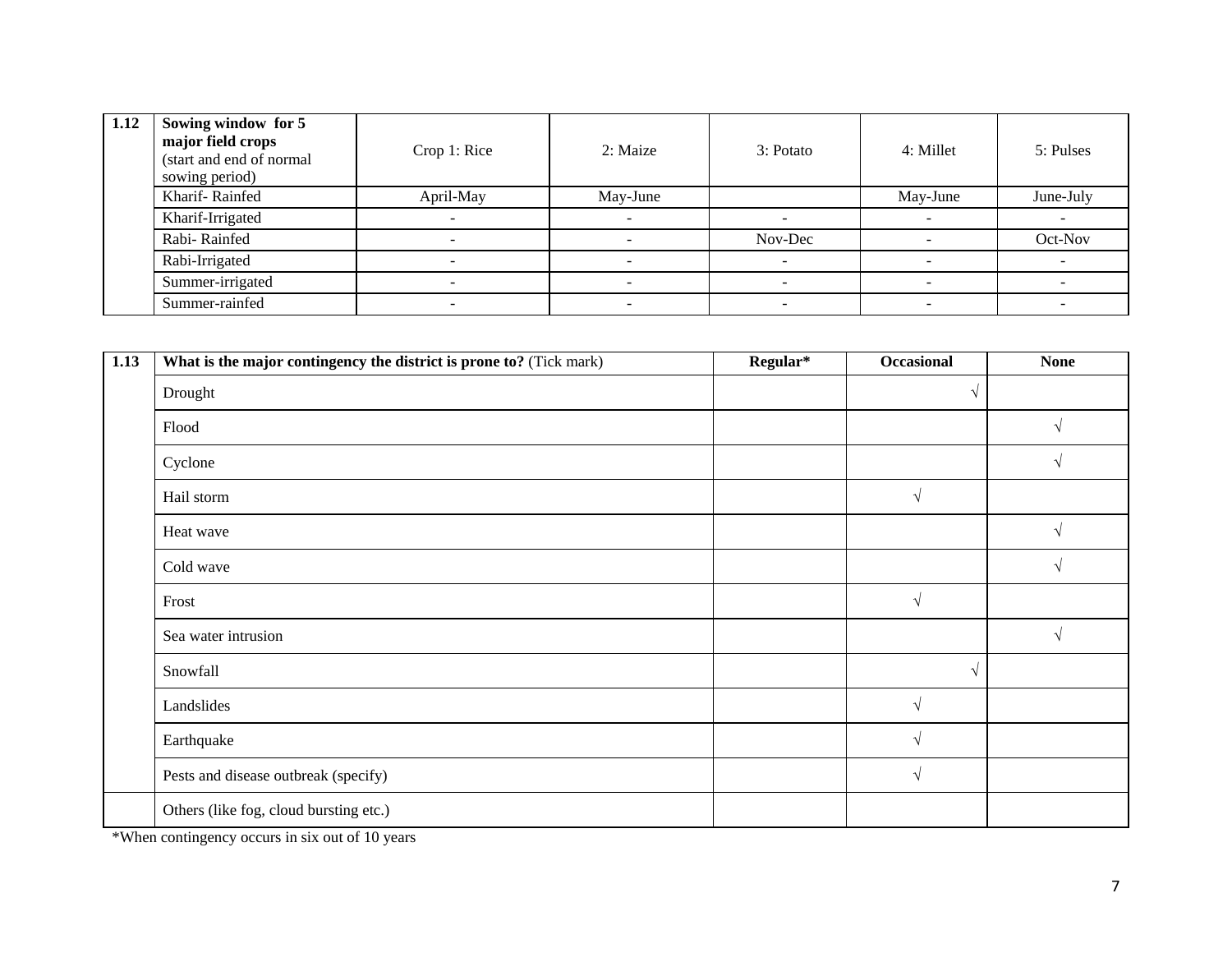| 1.12 | Sowing window for 5<br>major field crops<br>(start and end of normal<br>sowing period) | Crop 1: Rice             | 2: Maize                 | 3: Potato | 4: Millet | 5: Pulses |
|------|----------------------------------------------------------------------------------------|--------------------------|--------------------------|-----------|-----------|-----------|
|      | Kharif-Rainfed                                                                         | April-May                | May-June                 |           | May-June  | June-July |
|      | Kharif-Irrigated                                                                       |                          | $\overline{\phantom{0}}$ |           |           |           |
|      | Rabi-Rainfed                                                                           |                          |                          | Nov-Dec   |           | Oct-Nov   |
|      | Rabi-Irrigated                                                                         |                          |                          |           |           |           |
|      | Summer-irrigated                                                                       |                          |                          |           |           |           |
|      | Summer-rainfed                                                                         | $\overline{\phantom{0}}$ | $\overline{\phantom{0}}$ |           | -         |           |

| 1.13 | What is the major contingency the district is prone to? (Tick mark) | Regular* | Occasional    | <b>None</b> |
|------|---------------------------------------------------------------------|----------|---------------|-------------|
|      | Drought                                                             |          | $\sqrt{}$     |             |
|      | Flood                                                               |          |               | $\sqrt{}$   |
|      | Cyclone                                                             |          |               | $\sqrt{ }$  |
|      | Hail storm                                                          |          | $\sqrt{}$     |             |
|      | Heat wave                                                           |          |               | $\sqrt{ }$  |
|      | Cold wave                                                           |          |               | $\sqrt{ }$  |
|      | Frost                                                               |          | $\sqrt{}$     |             |
|      | Sea water intrusion                                                 |          |               | $\sqrt{ }$  |
|      | Snowfall                                                            |          | V             |             |
|      | Landslides                                                          |          | $\sqrt{}$     |             |
|      | Earthquake                                                          |          | $\mathcal{L}$ |             |
|      | Pests and disease outbreak (specify)                                |          | $\sqrt{ }$    |             |
|      | Others (like fog, cloud bursting etc.)                              |          |               |             |

\*When contingency occurs in six out of 10 years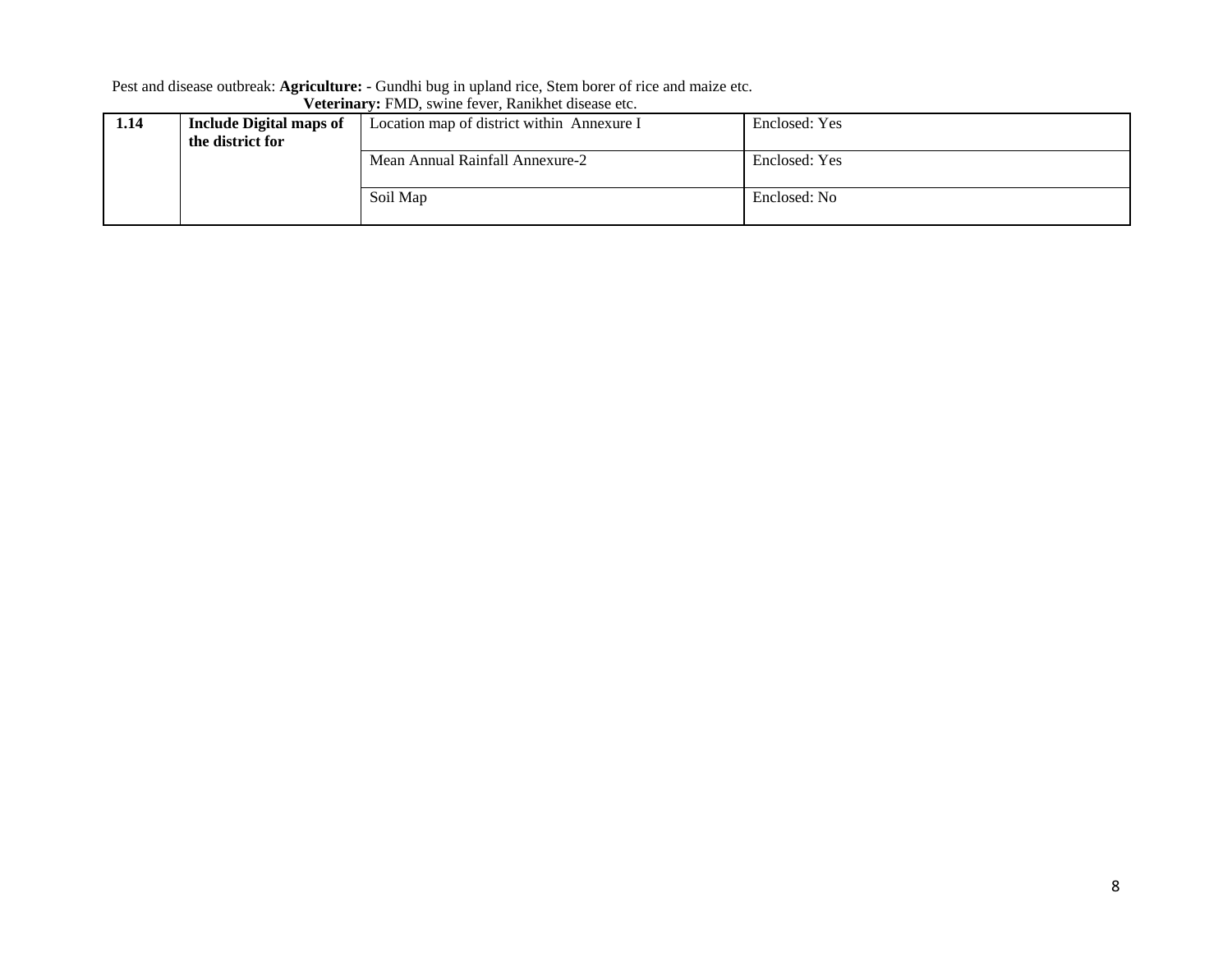#### Pest and disease outbreak: **Agriculture: -** Gundhi bug in upland rice, Stem borer of rice and maize etc.

| 1.14 | <b>Include Digital maps of</b> | Location map of district within Annexure I | Enclosed: Yes |
|------|--------------------------------|--------------------------------------------|---------------|
|      | the district for               |                                            |               |
|      |                                | Mean Annual Rainfall Annexure-2            | Enclosed: Yes |
|      |                                | Soil Map                                   | Enclosed: No  |
|      |                                |                                            |               |

#### **Veterinary:** FMD, swine fever, Ranikhet disease etc.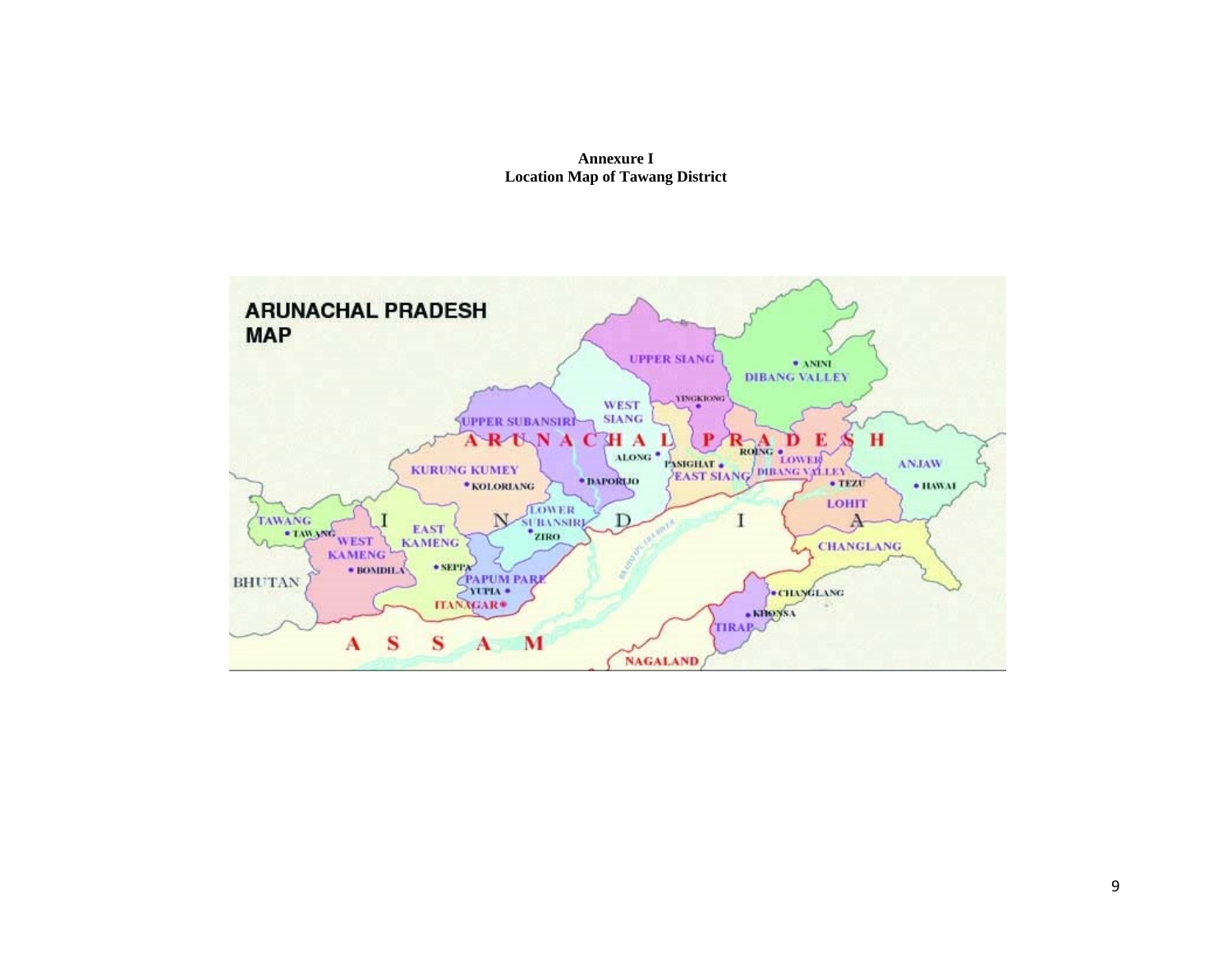

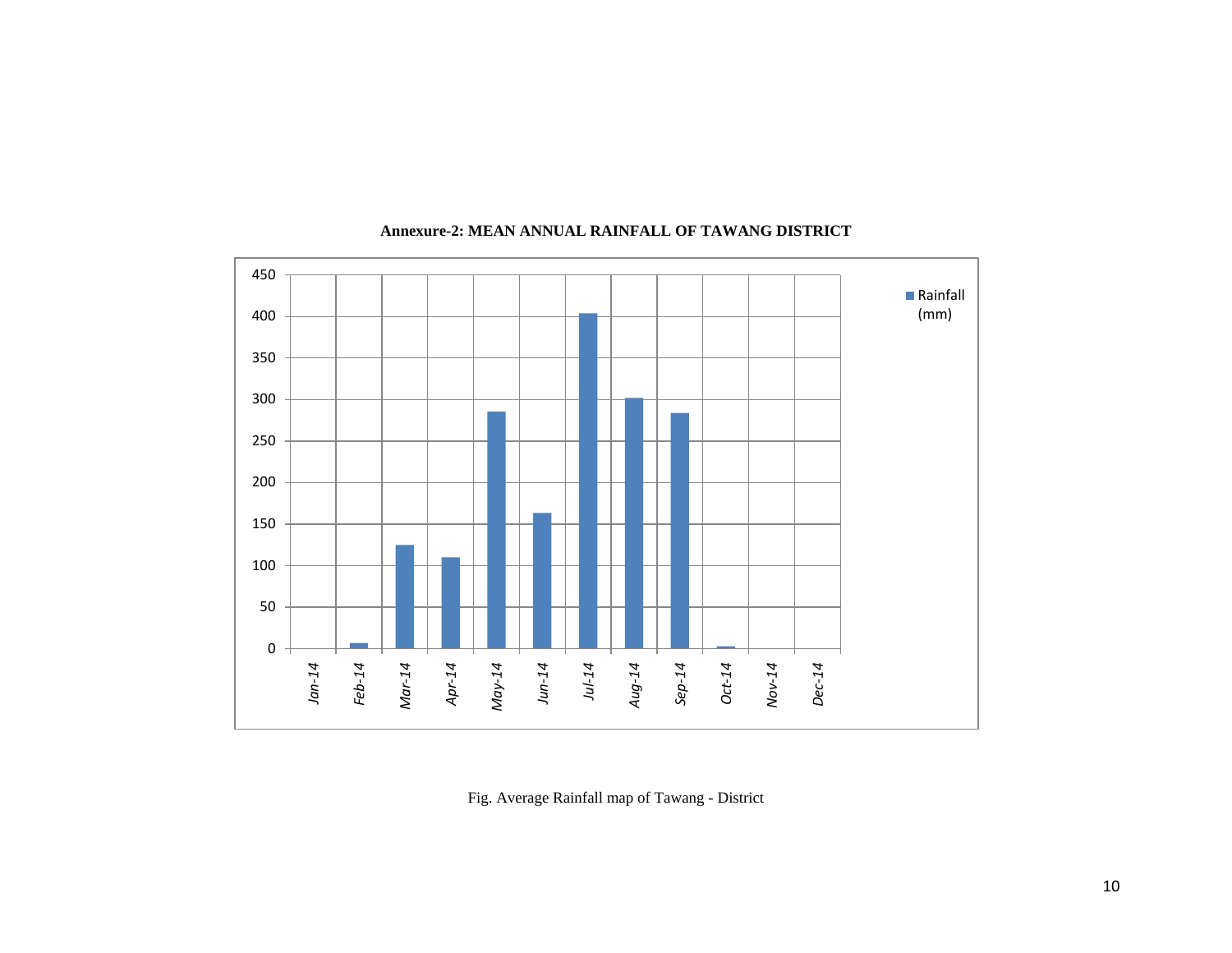

# **Annexure-2: MEAN ANNUAL RAINFALL OF TAWANG DISTRICT**

Fig. Average Rainfall map of Tawang - District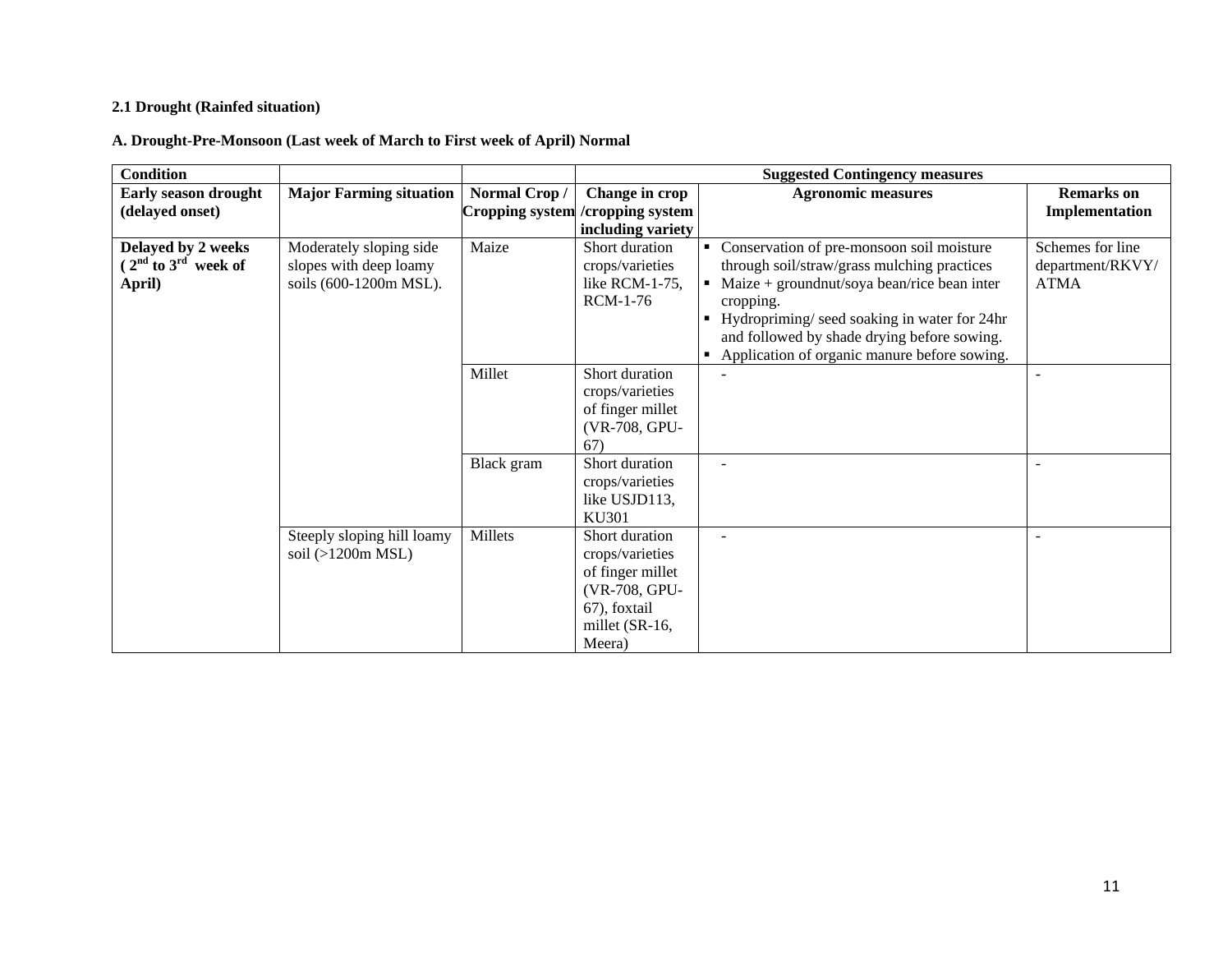# **2.1 Drought (Rainfed situation)**

**A. Drought-Pre-Monsoon (Last week of March to First week of April) Normal**

| <b>Condition</b>                                        |                                                                             |                        |                                                                                                                    | <b>Suggested Contingency measures</b>                                                                                                                                                                                                                                      |                                                     |
|---------------------------------------------------------|-----------------------------------------------------------------------------|------------------------|--------------------------------------------------------------------------------------------------------------------|----------------------------------------------------------------------------------------------------------------------------------------------------------------------------------------------------------------------------------------------------------------------------|-----------------------------------------------------|
| <b>Early season drought</b>                             | <b>Major Farming situation</b>                                              | Normal Crop/           | Change in crop                                                                                                     | <b>Agronomic measures</b>                                                                                                                                                                                                                                                  | <b>Remarks</b> on                                   |
| (delayed onset)                                         |                                                                             | <b>Cropping system</b> | /cropping system                                                                                                   |                                                                                                                                                                                                                                                                            | Implementation                                      |
|                                                         |                                                                             |                        | including variety                                                                                                  |                                                                                                                                                                                                                                                                            |                                                     |
| Delayed by 2 weeks<br>$(2nd$ to $3rd$ week of<br>April) | Moderately sloping side<br>slopes with deep loamy<br>soils (600-1200m MSL). | Maize                  | Short duration<br>crops/varieties<br>like RCM-1-75,<br><b>RCM-1-76</b>                                             | Conservation of pre-monsoon soil moisture<br>$\blacksquare$<br>through soil/straw/grass mulching practices<br>• Maize + ground nut/soya bean/rice bean inter<br>cropping.<br>• Hydropriming/ seed soaking in water for 24hr<br>and followed by shade drying before sowing. | Schemes for line<br>department/RKVY/<br><b>ATMA</b> |
|                                                         |                                                                             | Millet                 | Short duration<br>crops/varieties<br>of finger millet<br>(VR-708, GPU-<br>(67)                                     | • Application of organic manure before sowing.                                                                                                                                                                                                                             |                                                     |
|                                                         |                                                                             | Black gram             | Short duration<br>crops/varieties<br>like USJD113,<br>KU301                                                        |                                                                                                                                                                                                                                                                            |                                                     |
|                                                         | Steeply sloping hill loamy<br>soil $(>1200m MSL)$                           | Millets                | Short duration<br>crops/varieties<br>of finger millet<br>(VR-708, GPU-<br>67), foxtail<br>millet (SR-16,<br>Meera) |                                                                                                                                                                                                                                                                            |                                                     |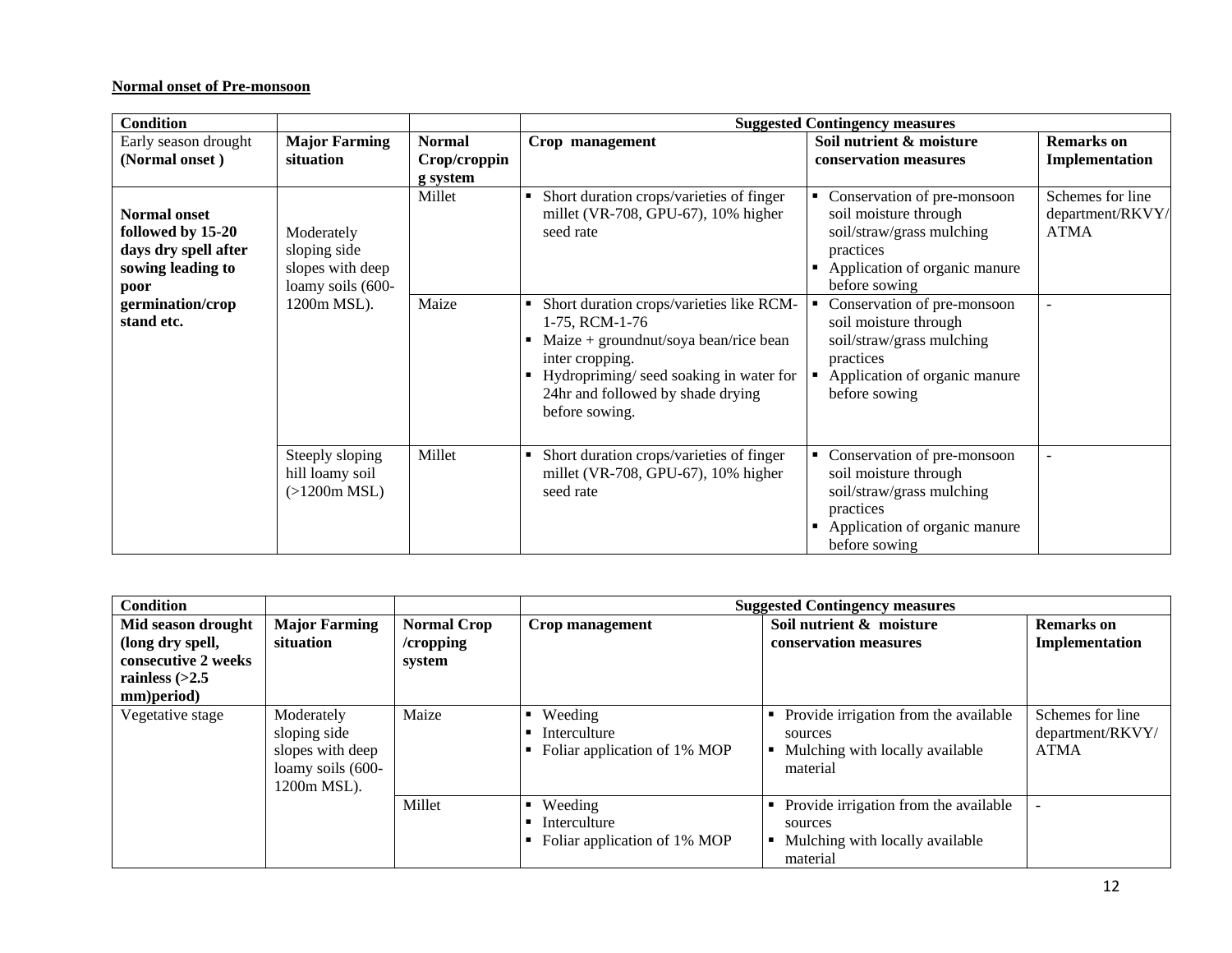# **Normal onset of Pre-monsoon**

| <b>Condition</b>                                                                              |                                                                     |               |                                                                                                                                                                                                                         | <b>Suggested Contingency measures</b>                                                                                                                      |                                                     |
|-----------------------------------------------------------------------------------------------|---------------------------------------------------------------------|---------------|-------------------------------------------------------------------------------------------------------------------------------------------------------------------------------------------------------------------------|------------------------------------------------------------------------------------------------------------------------------------------------------------|-----------------------------------------------------|
| Early season drought                                                                          | <b>Major Farming</b>                                                | <b>Normal</b> | Crop management                                                                                                                                                                                                         | Soil nutrient & moisture                                                                                                                                   | <b>Remarks</b> on                                   |
| (Normal onset)                                                                                | situation                                                           | Crop/croppin  |                                                                                                                                                                                                                         | conservation measures                                                                                                                                      | Implementation                                      |
|                                                                                               |                                                                     | g system      |                                                                                                                                                                                                                         |                                                                                                                                                            |                                                     |
| <b>Normal onset</b><br>followed by 15-20<br>days dry spell after<br>sowing leading to<br>poor | Moderately<br>sloping side<br>slopes with deep<br>loamy soils (600- | Millet        | Short duration crops/varieties of finger<br>$\blacksquare$<br>millet (VR-708, GPU-67), $10\%$ higher<br>seed rate                                                                                                       | Conservation of pre-monsoon<br>٠<br>soil moisture through<br>soil/straw/grass mulching<br>practices<br>Application of organic manure<br>before sowing      | Schemes for line<br>department/RKVY/<br><b>ATMA</b> |
| germination/crop<br>stand etc.                                                                | 1200m MSL).                                                         | Maize         | Short duration crops/varieties like RCM-<br>1-75, RCM-1-76<br>Maize + groundnut/soya bean/rice bean<br>inter cropping.<br>Hydropriming/seed soaking in water for<br>24hr and followed by shade drying<br>before sowing. | Conservation of pre-monsoon<br>soil moisture through<br>soil/straw/grass mulching<br>practices<br>Application of organic manure<br>before sowing           |                                                     |
|                                                                                               | Steeply sloping<br>hill loamy soil<br>$(>1200m$ MSL)                | Millet        | Short duration crops/varieties of finger<br>٠<br>millet (VR-708, GPU-67), 10% higher<br>seed rate                                                                                                                       | Conservation of pre-monsoon<br>٠<br>soil moisture through<br>soil/straw/grass mulching<br>practices<br>Application of organic manure<br>п<br>before sowing |                                                     |

| <b>Condition</b>    |                                                                                    |                    |                                                         | <b>Suggested Contingency measures</b>                                                           |                                                     |
|---------------------|------------------------------------------------------------------------------------|--------------------|---------------------------------------------------------|-------------------------------------------------------------------------------------------------|-----------------------------------------------------|
| Mid season drought  | <b>Major Farming</b>                                                               | <b>Normal Crop</b> | Crop management                                         | Soil nutrient & moisture                                                                        | <b>Remarks</b> on                                   |
| (long dry spell,    | situation                                                                          | /cropping          |                                                         | conservation measures                                                                           | Implementation                                      |
| consecutive 2 weeks |                                                                                    | system             |                                                         |                                                                                                 |                                                     |
| rainless $(>2.5$    |                                                                                    |                    |                                                         |                                                                                                 |                                                     |
| mm)period)          |                                                                                    |                    |                                                         |                                                                                                 |                                                     |
| Vegetative stage    | Moderately<br>sloping side<br>slopes with deep<br>loamy soils (600-<br>1200m MSL). | Maize              | Weeding<br>Interculture<br>Foliar application of 1% MOP | Provide irrigation from the available<br>sources<br>Mulching with locally available<br>material | Schemes for line<br>department/RKVY/<br><b>ATMA</b> |
|                     |                                                                                    | Millet             | Weeding<br>Interculture<br>Foliar application of 1% MOP | Provide irrigation from the available<br>sources<br>Mulching with locally available<br>material | $\overline{\phantom{0}}$                            |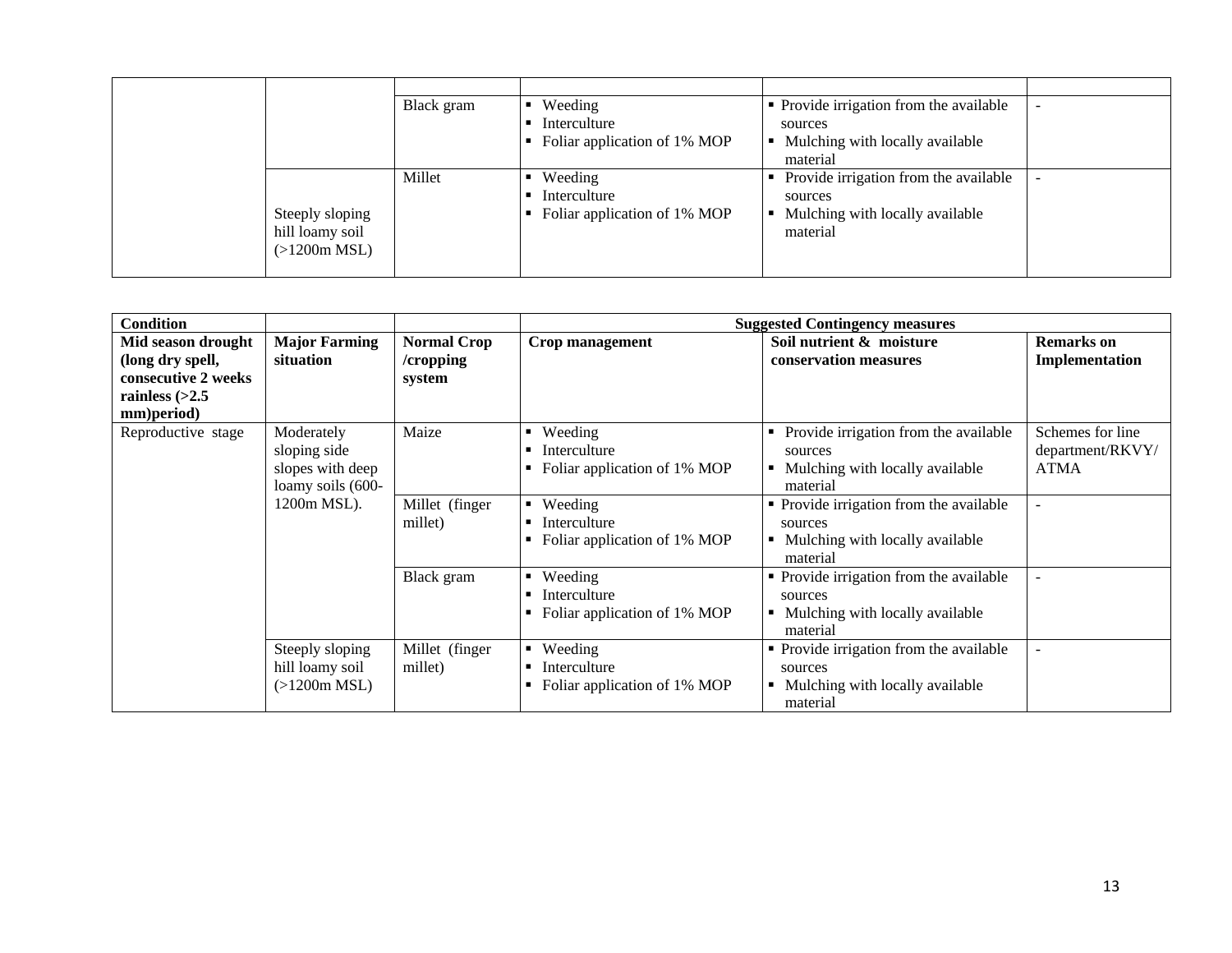|                                                    | Black gram | Weeding<br>Interculture<br>Foliar application of 1% MOP | • Provide irrigation from the available<br>sources<br>Mulching with locally available<br>$\blacksquare$<br>material |  |
|----------------------------------------------------|------------|---------------------------------------------------------|---------------------------------------------------------------------------------------------------------------------|--|
| Steeply sloping<br>hill loamy soil<br>(>1200m MSL) | Millet     | Weeding<br>Interculture<br>Foliar application of 1% MOP | Provide irrigation from the available<br>sources<br>Mulching with locally available<br>$\blacksquare$<br>material   |  |

| <b>Condition</b>                                                                                |                                                                     |                                           |                                                              | <b>Suggested Contingency measures</b>                                                                     |                                                     |
|-------------------------------------------------------------------------------------------------|---------------------------------------------------------------------|-------------------------------------------|--------------------------------------------------------------|-----------------------------------------------------------------------------------------------------------|-----------------------------------------------------|
| Mid season drought<br>(long dry spell,<br>consecutive 2 weeks<br>rainless $(>2.5$<br>mm)period) | <b>Major Farming</b><br>situation                                   | <b>Normal Crop</b><br>/cropping<br>system | Crop management                                              | Soil nutrient & moisture<br>conservation measures                                                         | <b>Remarks</b> on<br>Implementation                 |
| Reproductive stage                                                                              | Moderately<br>sloping side<br>slopes with deep<br>loamy soils (600- | Maize                                     | Weeding<br>٠<br>Interculture<br>Foliar application of 1% MOP | Provide irrigation from the available<br>٠<br>sources<br>Mulching with locally available<br>٠<br>material | Schemes for line<br>department/RKVY/<br><b>ATMA</b> |
|                                                                                                 | 1200m MSL).                                                         | Millet (finger<br>millet)                 | Weeding<br>Interculture<br>Foliar application of 1% MOP      | • Provide irrigation from the available<br>sources<br>Mulching with locally available<br>٠<br>material    | $\overline{\phantom{a}}$                            |
|                                                                                                 |                                                                     | Black gram                                | Weeding<br>٠<br>Interculture<br>Foliar application of 1% MOP | • Provide irrigation from the available<br>sources<br>Mulching with locally available<br>٠<br>material    |                                                     |
|                                                                                                 | Steeply sloping<br>hill loamy soil<br>(>1200m MSL)                  | Millet (finger<br>millet)                 | Weeding<br>Interculture<br>Foliar application of 1% MOP      | • Provide irrigation from the available<br>sources<br>Mulching with locally available<br>material         |                                                     |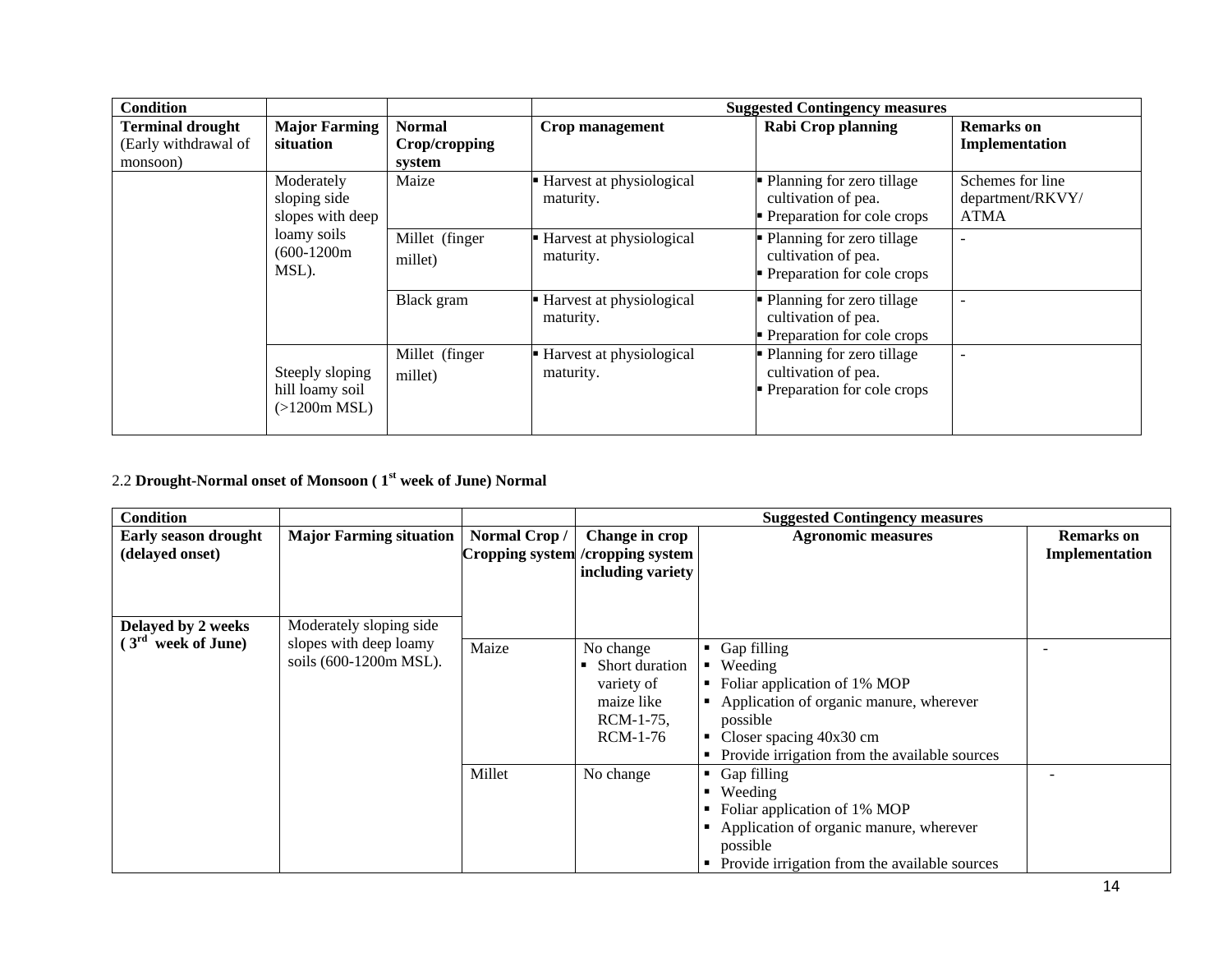| <b>Condition</b>                                            |                                                    |                                          |                                         | <b>Suggested Contingency measures</b>                                              |                                                     |
|-------------------------------------------------------------|----------------------------------------------------|------------------------------------------|-----------------------------------------|------------------------------------------------------------------------------------|-----------------------------------------------------|
| <b>Terminal drought</b><br>(Early withdrawal of<br>monsoon) | <b>Major Farming</b><br>situation                  | <b>Normal</b><br>Crop/cropping<br>system | Crop management                         | <b>Rabi Crop planning</b>                                                          | <b>Remarks</b> on<br>Implementation                 |
|                                                             | Moderately<br>sloping side<br>slopes with deep     | Maize                                    | Harvest at physiological<br>maturity.   | • Planning for zero tillage<br>cultivation of pea.<br>• Preparation for cole crops | Schemes for line<br>department/RKVY/<br><b>ATMA</b> |
|                                                             | loamy soils<br>$(600-1200m)$<br>MSL).              | Millet (finger<br>millet)                | Harvest at physiological<br>maturity.   | • Planning for zero tillage<br>cultivation of pea.<br>• Preparation for cole crops |                                                     |
|                                                             |                                                    | Black gram                               | Harvest at physiological<br>maturity.   | • Planning for zero tillage<br>cultivation of pea.<br>• Preparation for cole crops |                                                     |
|                                                             | Steeply sloping<br>hill loamy soil<br>(>1200m MSL) | Millet (finger<br>millet)                | - Harvest at physiological<br>maturity. | • Planning for zero tillage<br>cultivation of pea.<br>• Preparation for cole crops |                                                     |

# 2.2 **Drought-Normal onset of Monsoon ( 1st week of June) Normal**

| <b>Condition</b>     |                                |              |                                   | <b>Suggested Contingency measures</b>           |                   |
|----------------------|--------------------------------|--------------|-----------------------------------|-------------------------------------------------|-------------------|
| Early season drought | <b>Major Farming situation</b> | Normal Crop/ | <b>Change in crop</b>             | <b>Agronomic measures</b>                       | <b>Remarks</b> on |
| (delayed onset)      |                                |              | Cropping system / cropping system |                                                 | Implementation    |
|                      |                                |              | including variety                 |                                                 |                   |
|                      |                                |              |                                   |                                                 |                   |
| Delayed by 2 weeks   | Moderately sloping side        |              |                                   |                                                 |                   |
| $(3rd$ week of June) | slopes with deep loamy         |              |                                   |                                                 |                   |
|                      |                                | Maize        | No change                         | $\blacksquare$ Gap filling                      |                   |
|                      | soils (600-1200m MSL).         |              | Short duration                    | • Weeding                                       |                   |
|                      |                                |              | variety of                        | • Foliar application of 1% MOP                  |                   |
|                      |                                |              | maize like                        | Application of organic manure, wherever         |                   |
|                      |                                |              | RCM-1-75,                         | possible                                        |                   |
|                      |                                |              | RCM-1-76                          | • Closer spacing $40x30$ cm                     |                   |
|                      |                                |              |                                   | • Provide irrigation from the available sources |                   |
|                      |                                | Millet       | No change                         | $\blacksquare$ Gap filling                      |                   |
|                      |                                |              |                                   | • Weeding                                       |                   |
|                      |                                |              |                                   | • Foliar application of 1% MOP                  |                   |
|                      |                                |              |                                   | • Application of organic manure, wherever       |                   |
|                      |                                |              |                                   | possible                                        |                   |
|                      |                                |              |                                   | • Provide irrigation from the available sources |                   |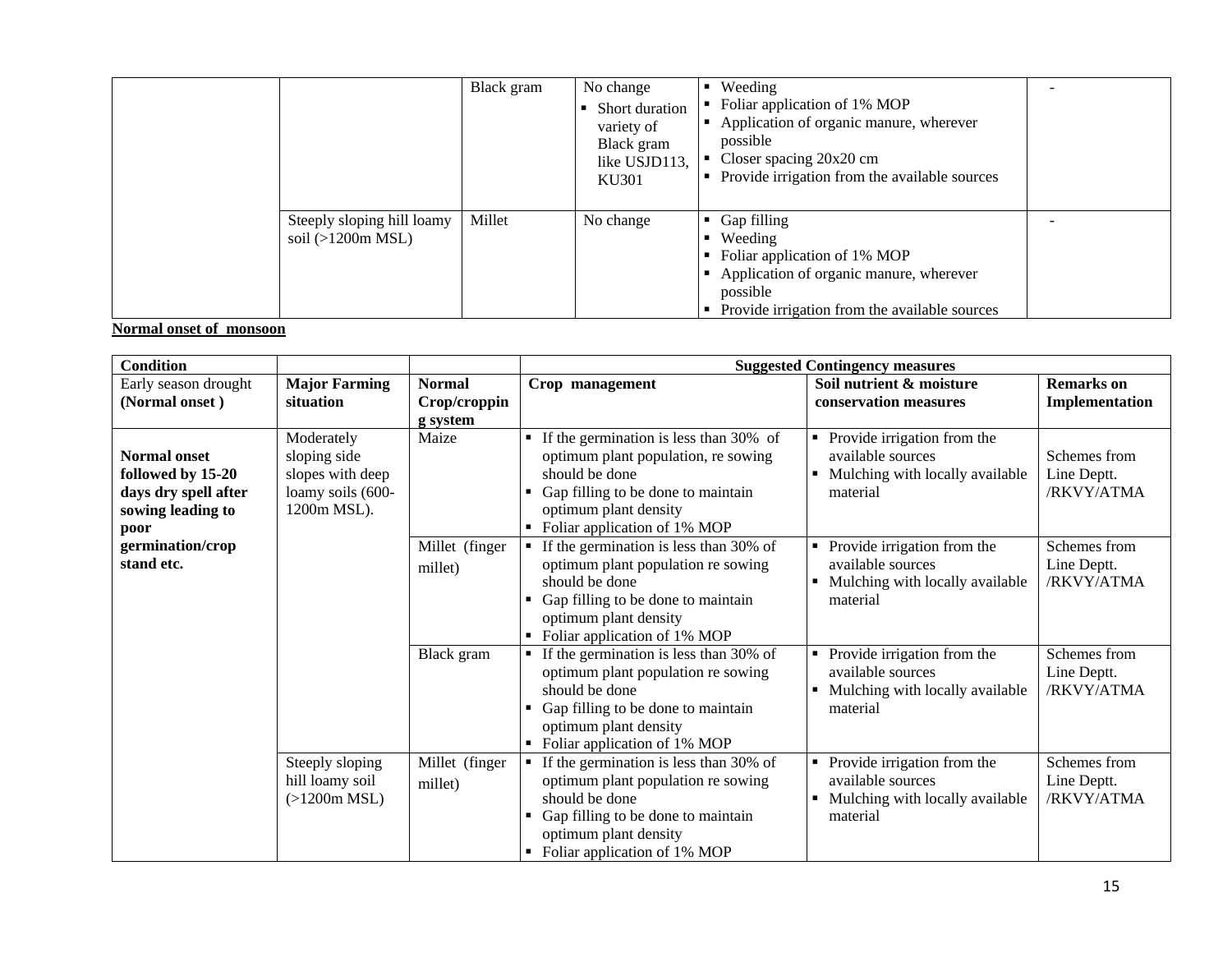|                                                   | Black gram | No change<br>Short duration<br>variety of<br>Black gram<br>like USJD113,<br>KU301 | $\blacksquare$ Weeding<br>• Foliar application of 1% MOP<br>Application of organic manure, wherever<br>٠<br>possible<br>Closer spacing $20x20$ cm<br>• Provide irrigation from the available sources |  |
|---------------------------------------------------|------------|-----------------------------------------------------------------------------------|------------------------------------------------------------------------------------------------------------------------------------------------------------------------------------------------------|--|
| Steeply sloping hill loamy<br>soil $(>1200m MSL)$ | Millet     | No change                                                                         | $\blacksquare$ Gap filling<br>$\blacksquare$ Weeding<br>• Foliar application of 1% MOP<br>Application of organic manure, wherever<br>possible<br>• Provide irrigation from the available sources     |  |

# **Normal onset of monsoon**

| <b>Condition</b>                                                                              |                                                                                    |                                           | <b>Suggested Contingency measures</b>                                                                                                                                                                                             |                                                                                                      |                                           |
|-----------------------------------------------------------------------------------------------|------------------------------------------------------------------------------------|-------------------------------------------|-----------------------------------------------------------------------------------------------------------------------------------------------------------------------------------------------------------------------------------|------------------------------------------------------------------------------------------------------|-------------------------------------------|
| Early season drought<br>(Normal onset)                                                        | <b>Major Farming</b><br>situation                                                  | <b>Normal</b><br>Crop/croppin<br>g system | Crop management                                                                                                                                                                                                                   | Soil nutrient & moisture<br>conservation measures                                                    | <b>Remarks</b> on<br>Implementation       |
| <b>Normal onset</b><br>followed by 15-20<br>days dry spell after<br>sowing leading to<br>poor | Moderately<br>sloping side<br>slopes with deep<br>loamy soils (600-<br>1200m MSL). | Maize                                     | If the germination is less than 30% of<br>$\blacksquare$<br>optimum plant population, re sowing<br>should be done<br>Gap filling to be done to maintain<br>optimum plant density<br>Foliar application of 1% MOP                  | Provide irrigation from the<br>٠<br>available sources<br>Mulching with locally available<br>material | Schemes from<br>Line Deptt.<br>/RKVY/ATMA |
| germination/crop<br>stand etc.                                                                |                                                                                    | Millet (finger<br>millet)                 | If the germination is less than 30% of<br>$\blacksquare$<br>optimum plant population re sowing<br>should be done<br>Gap filling to be done to maintain<br>optimum plant density<br>Foliar application of 1% MOP                   | Provide irrigation from the<br>available sources<br>Mulching with locally available<br>material      | Schemes from<br>Line Deptt.<br>/RKVY/ATMA |
|                                                                                               |                                                                                    | Black gram                                | If the germination is less than 30% of<br>optimum plant population re sowing<br>should be done<br>Gap filling to be done to maintain<br>optimum plant density<br>Foliar application of 1% MOP<br>$\blacksquare$                   | Provide irrigation from the<br>available sources<br>Mulching with locally available<br>material      | Schemes from<br>Line Deptt.<br>/RKVY/ATMA |
|                                                                                               | Steeply sloping<br>hill loamy soil<br>(>1200m MSL)                                 | Millet (finger<br>millet)                 | If the germination is less than 30% of<br>$\blacksquare$<br>optimum plant population re sowing<br>should be done<br>Gap filling to be done to maintain<br>optimum plant density<br>Foliar application of 1% MOP<br>$\blacksquare$ | Provide irrigation from the<br>available sources<br>Mulching with locally available<br>material      | Schemes from<br>Line Deptt.<br>/RKVY/ATMA |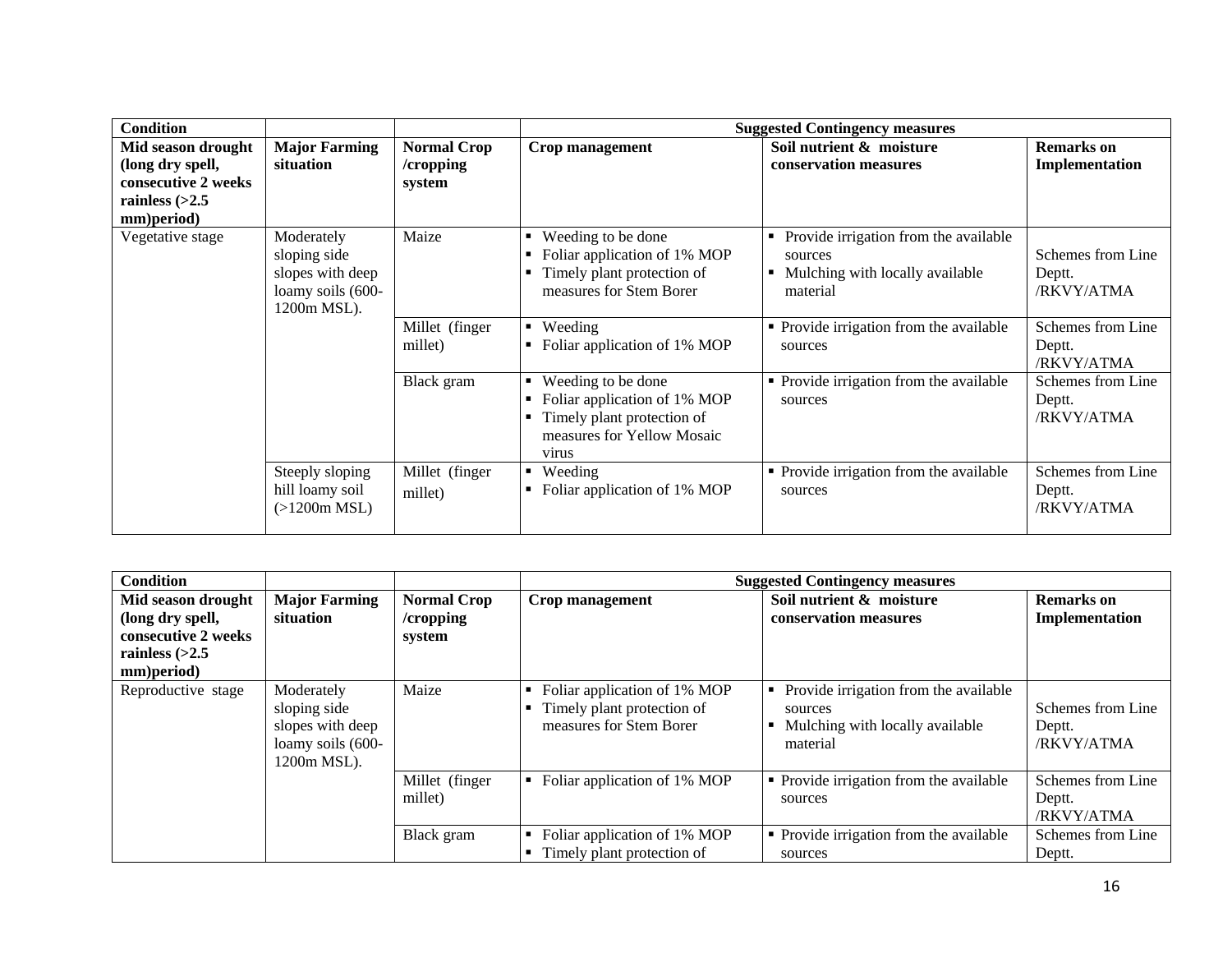| <b>Condition</b>                                                                                |                                                                                    |                                           |                                                                                                                                                 | <b>Suggested Contingency measures</b>                                                                             |                                           |
|-------------------------------------------------------------------------------------------------|------------------------------------------------------------------------------------|-------------------------------------------|-------------------------------------------------------------------------------------------------------------------------------------------------|-------------------------------------------------------------------------------------------------------------------|-------------------------------------------|
| Mid season drought<br>(long dry spell,<br>consecutive 2 weeks<br>rainless $(>2.5$<br>mm)period) | <b>Major Farming</b><br>situation                                                  | <b>Normal Crop</b><br>/cropping<br>system | Crop management                                                                                                                                 | Soil nutrient & moisture<br>conservation measures                                                                 | <b>Remarks</b> on<br>Implementation       |
| Vegetative stage                                                                                | Moderately<br>sloping side<br>slopes with deep<br>loamy soils (600-<br>1200m MSL). | Maize                                     | Weeding to be done<br>$\blacksquare$<br>Foliar application of 1% MOP<br>п.<br>Timely plant protection of<br>п.<br>measures for Stem Borer       | Provide irrigation from the available<br>sources<br>Mulching with locally available<br>$\blacksquare$<br>material | Schemes from Line<br>Deptt.<br>/RKVY/ATMA |
|                                                                                                 |                                                                                    | Millet (finger<br>millet)                 | Weeding<br>$\blacksquare$<br>Foliar application of 1% MOP                                                                                       | • Provide irrigation from the available<br>sources                                                                | Schemes from Line<br>Deptt.<br>/RKVY/ATMA |
|                                                                                                 |                                                                                    | Black gram                                | Weeding to be done<br>$\blacksquare$<br>Foliar application of 1% MOP<br>Timely plant protection of<br>п.<br>measures for Yellow Mosaic<br>virus | • Provide irrigation from the available<br>sources                                                                | Schemes from Line<br>Deptt.<br>/RKVY/ATMA |
|                                                                                                 | Steeply sloping<br>hill loamy soil<br>$(>1200m$ MSL)                               | Millet (finger<br>millet)                 | Weeding<br>$\blacksquare$<br>Foliar application of 1% MOP                                                                                       | • Provide irrigation from the available<br>sources                                                                | Schemes from Line<br>Deptt.<br>/RKVY/ATMA |

| <b>Condition</b>                                                                                |                                                                                    |                                              |                                                                                       | <b>Suggested Contingency measures</b>                                                                     |                                           |
|-------------------------------------------------------------------------------------------------|------------------------------------------------------------------------------------|----------------------------------------------|---------------------------------------------------------------------------------------|-----------------------------------------------------------------------------------------------------------|-------------------------------------------|
| Mid season drought<br>(long dry spell,<br>consecutive 2 weeks<br>rainless $(>2.5$<br>mm)period) | <b>Major Farming</b><br>situation                                                  | <b>Normal Crop</b><br>$/$ cropping<br>system | Crop management                                                                       | Soil nutrient & moisture<br>conservation measures                                                         | <b>Remarks</b> on<br>Implementation       |
| Reproductive stage                                                                              | Moderately<br>sloping side<br>slopes with deep<br>loamy soils (600-<br>1200m MSL). | Maize                                        | Foliar application of 1% MOP<br>Timely plant protection of<br>measures for Stem Borer | Provide irrigation from the available<br>٠<br>sources<br>Mulching with locally available<br>٠<br>material | Schemes from Line<br>Deptt.<br>/RKVY/ATMA |
|                                                                                                 |                                                                                    | Millet (finger<br>millet)                    | Foliar application of 1% MOP<br>$\blacksquare$                                        | • Provide irrigation from the available<br>sources                                                        | Schemes from Line<br>Deptt.<br>/RKVY/ATMA |
|                                                                                                 |                                                                                    | Black gram                                   | Foliar application of 1% MOP<br>$\blacksquare$<br>Timely plant protection of          | • Provide irrigation from the available<br>sources                                                        | Schemes from Line<br>Deptt.               |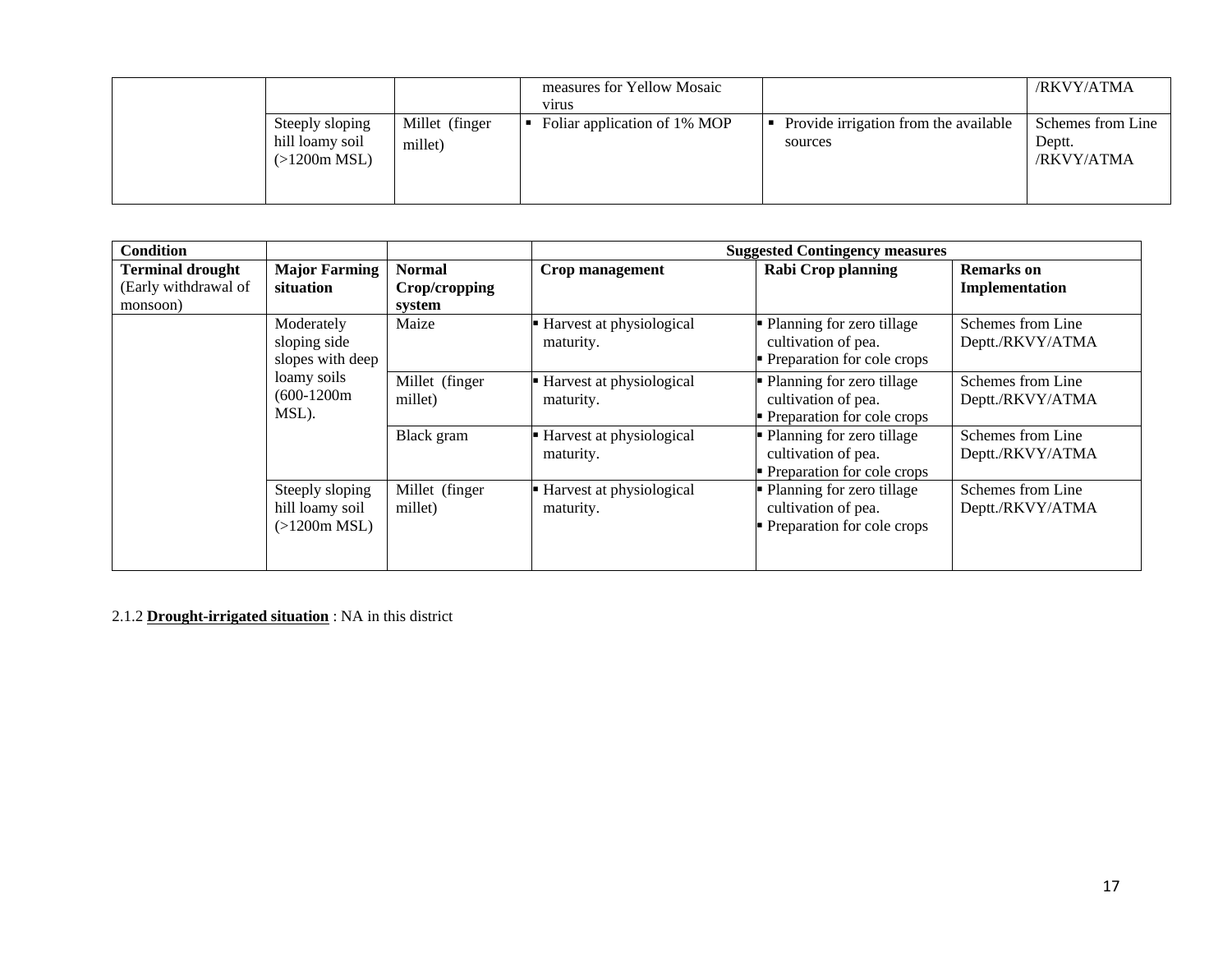|                                                    |                           | measures for Yellow Mosaic<br>vīrus |                                                  | /RKVY/ATMA                                |
|----------------------------------------------------|---------------------------|-------------------------------------|--------------------------------------------------|-------------------------------------------|
| Steeply sloping<br>hill loamy soil<br>(>1200m MSL) | Millet (finger<br>millet) | Foliar application of 1% MOP        | Provide irrigation from the available<br>sources | Schemes from Line<br>Deptt.<br>/RKVY/ATMA |

| <b>Condition</b>                                            |                                                    |                                          |                                         | <b>Suggested Contingency measures</b>                                              |                                       |
|-------------------------------------------------------------|----------------------------------------------------|------------------------------------------|-----------------------------------------|------------------------------------------------------------------------------------|---------------------------------------|
| <b>Terminal drought</b><br>(Early withdrawal of<br>monsoon) | <b>Major Farming</b><br>situation                  | <b>Normal</b><br>Crop/cropping<br>system | Crop management                         | <b>Rabi Crop planning</b>                                                          | <b>Remarks</b> on<br>Implementation   |
|                                                             | Moderately<br>sloping side<br>slopes with deep     | Maize                                    | - Harvest at physiological<br>maturity. | • Planning for zero tillage<br>cultivation of pea.<br>• Preparation for cole crops | Schemes from Line<br>Deptt./RKVY/ATMA |
|                                                             | loamy soils<br>$(600-1200m)$<br>MSL).              | Millet (finger<br>millet)                | - Harvest at physiological<br>maturity. | • Planning for zero tillage<br>cultivation of pea.<br>• Preparation for cole crops | Schemes from Line<br>Deptt./RKVY/ATMA |
|                                                             |                                                    | Black gram                               | - Harvest at physiological<br>maturity. | • Planning for zero tillage<br>cultivation of pea.<br>• Preparation for cole crops | Schemes from Line<br>Deptt./RKVY/ATMA |
|                                                             | Steeply sloping<br>hill loamy soil<br>(>1200m MSL) | Millet (finger<br>millet)                | - Harvest at physiological<br>maturity. | • Planning for zero tillage<br>cultivation of pea.<br>• Preparation for cole crops | Schemes from Line<br>Deptt./RKVY/ATMA |

2.1.2 **Drought-irrigated situation** : NA in this district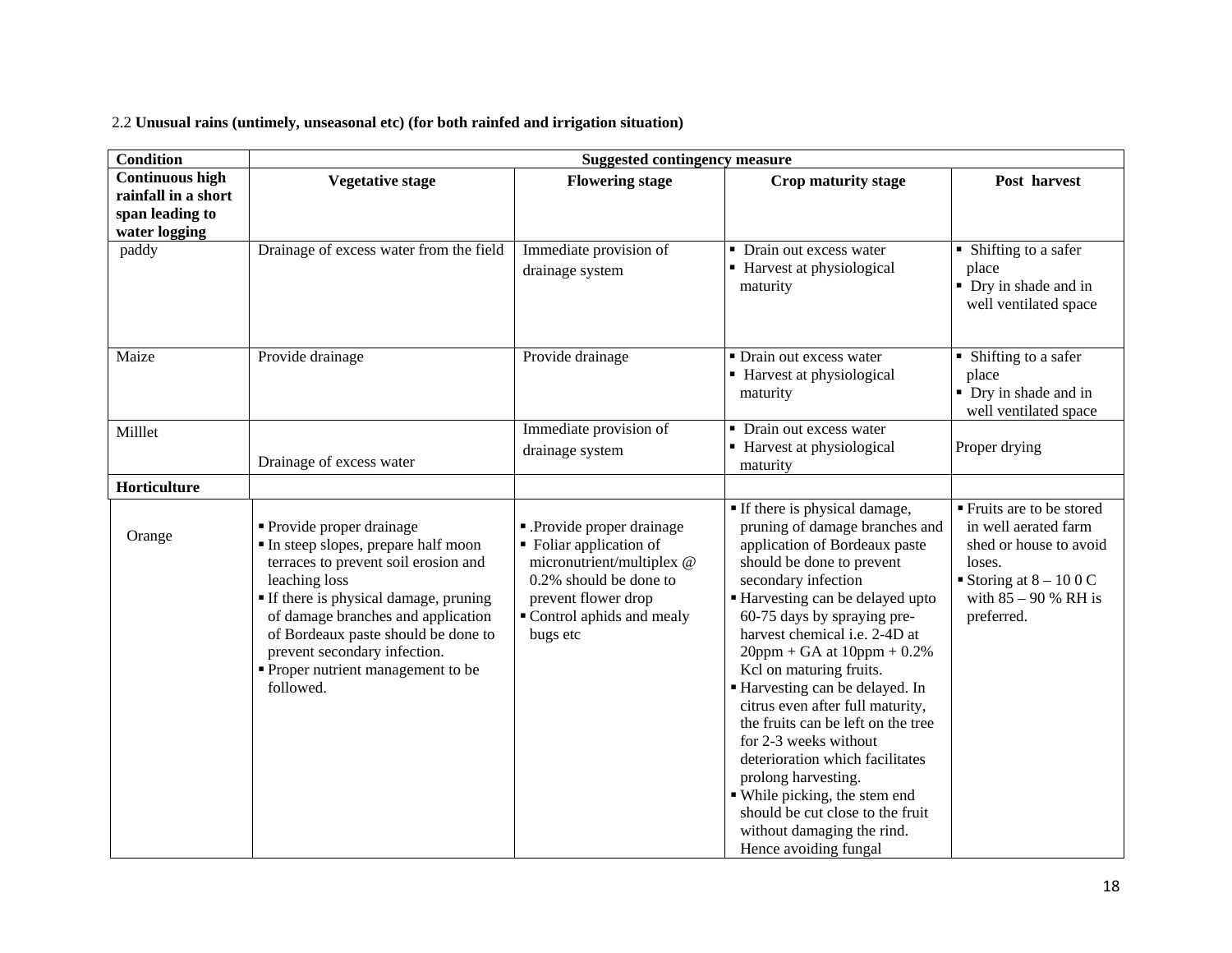2.2 **Unusual rains (untimely, unseasonal etc) (for both rainfed and irrigation situation)**

| <b>Condition</b>       | <b>Suggested contingency measure</b>                                                                                                                                                                                                                                                                                             |                                                                                                                                                                            |                                                                                                                                                                                                                                                                                                                                                                                                                                                                                                                                                                                                                                                |                                                                                                                                                        |
|------------------------|----------------------------------------------------------------------------------------------------------------------------------------------------------------------------------------------------------------------------------------------------------------------------------------------------------------------------------|----------------------------------------------------------------------------------------------------------------------------------------------------------------------------|------------------------------------------------------------------------------------------------------------------------------------------------------------------------------------------------------------------------------------------------------------------------------------------------------------------------------------------------------------------------------------------------------------------------------------------------------------------------------------------------------------------------------------------------------------------------------------------------------------------------------------------------|--------------------------------------------------------------------------------------------------------------------------------------------------------|
| <b>Continuous high</b> | <b>Vegetative stage</b>                                                                                                                                                                                                                                                                                                          | <b>Flowering stage</b>                                                                                                                                                     | Crop maturity stage                                                                                                                                                                                                                                                                                                                                                                                                                                                                                                                                                                                                                            | Post harvest                                                                                                                                           |
| rainfall in a short    |                                                                                                                                                                                                                                                                                                                                  |                                                                                                                                                                            |                                                                                                                                                                                                                                                                                                                                                                                                                                                                                                                                                                                                                                                |                                                                                                                                                        |
| span leading to        |                                                                                                                                                                                                                                                                                                                                  |                                                                                                                                                                            |                                                                                                                                                                                                                                                                                                                                                                                                                                                                                                                                                                                                                                                |                                                                                                                                                        |
| water logging          |                                                                                                                                                                                                                                                                                                                                  |                                                                                                                                                                            |                                                                                                                                                                                                                                                                                                                                                                                                                                                                                                                                                                                                                                                |                                                                                                                                                        |
| paddy                  | Drainage of excess water from the field                                                                                                                                                                                                                                                                                          | Immediate provision of<br>drainage system                                                                                                                                  | • Drain out excess water<br>■ Harvest at physiological<br>maturity                                                                                                                                                                                                                                                                                                                                                                                                                                                                                                                                                                             | • Shifting to a safer<br>place<br>• Dry in shade and in<br>well ventilated space                                                                       |
| Maize                  | Provide drainage                                                                                                                                                                                                                                                                                                                 | Provide drainage                                                                                                                                                           | • Drain out excess water<br>Harvest at physiological<br>maturity                                                                                                                                                                                                                                                                                                                                                                                                                                                                                                                                                                               | • Shifting to a safer<br>place<br>• Dry in shade and in<br>well ventilated space                                                                       |
| Milllet                | Drainage of excess water                                                                                                                                                                                                                                                                                                         | Immediate provision of<br>drainage system                                                                                                                                  | • Drain out excess water<br>■ Harvest at physiological<br>maturity                                                                                                                                                                                                                                                                                                                                                                                                                                                                                                                                                                             | Proper drying                                                                                                                                          |
| Horticulture           |                                                                                                                                                                                                                                                                                                                                  |                                                                                                                                                                            |                                                                                                                                                                                                                                                                                                                                                                                                                                                                                                                                                                                                                                                |                                                                                                                                                        |
| Orange                 | • Provide proper drainage<br>In steep slopes, prepare half moon<br>terraces to prevent soil erosion and<br>leaching loss<br>If there is physical damage, pruning<br>of damage branches and application<br>of Bordeaux paste should be done to<br>prevent secondary infection.<br>• Proper nutrient management to be<br>followed. | - Provide proper drainage<br>• Foliar application of<br>micronutrient/multiplex @<br>0.2% should be done to<br>prevent flower drop<br>Control aphids and mealy<br>bugs etc | If there is physical damage,<br>pruning of damage branches and<br>application of Bordeaux paste<br>should be done to prevent<br>secondary infection<br>Harvesting can be delayed upto<br>60-75 days by spraying pre-<br>harvest chemical i.e. 2-4D at<br>$20$ ppm + GA at $10$ ppm + 0.2%<br>Kcl on maturing fruits.<br>Harvesting can be delayed. In<br>citrus even after full maturity,<br>the fruits can be left on the tree<br>for 2-3 weeks without<br>deterioration which facilitates<br>prolong harvesting.<br>• While picking, the stem end<br>should be cut close to the fruit<br>without damaging the rind.<br>Hence avoiding fungal | ■ Fruits are to be stored<br>in well aerated farm<br>shed or house to avoid<br>loses.<br>Storing at $8 - 100C$<br>with $85 - 90$ % RH is<br>preferred. |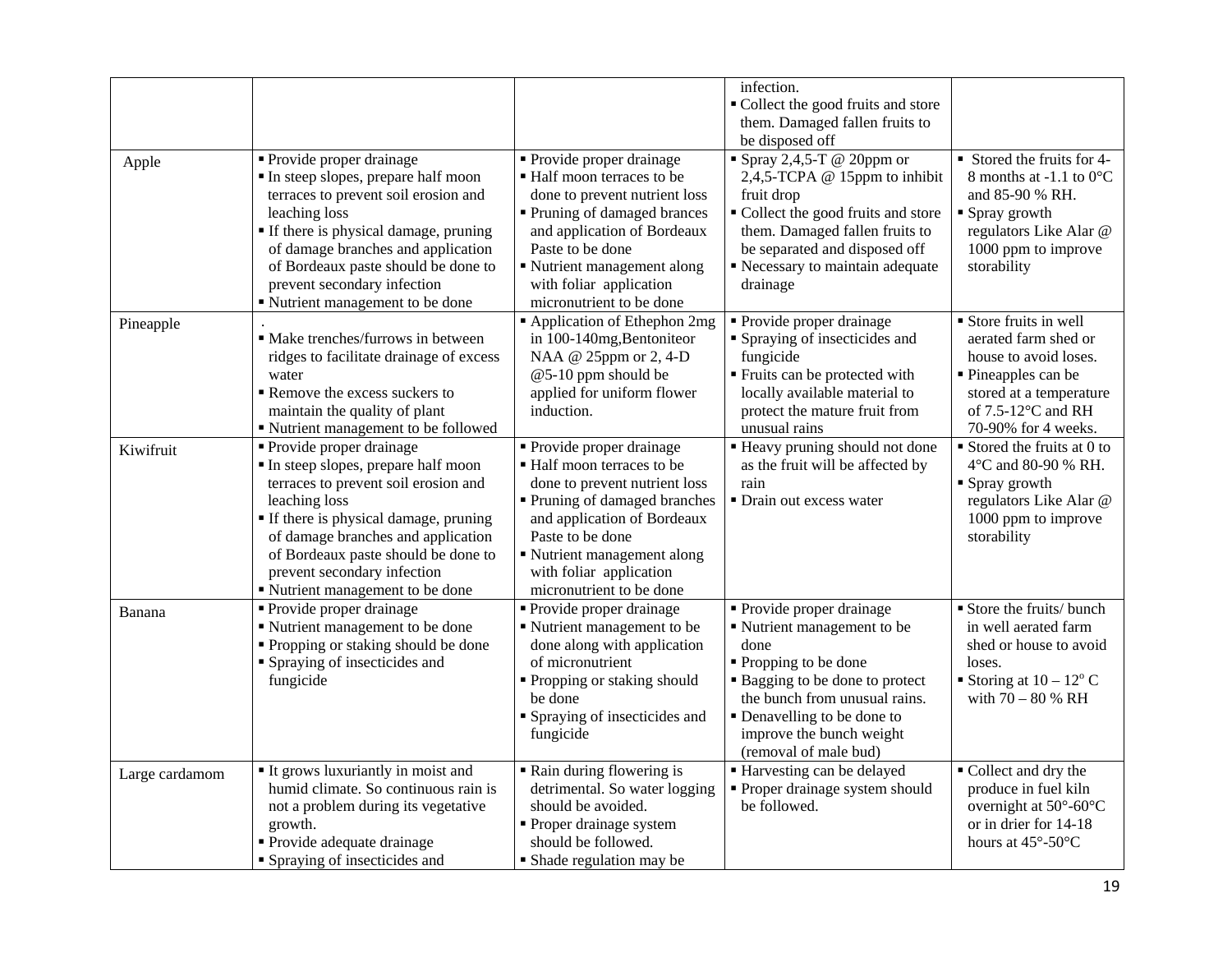|                | • Provide proper drainage                                                                                                                                                                                                                                                                                          | • Provide proper drainage                                                                                                                                                                                                                                    | infection.<br>• Collect the good fruits and store<br>them. Damaged fallen fruits to<br>be disposed off<br>Spray $2,4,5$ -T @ 20ppm or                                                                                                           | Stored the fruits for 4-                                                                                                                                                |
|----------------|--------------------------------------------------------------------------------------------------------------------------------------------------------------------------------------------------------------------------------------------------------------------------------------------------------------------|--------------------------------------------------------------------------------------------------------------------------------------------------------------------------------------------------------------------------------------------------------------|-------------------------------------------------------------------------------------------------------------------------------------------------------------------------------------------------------------------------------------------------|-------------------------------------------------------------------------------------------------------------------------------------------------------------------------|
| Apple          | In steep slopes, prepare half moon<br>terraces to prevent soil erosion and<br>leaching loss<br>• If there is physical damage, pruning<br>of damage branches and application<br>of Bordeaux paste should be done to<br>prevent secondary infection<br>" Nutrient management to be done                              | ■ Half moon terraces to be<br>done to prevent nutrient loss<br>Pruning of damaged brances<br>and application of Bordeaux<br>Paste to be done<br>Nutrient management along<br>with foliar application<br>micronutrient to be done                             | 2,4,5-TCPA @ 15ppm to inhibit<br>fruit drop<br>" Collect the good fruits and store<br>them. Damaged fallen fruits to<br>be separated and disposed off<br>Recessary to maintain adequate<br>drainage                                             | 8 months at -1.1 to $0^{\circ}$ C<br>and 85-90 % RH.<br>■ Spray growth<br>regulators Like Alar @<br>1000 ppm to improve<br>storability                                  |
| Pineapple      | • Make trenches/furrows in between<br>ridges to facilitate drainage of excess<br>water<br>Remove the excess suckers to<br>maintain the quality of plant<br>" Nutrient management to be followed                                                                                                                    | Application of Ethephon 2mg<br>in 100-140mg, Bentoniteor<br>NAA @ 25ppm or 2, 4-D<br>@5-10 ppm should be<br>applied for uniform flower<br>induction.                                                                                                         | • Provide proper drainage<br>• Spraying of insecticides and<br>fungicide<br>" Fruits can be protected with<br>locally available material to<br>protect the mature fruit from<br>unusual rains                                                   | Store fruits in well<br>aerated farm shed or<br>house to avoid loses.<br>• Pineapples can be<br>stored at a temperature<br>of $7.5-12$ °C and RH<br>70-90% for 4 weeks. |
| Kiwifruit      | • Provide proper drainage<br>In steep slopes, prepare half moon<br>terraces to prevent soil erosion and<br>leaching loss<br>• If there is physical damage, pruning<br>of damage branches and application<br>of Bordeaux paste should be done to<br>prevent secondary infection<br>" Nutrient management to be done | • Provide proper drainage<br>Half moon terraces to be<br>done to prevent nutrient loss<br>Pruning of damaged branches<br>and application of Bordeaux<br>Paste to be done<br>Nutrient management along<br>with foliar application<br>micronutrient to be done | " Heavy pruning should not done<br>as the fruit will be affected by<br>rain<br>• Drain out excess water                                                                                                                                         | $\blacksquare$ Stored the fruits at 0 to<br>4°C and 80-90 % RH.<br>• Spray growth<br>regulators Like Alar @<br>1000 ppm to improve<br>storability                       |
| Banana         | • Provide proper drainage<br>Nutrient management to be done<br>• Propping or staking should be done<br>• Spraying of insecticides and<br>fungicide                                                                                                                                                                 | • Provide proper drainage<br>Nutrient management to be<br>done along with application<br>of micronutrient<br>• Propping or staking should<br>be done<br><b>S</b> praying of insecticides and<br>fungicide                                                    | • Provide proper drainage<br>Nutrient management to be<br>done<br>■ Propping to be done<br>• Bagging to be done to protect<br>the bunch from unusual rains.<br>• Denavelling to be done to<br>improve the bunch weight<br>(removal of male bud) | Store the fruits/ bunch<br>in well aerated farm<br>shed or house to avoid<br>loses.<br>Storing at $10 - 12^{\circ}$ C<br>with $70 - 80$ % RH                            |
| Large cardamom | It grows luxuriantly in moist and<br>humid climate. So continuous rain is<br>not a problem during its vegetative<br>growth.<br>• Provide adequate drainage<br>• Spraying of insecticides and                                                                                                                       | Rain during flowering is<br>detrimental. So water logging<br>should be avoided.<br>• Proper drainage system<br>should be followed.<br>• Shade regulation may be                                                                                              | Harvesting can be delayed<br>Proper drainage system should<br>be followed.                                                                                                                                                                      | ■ Collect and dry the<br>produce in fuel kiln<br>overnight at 50°-60°C<br>or in drier for 14-18<br>hours at $45^{\circ}$ -50 $^{\circ}$ C                               |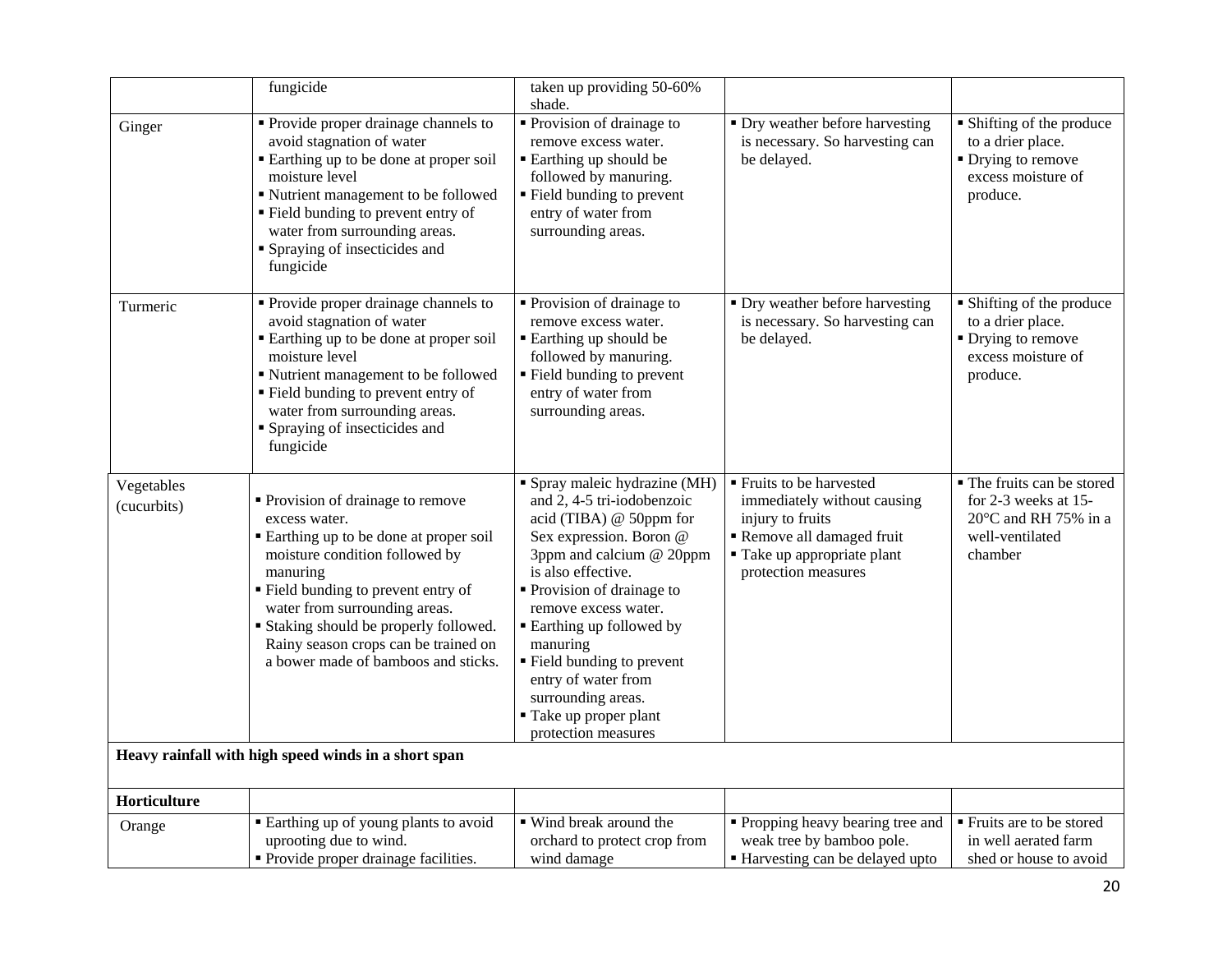|                           | fungicide                                                                                                                                                                                                                                                                                                                                   | taken up providing 50-60%<br>shade.                                                                                                                                                                                                                                                                                                                                                               |                                                                                                                                                               |                                                                                                                    |
|---------------------------|---------------------------------------------------------------------------------------------------------------------------------------------------------------------------------------------------------------------------------------------------------------------------------------------------------------------------------------------|---------------------------------------------------------------------------------------------------------------------------------------------------------------------------------------------------------------------------------------------------------------------------------------------------------------------------------------------------------------------------------------------------|---------------------------------------------------------------------------------------------------------------------------------------------------------------|--------------------------------------------------------------------------------------------------------------------|
| Ginger                    | • Provide proper drainage channels to<br>avoid stagnation of water<br>■ Earthing up to be done at proper soil<br>moisture level<br>" Nutrient management to be followed<br>" Field bunding to prevent entry of<br>water from surrounding areas.<br>• Spraying of insecticides and<br>fungicide                                              | • Provision of drainage to<br>remove excess water.<br>■ Earthing up should be<br>followed by manuring.<br>■ Field bunding to prevent<br>entry of water from<br>surrounding areas.                                                                                                                                                                                                                 | • Dry weather before harvesting<br>is necessary. So harvesting can<br>be delayed.                                                                             | • Shifting of the produce<br>to a drier place.<br>• Drying to remove<br>excess moisture of<br>produce.             |
| Turmeric                  | • Provide proper drainage channels to<br>avoid stagnation of water<br>Earthing up to be done at proper soil<br>moisture level<br>" Nutrient management to be followed<br>" Field bunding to prevent entry of<br>water from surrounding areas.<br>• Spraying of insecticides and<br>fungicide                                                | Provision of drainage to<br>remove excess water.<br>• Earthing up should be<br>followed by manuring.<br>■ Field bunding to prevent<br>entry of water from<br>surrounding areas.                                                                                                                                                                                                                   | • Dry weather before harvesting<br>is necessary. So harvesting can<br>be delayed.                                                                             | • Shifting of the produce<br>to a drier place.<br>• Drying to remove<br>excess moisture of<br>produce.             |
| Vegetables<br>(cucurbits) | Provision of drainage to remove<br>excess water.<br>Earthing up to be done at proper soil<br>moisture condition followed by<br>manuring<br>Field bunding to prevent entry of<br>water from surrounding areas.<br><b>Staking should be properly followed.</b><br>Rainy season crops can be trained on<br>a bower made of bamboos and sticks. | • Spray maleic hydrazine (MH)<br>and 2, 4-5 tri-iodobenzoic<br>acid (TIBA) @ 50ppm for<br>Sex expression. Boron @<br>3ppm and calcium @ 20ppm<br>is also effective.<br>Provision of drainage to<br>remove excess water.<br><b>Earthing up followed by</b><br>manuring<br>" Field bunding to prevent<br>entry of water from<br>surrounding areas.<br>■ Take up proper plant<br>protection measures | ■ Fruits to be harvested<br>immediately without causing<br>injury to fruits<br>Remove all damaged fruit<br>■ Take up appropriate plant<br>protection measures | • The fruits can be stored<br>for 2-3 weeks at 15-<br>$20^{\circ}$ C and RH 75% in a<br>well-ventilated<br>chamber |
|                           | Heavy rainfall with high speed winds in a short span                                                                                                                                                                                                                                                                                        |                                                                                                                                                                                                                                                                                                                                                                                                   |                                                                                                                                                               |                                                                                                                    |
| Horticulture              |                                                                                                                                                                                                                                                                                                                                             |                                                                                                                                                                                                                                                                                                                                                                                                   |                                                                                                                                                               |                                                                                                                    |
| Orange                    | Earthing up of young plants to avoid<br>uprooting due to wind.<br>• Provide proper drainage facilities.                                                                                                                                                                                                                                     | • Wind break around the<br>orchard to protect crop from<br>wind damage                                                                                                                                                                                                                                                                                                                            | • Propping heavy bearing tree and<br>weak tree by bamboo pole.<br>Harvesting can be delayed upto                                                              | ■ Fruits are to be stored<br>in well aerated farm<br>shed or house to avoid                                        |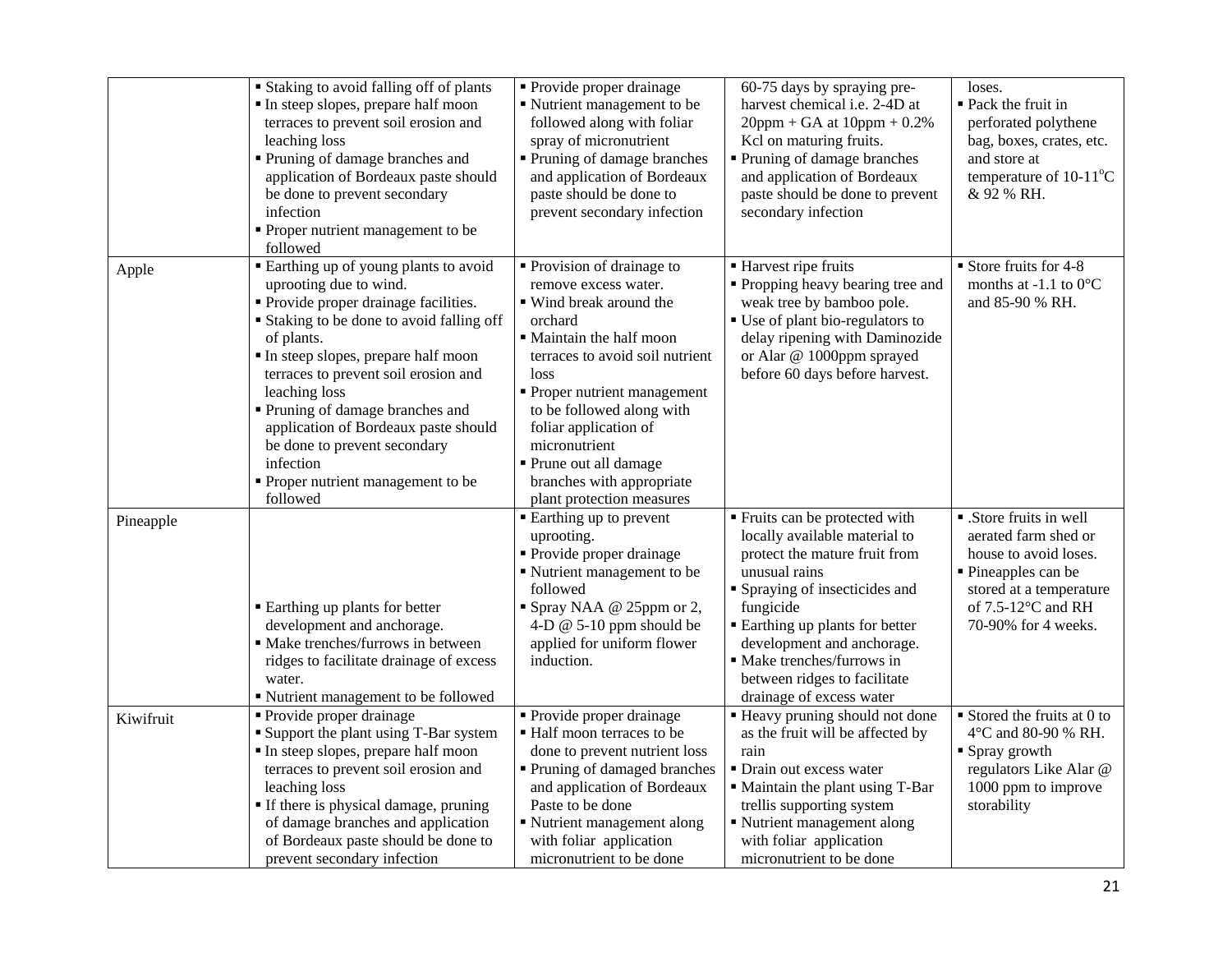|           | <b>Staking to avoid falling off of plants</b><br>In steep slopes, prepare half moon<br>terraces to prevent soil erosion and<br>leaching loss<br>Pruning of damage branches and<br>application of Bordeaux paste should<br>be done to prevent secondary<br>infection<br>Proper nutrient management to be<br>followed                                                                                                                                | • Provide proper drainage<br>Nutrient management to be<br>followed along with foliar<br>spray of micronutrient<br>Pruning of damage branches<br>and application of Bordeaux<br>paste should be done to<br>prevent secondary infection                                                                                                                    | 60-75 days by spraying pre-<br>harvest chemical i.e. 2-4D at<br>$20$ ppm + GA at $10$ ppm + 0.2%<br>Kcl on maturing fruits.<br>Pruning of damage branches<br>and application of Bordeaux<br>paste should be done to prevent<br>secondary infection                                                                               | loses.<br>• Pack the fruit in<br>perforated polythene<br>bag, boxes, crates, etc.<br>and store at<br>temperature of $10-11^{\circ}C$<br>& 92 % RH.                      |
|-----------|----------------------------------------------------------------------------------------------------------------------------------------------------------------------------------------------------------------------------------------------------------------------------------------------------------------------------------------------------------------------------------------------------------------------------------------------------|----------------------------------------------------------------------------------------------------------------------------------------------------------------------------------------------------------------------------------------------------------------------------------------------------------------------------------------------------------|----------------------------------------------------------------------------------------------------------------------------------------------------------------------------------------------------------------------------------------------------------------------------------------------------------------------------------|-------------------------------------------------------------------------------------------------------------------------------------------------------------------------|
| Apple     | <b>Earthing up of young plants to avoid</b><br>uprooting due to wind.<br>Provide proper drainage facilities.<br><b>Staking to be done to avoid falling off</b><br>of plants.<br>In steep slopes, prepare half moon<br>terraces to prevent soil erosion and<br>leaching loss<br>Pruning of damage branches and<br>application of Bordeaux paste should<br>be done to prevent secondary<br>infection<br>Proper nutrient management to be<br>followed | • Provision of drainage to<br>remove excess water.<br>• Wind break around the<br>orchard<br>• Maintain the half moon<br>terraces to avoid soil nutrient<br>loss<br>Proper nutrient management<br>to be followed along with<br>foliar application of<br>micronutrient<br>• Prune out all damage<br>branches with appropriate<br>plant protection measures | ■ Harvest ripe fruits<br>" Propping heavy bearing tree and<br>weak tree by bamboo pole.<br>• Use of plant bio-regulators to<br>delay ripening with Daminozide<br>or Alar @ 1000ppm sprayed<br>before 60 days before harvest.                                                                                                     | Store fruits for 4-8<br>months at -1.1 to $0^{\circ}$ C<br>and 85-90 % RH.                                                                                              |
| Pineapple | <b>Earthing up plants for better</b><br>development and anchorage.<br>• Make trenches/furrows in between<br>ridges to facilitate drainage of excess<br>water.<br>" Nutrient management to be followed                                                                                                                                                                                                                                              | ■ Earthing up to prevent<br>uprooting.<br>Provide proper drainage<br>Nutrient management to be<br>followed<br>Spray NAA @ 25ppm or 2,<br>4-D $@$ 5-10 ppm should be<br>applied for uniform flower<br>induction.                                                                                                                                          | ■ Fruits can be protected with<br>locally available material to<br>protect the mature fruit from<br>unusual rains<br>• Spraying of insecticides and<br>fungicide<br><b>Earthing up plants for better</b><br>development and anchorage.<br>· Make trenches/furrows in<br>between ridges to facilitate<br>drainage of excess water | • .Store fruits in well<br>aerated farm shed or<br>house to avoid loses.<br>• Pineapples can be<br>stored at a temperature<br>of 7.5-12°C and RH<br>70-90% for 4 weeks. |
| Kiwifruit | • Provide proper drainage<br><b>Support the plant using T-Bar system</b><br>In steep slopes, prepare half moon<br>terraces to prevent soil erosion and<br>leaching loss<br>If there is physical damage, pruning<br>of damage branches and application<br>of Bordeaux paste should be done to<br>prevent secondary infection                                                                                                                        | • Provide proper drainage<br>■ Half moon terraces to be<br>done to prevent nutrient loss<br>Pruning of damaged branches<br>and application of Bordeaux<br>Paste to be done<br>Nutrient management along<br>with foliar application<br>micronutrient to be done                                                                                           | ■ Heavy pruning should not done<br>as the fruit will be affected by<br>rain<br>• Drain out excess water<br>" Maintain the plant using T-Bar<br>trellis supporting system<br>Nutrient management along<br>with foliar application<br>micronutrient to be done                                                                     | $\blacksquare$ Stored the fruits at 0 to<br>4°C and 80-90 % RH.<br>• Spray growth<br>regulators Like Alar @<br>1000 ppm to improve<br>storability                       |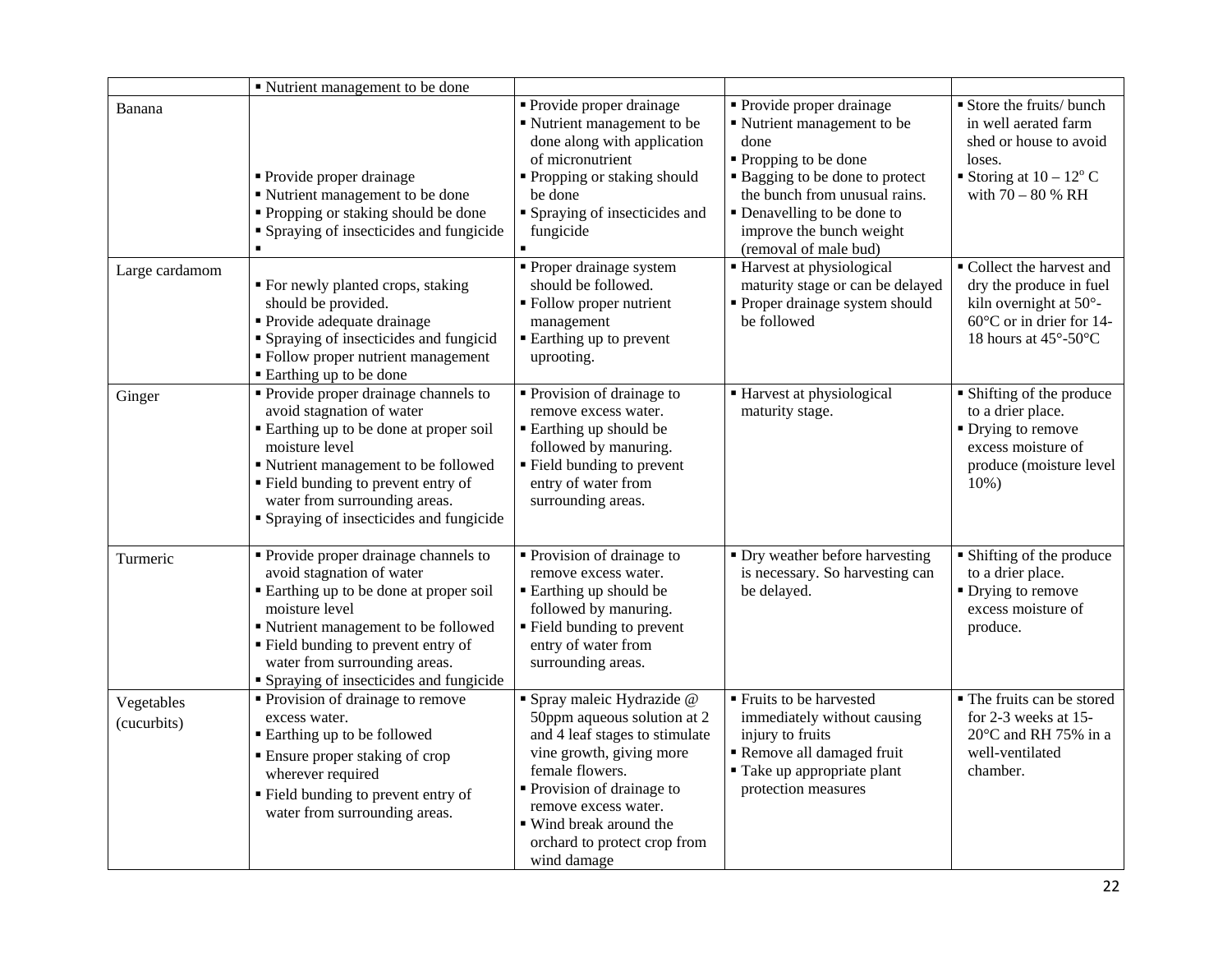|                           | ■ Nutrient management to be done                                                                                                                                                                                                                                                            |                                                                                                                                                                                                                                                                          |                                                                                                                                                                                                                                                 |                                                                                                                                             |
|---------------------------|---------------------------------------------------------------------------------------------------------------------------------------------------------------------------------------------------------------------------------------------------------------------------------------------|--------------------------------------------------------------------------------------------------------------------------------------------------------------------------------------------------------------------------------------------------------------------------|-------------------------------------------------------------------------------------------------------------------------------------------------------------------------------------------------------------------------------------------------|---------------------------------------------------------------------------------------------------------------------------------------------|
| Banana                    | • Provide proper drainage<br>" Nutrient management to be done<br>• Propping or staking should be done<br>• Spraying of insecticides and fungicide<br>$\blacksquare$                                                                                                                         | Provide proper drainage<br>Nutrient management to be<br>done along with application<br>of micronutrient<br>Propping or staking should<br>be done<br>• Spraying of insecticides and<br>fungicide                                                                          | • Provide proper drainage<br>Nutrient management to be<br>done<br>• Propping to be done<br>• Bagging to be done to protect<br>the bunch from unusual rains.<br>• Denavelling to be done to<br>improve the bunch weight<br>(removal of male bud) | Store the fruits/bunch<br>in well aerated farm<br>shed or house to avoid<br>loses.<br>Storing at $10 - 12^{\circ}$ C<br>with $70 - 80$ % RH |
| Large cardamom            | ■ For newly planted crops, staking<br>should be provided.<br>• Provide adequate drainage<br>• Spraying of insecticides and fungicid<br>• Follow proper nutrient management<br>■ Earthing up to be done                                                                                      | • Proper drainage system<br>should be followed.<br>• Follow proper nutrient<br>management<br>■ Earthing up to prevent<br>uprooting.                                                                                                                                      | ■ Harvest at physiological<br>maturity stage or can be delayed<br>• Proper drainage system should<br>be followed                                                                                                                                | Collect the harvest and<br>dry the produce in fuel<br>kiln overnight at 50°-<br>$60^{\circ}$ C or in drier for 14-<br>18 hours at 45°-50°C  |
| Ginger                    | • Provide proper drainage channels to<br>avoid stagnation of water<br>Earthing up to be done at proper soil<br>moisture level<br>" Nutrient management to be followed<br>" Field bunding to prevent entry of<br>water from surrounding areas.<br>• Spraying of insecticides and fungicide   | • Provision of drainage to<br>remove excess water.<br>■ Earthing up should be<br>followed by manuring.<br>" Field bunding to prevent<br>entry of water from<br>surrounding areas.                                                                                        | ■ Harvest at physiological<br>maturity stage.                                                                                                                                                                                                   | • Shifting of the produce<br>to a drier place.<br>• Drying to remove<br>excess moisture of<br>produce (moisture level<br>$10%$ )            |
| Turmeric                  | • Provide proper drainage channels to<br>avoid stagnation of water<br>■ Earthing up to be done at proper soil<br>moisture level<br>" Nutrient management to be followed<br>• Field bunding to prevent entry of<br>water from surrounding areas.<br>• Spraying of insecticides and fungicide | • Provision of drainage to<br>remove excess water.<br>■ Earthing up should be<br>followed by manuring.<br>■ Field bunding to prevent<br>entry of water from<br>surrounding areas.                                                                                        | • Dry weather before harvesting<br>is necessary. So harvesting can<br>be delayed.                                                                                                                                                               | • Shifting of the produce<br>to a drier place.<br>$\blacksquare$ Drying to remove<br>excess moisture of<br>produce.                         |
| Vegetables<br>(cucurbits) | • Provision of drainage to remove<br>excess water.<br><b>Earthing up to be followed</b><br><b>Ensure proper staking of crop</b><br>wherever required<br>" Field bunding to prevent entry of<br>water from surrounding areas.                                                                | · Spray maleic Hydrazide @<br>50ppm aqueous solution at 2<br>and 4 leaf stages to stimulate<br>vine growth, giving more<br>female flowers.<br>Provision of drainage to<br>remove excess water.<br>■ Wind break around the<br>orchard to protect crop from<br>wind damage | • Fruits to be harvested<br>immediately without causing<br>injury to fruits<br>Remove all damaged fruit<br>■ Take up appropriate plant<br>protection measures                                                                                   | • The fruits can be stored<br>for 2-3 weeks at 15-<br>$20^{\circ}$ C and RH 75% in a<br>well-ventilated<br>chamber.                         |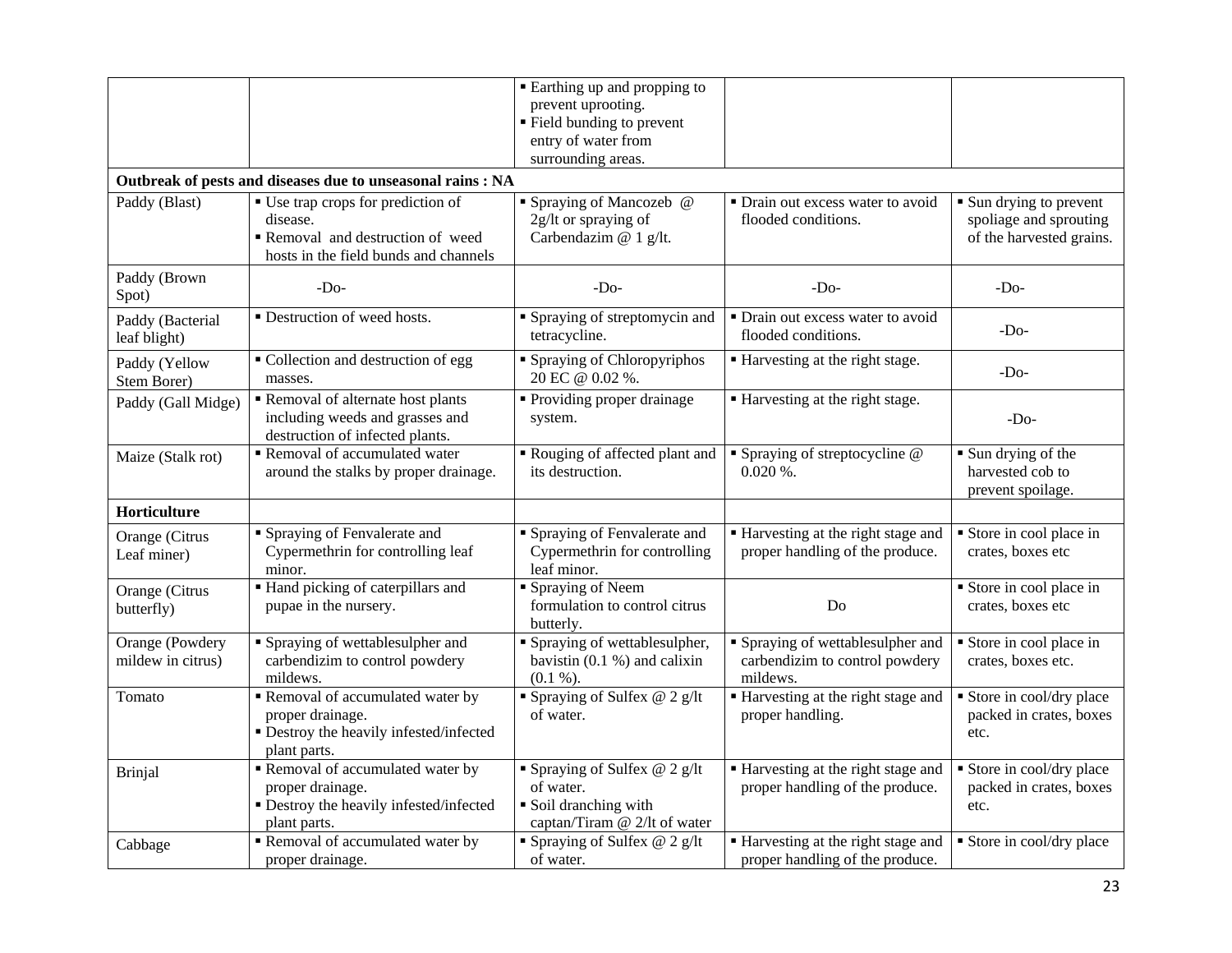|                                      |                                                                                                                            | ■ Earthing up and propping to<br>prevent uprooting.<br>■ Field bunding to prevent<br>entry of water from<br>surrounding areas. |                                                                                 |                                                                               |
|--------------------------------------|----------------------------------------------------------------------------------------------------------------------------|--------------------------------------------------------------------------------------------------------------------------------|---------------------------------------------------------------------------------|-------------------------------------------------------------------------------|
|                                      | Outbreak of pests and diseases due to unseasonal rains : NA                                                                |                                                                                                                                |                                                                                 |                                                                               |
| Paddy (Blast)                        | ■ Use trap crops for prediction of<br>disease.<br>Removal and destruction of weed<br>hosts in the field bunds and channels | • Spraying of Mancozeb @<br>2g/lt or spraying of<br>Carbendazim @ 1 g/lt.                                                      | • Drain out excess water to avoid<br>flooded conditions.                        | • Sun drying to prevent<br>spoliage and sprouting<br>of the harvested grains. |
| Paddy (Brown<br>Spot)                | $-Do-$                                                                                                                     | $-D0$                                                                                                                          | $-DO$                                                                           | -Do-                                                                          |
| Paddy (Bacterial<br>leaf blight)     | • Destruction of weed hosts.                                                                                               | • Spraying of streptomycin and<br>tetracycline.                                                                                | • Drain out excess water to avoid<br>flooded conditions.                        | $-Do-$                                                                        |
| Paddy (Yellow<br>Stem Borer)         | • Collection and destruction of egg<br>masses.                                                                             | <b>Spraying of Chloropyriphos</b><br>20 EC @ 0.02 %.                                                                           | ■ Harvesting at the right stage.                                                | $-DO$                                                                         |
| Paddy (Gall Midge)                   | Removal of alternate host plants<br>including weeds and grasses and<br>destruction of infected plants.                     | • Providing proper drainage<br>system.                                                                                         | ■ Harvesting at the right stage.                                                | $-Do-$                                                                        |
| Maize (Stalk rot)                    | Removal of accumulated water<br>around the stalks by proper drainage.                                                      | Rouging of affected plant and<br>its destruction.                                                                              | • Spraying of streptocycline @<br>$0.020\%$ .                                   | Sun drying of the<br>harvested cob to<br>prevent spoilage.                    |
| Horticulture                         |                                                                                                                            |                                                                                                                                |                                                                                 |                                                                               |
| Orange (Citrus<br>Leaf miner)        | Spraying of Fenvalerate and<br>Cypermethrin for controlling leaf<br>minor.                                                 | • Spraying of Fenvalerate and<br>Cypermethrin for controlling<br>leaf minor.                                                   | Harvesting at the right stage and<br>proper handling of the produce.            | Store in cool place in<br>crates, boxes etc                                   |
| Orange (Citrus<br>butterfly)         | Hand picking of caterpillars and<br>pupae in the nursery.                                                                  | Spraying of Neem<br>formulation to control citrus<br>butterly.                                                                 | Do                                                                              | $\overline{\hspace{1cm}}$ Store in cool place in<br>crates, boxes etc         |
| Orange (Powdery<br>mildew in citrus) | Spraying of wettablesulpher and<br>carbendizim to control powdery<br>mildews.                                              | Spraying of wettablesulpher,<br>bavistin $(0.1 %)$ and calixin<br>(0.1 %).                                                     | • Spraying of wettablesulpher and<br>carbendizim to control powdery<br>mildews. | Store in cool place in<br>crates, boxes etc.                                  |
| Tomato                               | Removal of accumulated water by<br>proper drainage.<br>· Destroy the heavily infested/infected<br>plant parts.             | • Spraying of Sulfex $@$ 2 g/lt<br>of water.                                                                                   | Harvesting at the right stage and<br>proper handling.                           | Store in cool/dry place<br>packed in crates, boxes<br>etc.                    |
| Brinjal                              | Removal of accumulated water by<br>proper drainage.<br>· Destroy the heavily infested/infected<br>plant parts.             | • Spraying of Sulfex $@$ 2 g/lt<br>of water.<br>Soil dranching with<br>captan/Tiram @ 2/lt of water                            | ■ Harvesting at the right stage and<br>proper handling of the produce.          | Store in cool/dry place<br>packed in crates, boxes<br>etc.                    |
| Cabbage                              | Removal of accumulated water by<br>proper drainage.                                                                        | • Spraying of Sulfex $@$ 2 g/lt<br>of water.                                                                                   | Harvesting at the right stage and<br>proper handling of the produce.            | Store in cool/dry place                                                       |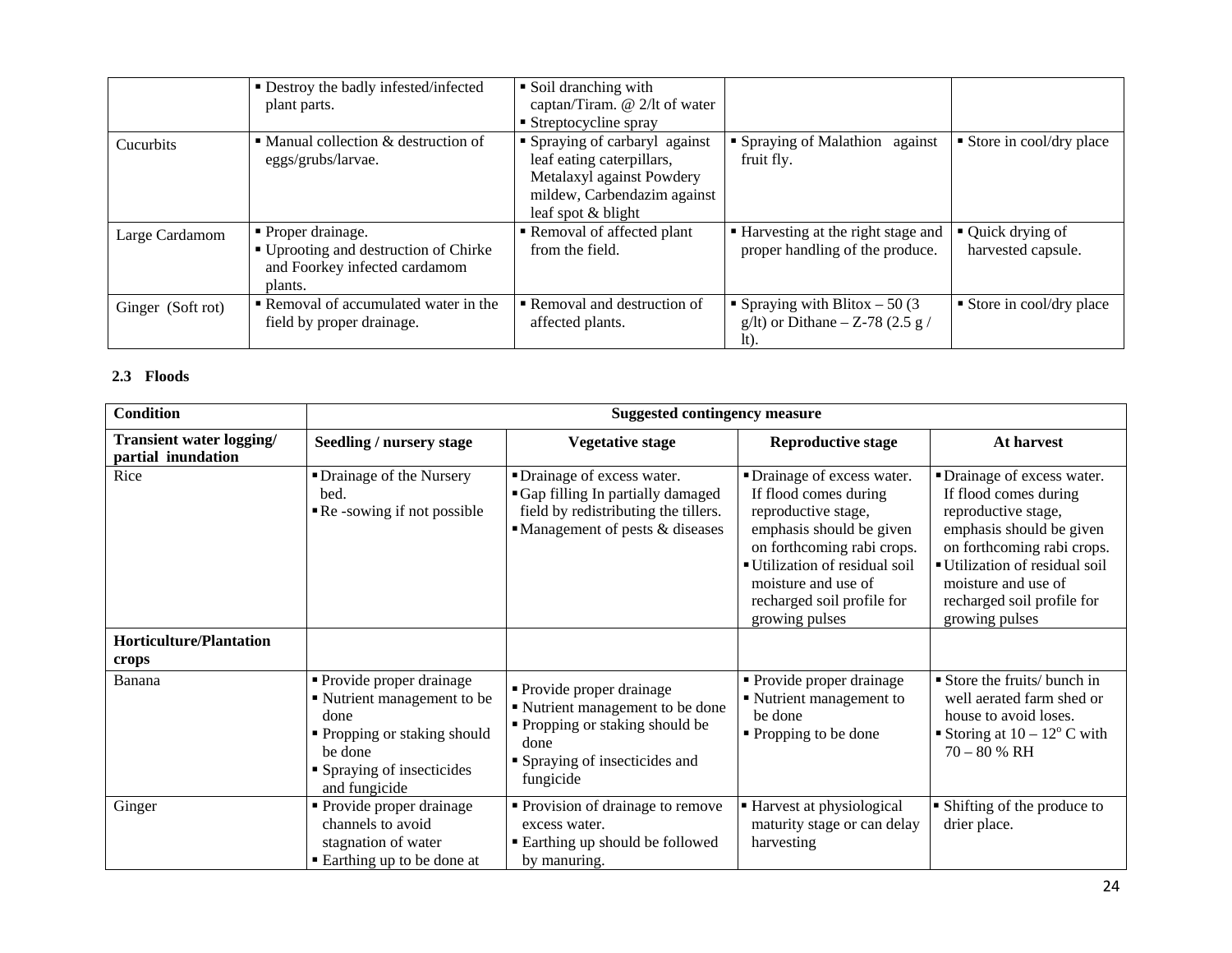|                   | • Destroy the badly infested/infected<br>plant parts.                                                   | • Soil dranching with<br>captan/Tiram. @ 2/lt of water<br>$\blacksquare$ Streptocycline spray                                                 |                                                                               |                                         |
|-------------------|---------------------------------------------------------------------------------------------------------|-----------------------------------------------------------------------------------------------------------------------------------------------|-------------------------------------------------------------------------------|-----------------------------------------|
| <b>Cucurbits</b>  | $\blacksquare$ Manual collection & destruction of<br>eggs/grubs/larvae.                                 | • Spraying of carbaryl against<br>leaf eating caterpillars,<br>Metalaxyl against Powdery<br>mildew, Carbendazim against<br>leaf spot & blight | • Spraying of Malathion against<br>fruit fly.                                 | Store in cool/dry place                 |
| Large Cardamom    | • Proper drainage.<br>■ Uprooting and destruction of Chirke<br>and Foorkey infected cardamom<br>plants. | Removal of affected plant<br>from the field.                                                                                                  | ■ Harvesting at the right stage and<br>proper handling of the produce.        | • Quick drying of<br>harvested capsule. |
| Ginger (Soft rot) | Removal of accumulated water in the<br>field by proper drainage.                                        | Removal and destruction of<br>affected plants.                                                                                                | • Spraying with Blitox $-50(3)$<br>g/lt) or Dithane $-Z$ -78 (2.5 g /<br>lt). | Store in cool/dry place                 |

#### **2.3 Floods**

| <b>Condition</b>                               |                                                                                                                                                            | <b>Suggested contingency measure</b>                                                                                                                    |                                                                                                                                                                                                                                              |                                                                                                                                                                                                                                                |
|------------------------------------------------|------------------------------------------------------------------------------------------------------------------------------------------------------------|---------------------------------------------------------------------------------------------------------------------------------------------------------|----------------------------------------------------------------------------------------------------------------------------------------------------------------------------------------------------------------------------------------------|------------------------------------------------------------------------------------------------------------------------------------------------------------------------------------------------------------------------------------------------|
| Transient water logging/<br>partial inundation | <b>Seedling / nursery stage</b>                                                                                                                            | <b>Vegetative stage</b>                                                                                                                                 | <b>Reproductive stage</b>                                                                                                                                                                                                                    | At harvest                                                                                                                                                                                                                                     |
| Rice                                           | • Drainage of the Nursery<br>bed.<br>Re-sowing if not possible                                                                                             | • Drainage of excess water.<br>Gap filling In partially damaged<br>field by redistributing the tillers.<br>• Management of pests & diseases             | • Drainage of excess water.<br>If flood comes during<br>reproductive stage,<br>emphasis should be given<br>on forthcoming rabi crops.<br>Utilization of residual soil<br>moisture and use of<br>recharged soil profile for<br>growing pulses | • Drainage of excess water.<br>If flood comes during<br>reproductive stage,<br>emphasis should be given<br>on forthcoming rabi crops.<br>■ Utilization of residual soil<br>moisture and use of<br>recharged soil profile for<br>growing pulses |
| <b>Horticulture/Plantation</b><br>crops        |                                                                                                                                                            |                                                                                                                                                         |                                                                                                                                                                                                                                              |                                                                                                                                                                                                                                                |
| Banana                                         | • Provide proper drainage<br>• Nutrient management to be<br>done<br>• Propping or staking should<br>be done<br>• Spraying of insecticides<br>and fungicide | • Provide proper drainage<br>■ Nutrient management to be done<br>• Propping or staking should be<br>done<br>• Spraying of insecticides and<br>fungicide | • Provide proper drainage<br>• Nutrient management to<br>be done<br>• Propping to be done                                                                                                                                                    | Store the fruits/ bunch in<br>well aerated farm shed or<br>house to avoid loses.<br>Storing at $10 - 12^{\circ}$ C with<br>$70 - 80 %$ RH                                                                                                      |
| Ginger                                         | • Provide proper drainage<br>channels to avoid<br>stagnation of water<br>■ Earthing up to be done at                                                       | • Provision of drainage to remove<br>excess water.<br>■ Earthing up should be followed<br>by manuring.                                                  | Harvest at physiological<br>maturity stage or can delay<br>harvesting                                                                                                                                                                        | • Shifting of the produce to<br>drier place.                                                                                                                                                                                                   |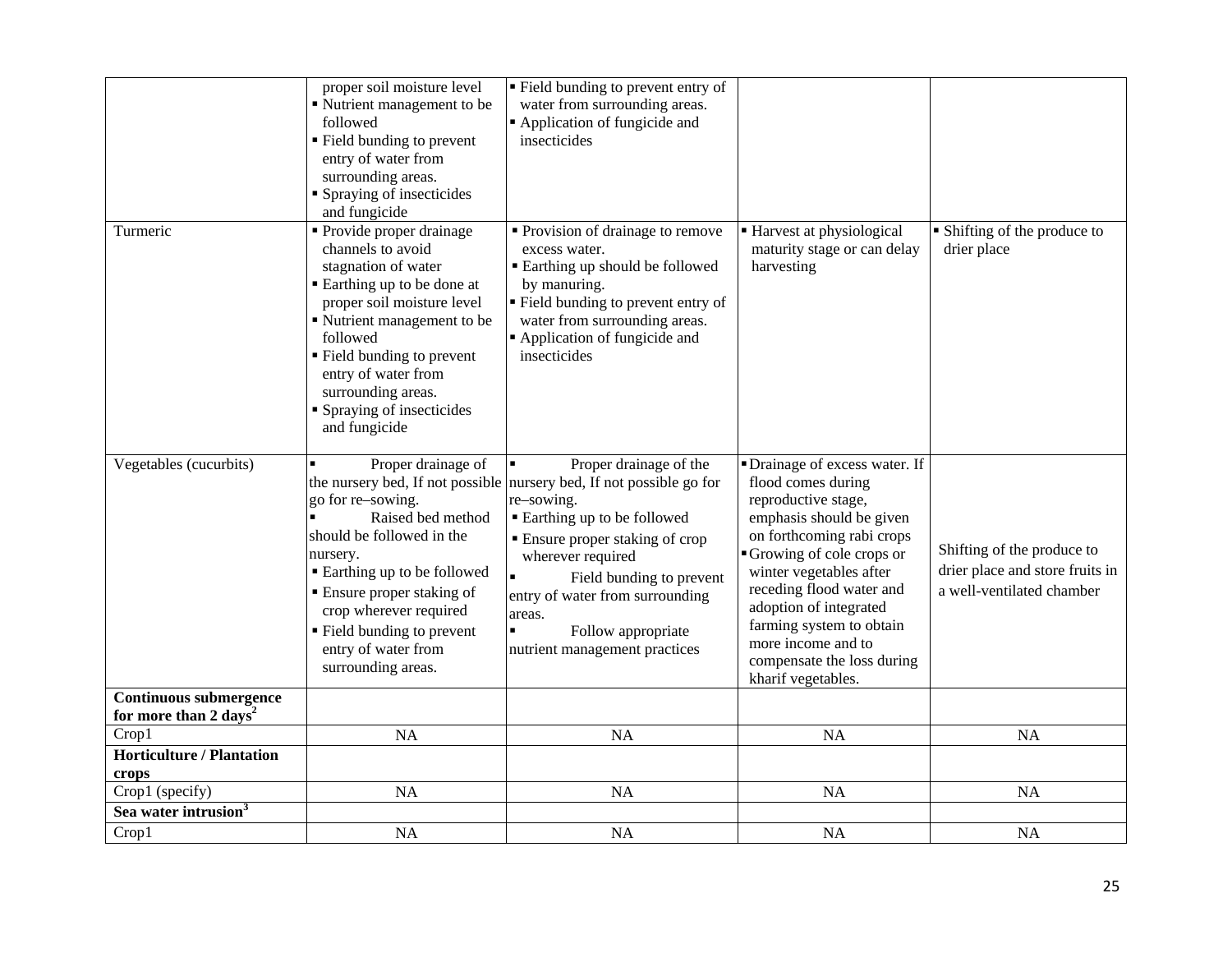|                                                             | proper soil moisture level<br>Nutrient management to be<br>followed<br>" Field bunding to prevent<br>entry of water from<br>surrounding areas.<br>Spraying of insecticides<br>and fungicide                                                                                                       | " Field bunding to prevent entry of<br>water from surrounding areas.<br>Application of fungicide and<br>insecticides                                                                                                                                                                                                                                        |                                                                                                                                                                                                                                                                                                                                                         |                                                                                            |
|-------------------------------------------------------------|---------------------------------------------------------------------------------------------------------------------------------------------------------------------------------------------------------------------------------------------------------------------------------------------------|-------------------------------------------------------------------------------------------------------------------------------------------------------------------------------------------------------------------------------------------------------------------------------------------------------------------------------------------------------------|---------------------------------------------------------------------------------------------------------------------------------------------------------------------------------------------------------------------------------------------------------------------------------------------------------------------------------------------------------|--------------------------------------------------------------------------------------------|
| Turmeric                                                    | • Provide proper drainage<br>channels to avoid<br>stagnation of water<br>Earthing up to be done at<br>proper soil moisture level<br>Nutrient management to be<br>followed<br>• Field bunding to prevent<br>entry of water from<br>surrounding areas.<br>Spraying of insecticides<br>and fungicide | • Provision of drainage to remove<br>excess water.<br><b>Earthing up should be followed</b><br>by manuring.<br>" Field bunding to prevent entry of<br>water from surrounding areas.<br>Application of fungicide and<br>insecticides                                                                                                                         | ■ Harvest at physiological<br>maturity stage or can delay<br>harvesting                                                                                                                                                                                                                                                                                 | • Shifting of the produce to<br>drier place                                                |
| Vegetables (cucurbits)                                      | Proper drainage of<br>go for re-sowing.<br>Raised bed method<br>should be followed in the<br>nursery.<br>■ Earthing up to be followed<br>• Ensure proper staking of<br>crop wherever required<br>• Field bunding to prevent<br>entry of water from<br>surrounding areas.                          | Proper drainage of the<br>the nursery bed, If not possible nursery bed, If not possible go for<br>re-sowing.<br>■ Earthing up to be followed<br><b>Ensure proper staking of crop</b><br>wherever required<br>$\blacksquare$<br>Field bunding to prevent<br>entry of water from surrounding<br>areas.<br>Follow appropriate<br>nutrient management practices | • Drainage of excess water. If<br>flood comes during<br>reproductive stage,<br>emphasis should be given<br>on forthcoming rabi crops<br>Growing of cole crops or<br>winter vegetables after<br>receding flood water and<br>adoption of integrated<br>farming system to obtain<br>more income and to<br>compensate the loss during<br>kharif vegetables. | Shifting of the produce to<br>drier place and store fruits in<br>a well-ventilated chamber |
| Continuous submergence<br>for more than 2 days <sup>2</sup> |                                                                                                                                                                                                                                                                                                   |                                                                                                                                                                                                                                                                                                                                                             |                                                                                                                                                                                                                                                                                                                                                         |                                                                                            |
| Crop1                                                       | <b>NA</b>                                                                                                                                                                                                                                                                                         | NA                                                                                                                                                                                                                                                                                                                                                          | NA                                                                                                                                                                                                                                                                                                                                                      | NA                                                                                         |
| <b>Horticulture / Plantation</b><br>crops                   |                                                                                                                                                                                                                                                                                                   |                                                                                                                                                                                                                                                                                                                                                             |                                                                                                                                                                                                                                                                                                                                                         |                                                                                            |
| Crop1 (specify)                                             | NA                                                                                                                                                                                                                                                                                                | NA                                                                                                                                                                                                                                                                                                                                                          | NA                                                                                                                                                                                                                                                                                                                                                      | NA                                                                                         |
| Sea water intrusion <sup>3</sup>                            |                                                                                                                                                                                                                                                                                                   |                                                                                                                                                                                                                                                                                                                                                             |                                                                                                                                                                                                                                                                                                                                                         |                                                                                            |
| Crop1                                                       | NA                                                                                                                                                                                                                                                                                                | NA                                                                                                                                                                                                                                                                                                                                                          | <b>NA</b>                                                                                                                                                                                                                                                                                                                                               | <b>NA</b>                                                                                  |
|                                                             |                                                                                                                                                                                                                                                                                                   |                                                                                                                                                                                                                                                                                                                                                             |                                                                                                                                                                                                                                                                                                                                                         |                                                                                            |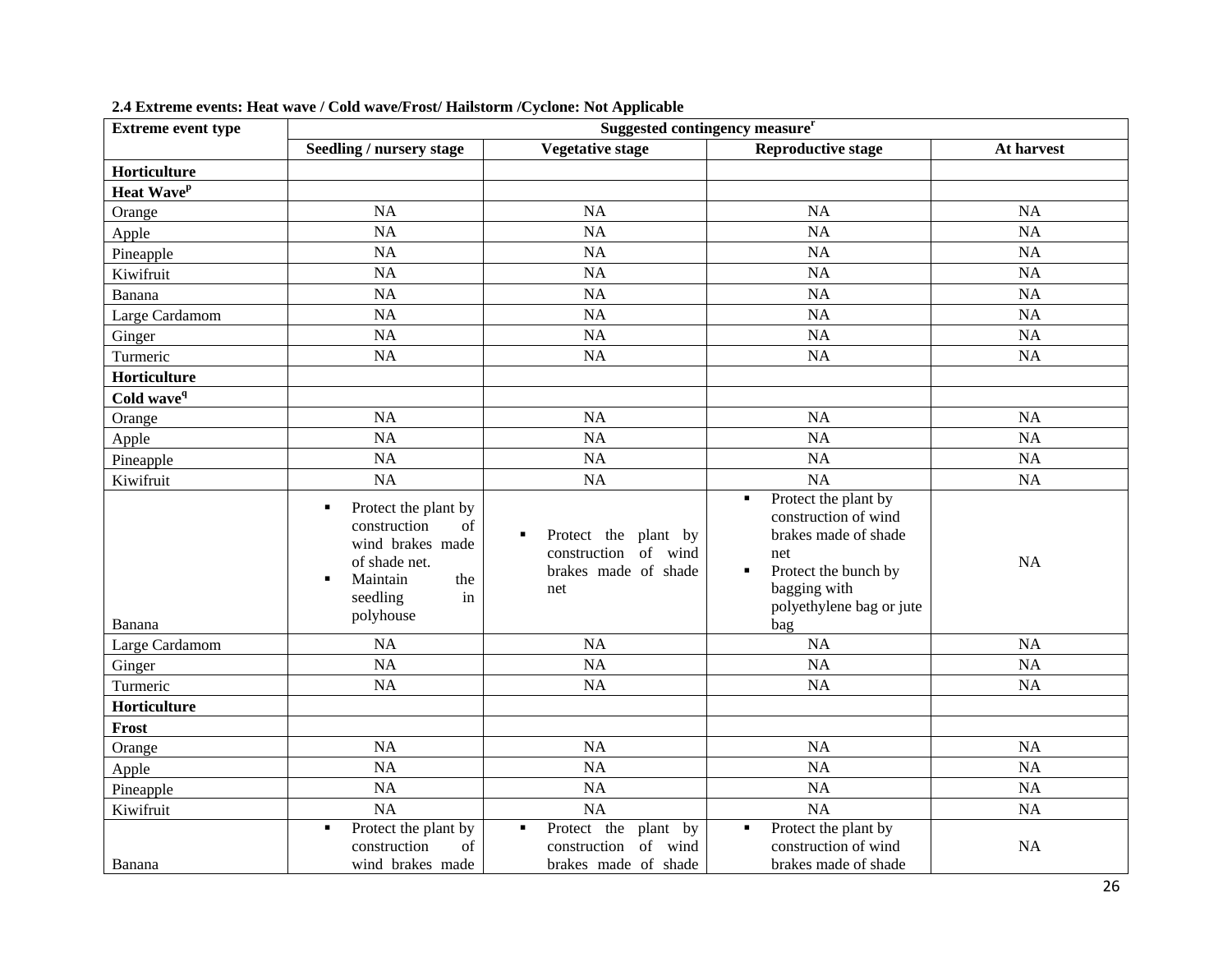| <b>Extreme event type</b> | Suggested contingency measure <sup>r</sup>                                                                                                                     |                                                                                                     |                                                                                                                                                                               |            |
|---------------------------|----------------------------------------------------------------------------------------------------------------------------------------------------------------|-----------------------------------------------------------------------------------------------------|-------------------------------------------------------------------------------------------------------------------------------------------------------------------------------|------------|
|                           | Seedling / nursery stage                                                                                                                                       | <b>Vegetative stage</b>                                                                             | <b>Reproductive stage</b>                                                                                                                                                     | At harvest |
| Horticulture              |                                                                                                                                                                |                                                                                                     |                                                                                                                                                                               |            |
| Heat Wave <sup>p</sup>    |                                                                                                                                                                |                                                                                                     |                                                                                                                                                                               |            |
| Orange                    | <b>NA</b>                                                                                                                                                      | <b>NA</b>                                                                                           | <b>NA</b>                                                                                                                                                                     | <b>NA</b>  |
| Apple                     | <b>NA</b>                                                                                                                                                      | <b>NA</b>                                                                                           | <b>NA</b>                                                                                                                                                                     | <b>NA</b>  |
| Pineapple                 | <b>NA</b>                                                                                                                                                      | <b>NA</b>                                                                                           | NA                                                                                                                                                                            | <b>NA</b>  |
| Kiwifruit                 | <b>NA</b>                                                                                                                                                      | <b>NA</b>                                                                                           | NA                                                                                                                                                                            | <b>NA</b>  |
| Banana                    | <b>NA</b>                                                                                                                                                      | <b>NA</b>                                                                                           | <b>NA</b>                                                                                                                                                                     | <b>NA</b>  |
| Large Cardamom            | <b>NA</b>                                                                                                                                                      | <b>NA</b>                                                                                           | <b>NA</b>                                                                                                                                                                     | <b>NA</b>  |
| Ginger                    | NA                                                                                                                                                             | <b>NA</b>                                                                                           | NA                                                                                                                                                                            | <b>NA</b>  |
| Turmeric                  | <b>NA</b>                                                                                                                                                      | <b>NA</b>                                                                                           | <b>NA</b>                                                                                                                                                                     | <b>NA</b>  |
| Horticulture              |                                                                                                                                                                |                                                                                                     |                                                                                                                                                                               |            |
| Cold wave <sup>q</sup>    |                                                                                                                                                                |                                                                                                     |                                                                                                                                                                               |            |
| Orange                    | NA                                                                                                                                                             | <b>NA</b>                                                                                           | NA                                                                                                                                                                            | <b>NA</b>  |
| Apple                     | <b>NA</b>                                                                                                                                                      | <b>NA</b>                                                                                           | <b>NA</b>                                                                                                                                                                     | <b>NA</b>  |
| Pineapple                 | <b>NA</b>                                                                                                                                                      | <b>NA</b>                                                                                           | NA                                                                                                                                                                            | <b>NA</b>  |
| Kiwifruit                 | <b>NA</b>                                                                                                                                                      | <b>NA</b>                                                                                           | NA                                                                                                                                                                            | <b>NA</b>  |
| Banana                    | Protect the plant by<br>٠<br>construction<br>$\sigma$<br>wind brakes made<br>of shade net.<br>Maintain<br>the<br>$\blacksquare$<br>seedling<br>in<br>polyhouse | Protect the plant by<br>$\blacksquare$<br>of<br>wind<br>construction<br>brakes made of shade<br>net | Protect the plant by<br>$\blacksquare$<br>construction of wind<br>brakes made of shade<br>net<br>Protect the bunch by<br>٠<br>bagging with<br>polyethylene bag or jute<br>bag | <b>NA</b>  |
| Large Cardamom            | NA                                                                                                                                                             | <b>NA</b>                                                                                           | NA                                                                                                                                                                            | <b>NA</b>  |
| Ginger                    | <b>NA</b>                                                                                                                                                      | <b>NA</b>                                                                                           | <b>NA</b>                                                                                                                                                                     | <b>NA</b>  |
| Turmeric                  | <b>NA</b>                                                                                                                                                      | <b>NA</b>                                                                                           | <b>NA</b>                                                                                                                                                                     | <b>NA</b>  |
| Horticulture              |                                                                                                                                                                |                                                                                                     |                                                                                                                                                                               |            |
| Frost                     |                                                                                                                                                                |                                                                                                     |                                                                                                                                                                               |            |
| Orange                    | <b>NA</b>                                                                                                                                                      | <b>NA</b>                                                                                           | <b>NA</b>                                                                                                                                                                     | <b>NA</b>  |
| Apple                     | <b>NA</b>                                                                                                                                                      | <b>NA</b>                                                                                           | <b>NA</b>                                                                                                                                                                     | <b>NA</b>  |
| Pineapple                 | <b>NA</b>                                                                                                                                                      | <b>NA</b>                                                                                           | <b>NA</b>                                                                                                                                                                     | <b>NA</b>  |
| Kiwifruit                 | <b>NA</b>                                                                                                                                                      | <b>NA</b>                                                                                           | <b>NA</b>                                                                                                                                                                     | <b>NA</b>  |
| Banana                    | Protect the plant by<br>٠<br>construction<br>of<br>wind brakes made                                                                                            | Protect the plant by<br>$\blacksquare$<br>of wind<br>construction<br>brakes made of shade           | Protect the plant by<br>$\blacksquare$<br>construction of wind<br>brakes made of shade                                                                                        | <b>NA</b>  |

# **2.4 Extreme events: Heat wave / Cold wave/Frost/ Hailstorm /Cyclone: Not Applicable**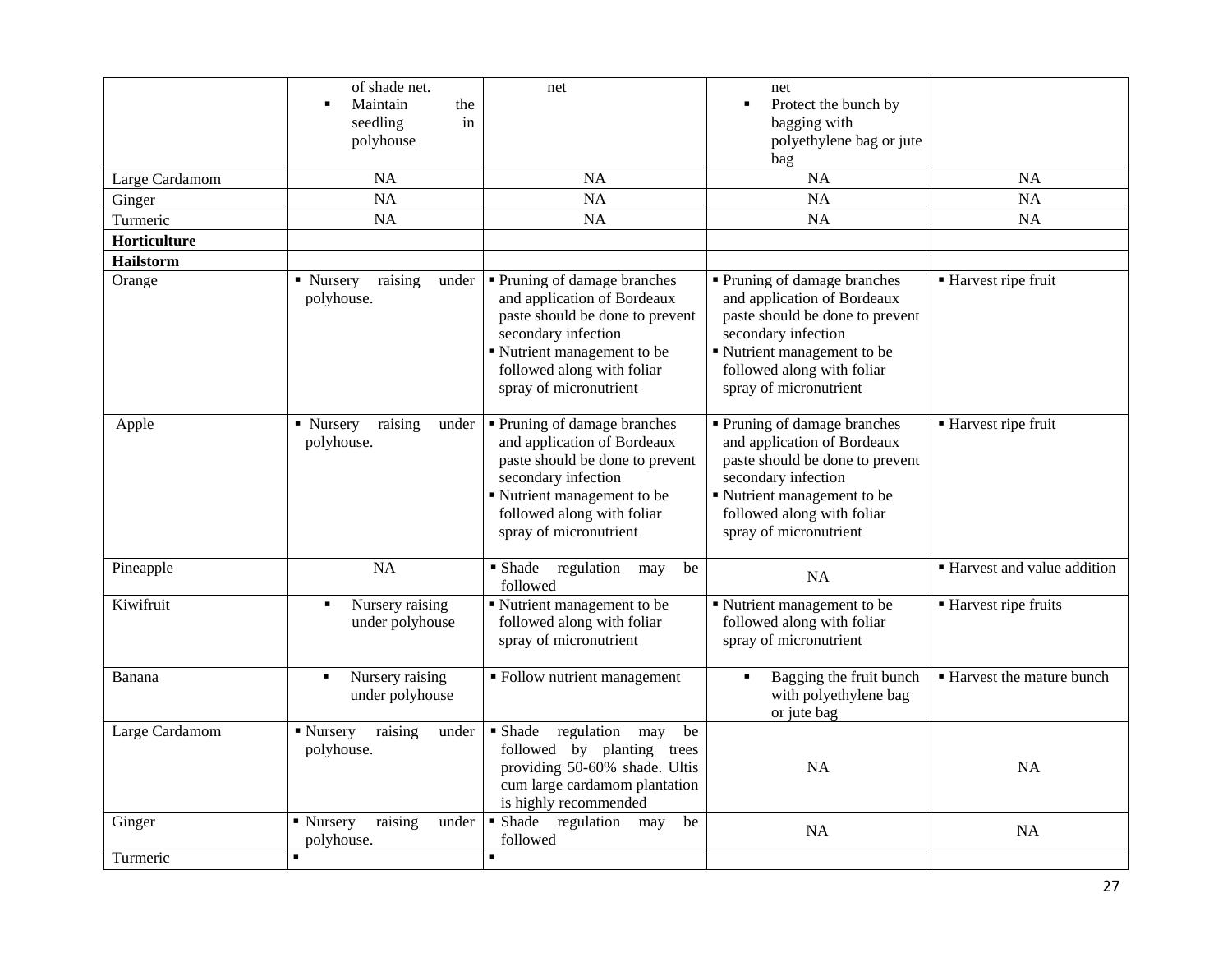|                  | of shade net.<br>Maintain<br>the<br>seedling<br>in<br>polyhouse | net                                                                                                                                                                                                        | net<br>Protect the bunch by<br>$\blacksquare$<br>bagging with<br>polyethylene bag or jute<br>bag                                                                                                           |                                 |
|------------------|-----------------------------------------------------------------|------------------------------------------------------------------------------------------------------------------------------------------------------------------------------------------------------------|------------------------------------------------------------------------------------------------------------------------------------------------------------------------------------------------------------|---------------------------------|
| Large Cardamom   | NA                                                              | NA                                                                                                                                                                                                         | NA                                                                                                                                                                                                         | <b>NA</b>                       |
| Ginger           | <b>NA</b>                                                       | NA                                                                                                                                                                                                         | NA                                                                                                                                                                                                         | <b>NA</b>                       |
| Turmeric         | <b>NA</b>                                                       | <b>NA</b>                                                                                                                                                                                                  | <b>NA</b>                                                                                                                                                                                                  | <b>NA</b>                       |
| Horticulture     |                                                                 |                                                                                                                                                                                                            |                                                                                                                                                                                                            |                                 |
| <b>Hailstorm</b> |                                                                 |                                                                                                                                                                                                            |                                                                                                                                                                                                            |                                 |
| Orange           | raising<br>• Nursery<br>under<br>polyhouse.                     | • Pruning of damage branches<br>and application of Bordeaux<br>paste should be done to prevent<br>secondary infection<br>Nutrient management to be<br>followed along with foliar<br>spray of micronutrient | • Pruning of damage branches<br>and application of Bordeaux<br>paste should be done to prevent<br>secondary infection<br>Nutrient management to be<br>followed along with foliar<br>spray of micronutrient | ■ Harvest ripe fruit            |
| Apple            | raising<br>• Nursery<br>under<br>polyhouse.                     | • Pruning of damage branches<br>and application of Bordeaux<br>paste should be done to prevent<br>secondary infection<br>Nutrient management to be<br>followed along with foliar<br>spray of micronutrient | Pruning of damage branches<br>and application of Bordeaux<br>paste should be done to prevent<br>secondary infection<br>Nutrient management to be<br>followed along with foliar<br>spray of micronutrient   | Harvest ripe fruit              |
| Pineapple        | <b>NA</b>                                                       | · Shade regulation<br>be<br>may<br>followed                                                                                                                                                                | <b>NA</b>                                                                                                                                                                                                  | • Harvest and value addition    |
| Kiwifruit        | Nursery raising<br>٠<br>under polyhouse                         | " Nutrient management to be<br>followed along with foliar<br>spray of micronutrient                                                                                                                        | Nutrient management to be<br>followed along with foliar<br>spray of micronutrient                                                                                                                          | ■ Harvest ripe fruits           |
| Banana           | Nursery raising<br>٠<br>under polyhouse                         | • Follow nutrient management                                                                                                                                                                               | Bagging the fruit bunch<br>with polyethylene bag<br>or jute bag                                                                                                                                            | <b>Harvest the mature bunch</b> |
| Large Cardamom   | ■ Nursery<br>raising<br>under<br>polyhouse.                     | • Shade<br>regulation<br>be<br>may<br>followed by planting trees<br>providing 50-60% shade. Ultis<br>cum large cardamom plantation<br>is highly recommended                                                | NA                                                                                                                                                                                                         | NA                              |
| Ginger           | • Nursery<br>raising<br>under<br>polyhouse.                     | Shade regulation<br>be<br>may<br>followed                                                                                                                                                                  | NA                                                                                                                                                                                                         | <b>NA</b>                       |
| Turmeric         | П                                                               | $\blacksquare$                                                                                                                                                                                             |                                                                                                                                                                                                            |                                 |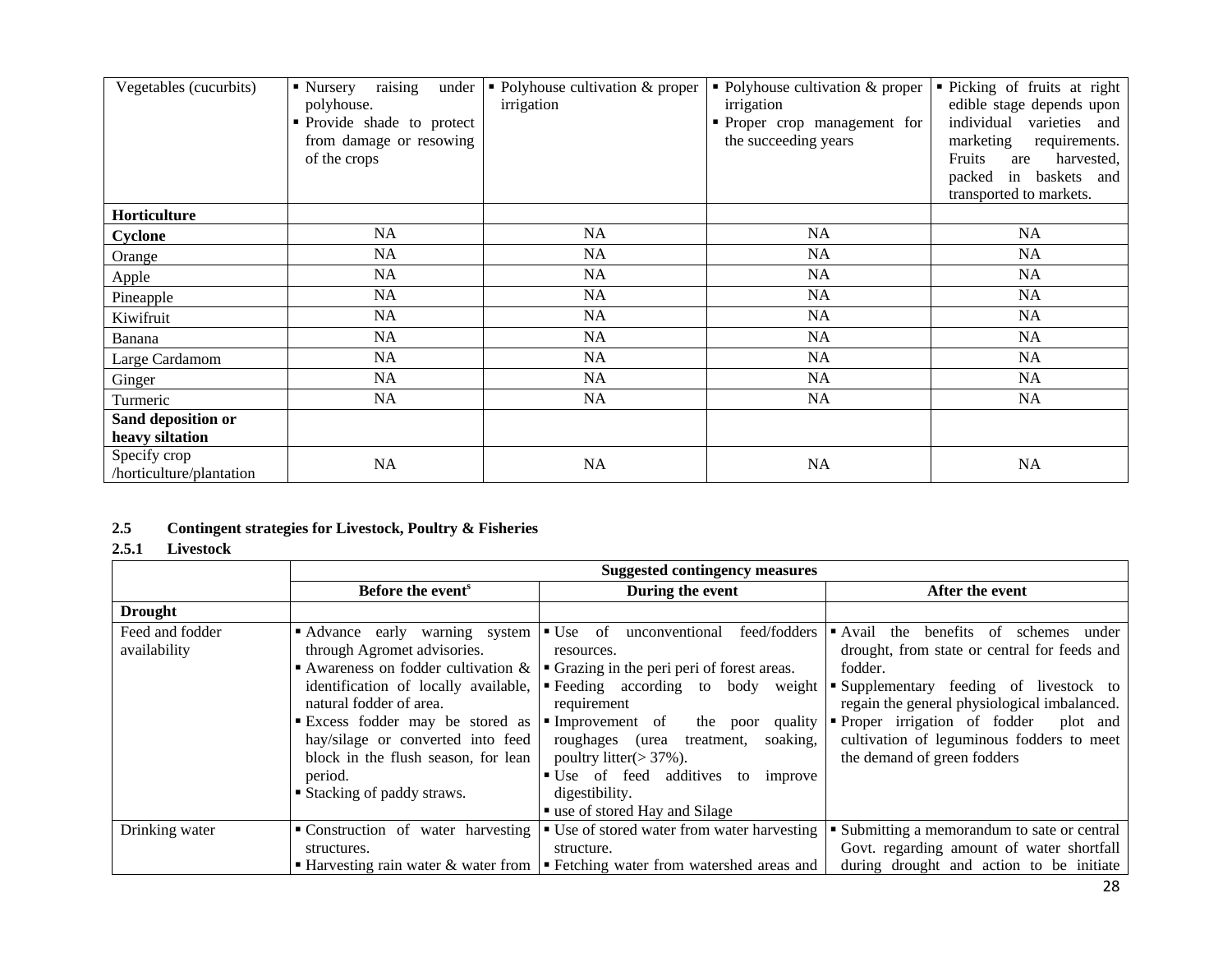| Vegetables (cucurbits)                   | raising<br>• Nursery<br>under<br>polyhouse.<br>• Provide shade to protect<br>from damage or resowing<br>of the crops | • Polyhouse cultivation $&$ proper<br>irrigation | • Polyhouse cultivation $&$ proper<br>irrigation<br>• Proper crop management for<br>the succeeding years | • Picking of fruits at right<br>edible stage depends upon<br>individual<br>varieties and<br>marketing<br>requirements.<br>Fruits<br>are<br>harvested,<br>in<br>baskets and<br>packed<br>transported to markets. |
|------------------------------------------|----------------------------------------------------------------------------------------------------------------------|--------------------------------------------------|----------------------------------------------------------------------------------------------------------|-----------------------------------------------------------------------------------------------------------------------------------------------------------------------------------------------------------------|
| Horticulture                             |                                                                                                                      |                                                  |                                                                                                          |                                                                                                                                                                                                                 |
| Cyclone                                  | <b>NA</b>                                                                                                            | <b>NA</b>                                        | <b>NA</b>                                                                                                | <b>NA</b>                                                                                                                                                                                                       |
| Orange                                   | <b>NA</b>                                                                                                            | <b>NA</b>                                        | NA                                                                                                       | <b>NA</b>                                                                                                                                                                                                       |
| Apple                                    | NA                                                                                                                   | <b>NA</b>                                        | NA                                                                                                       | <b>NA</b>                                                                                                                                                                                                       |
| Pineapple                                | NA                                                                                                                   | <b>NA</b>                                        | <b>NA</b>                                                                                                | <b>NA</b>                                                                                                                                                                                                       |
| Kiwifruit                                | <b>NA</b>                                                                                                            | <b>NA</b>                                        | NA                                                                                                       | NA                                                                                                                                                                                                              |
| Banana                                   | NA                                                                                                                   | NA                                               | NA                                                                                                       | NA                                                                                                                                                                                                              |
| Large Cardamom                           | NA                                                                                                                   | NA                                               | NA                                                                                                       | NA                                                                                                                                                                                                              |
| Ginger                                   | NA                                                                                                                   | NA                                               | NA                                                                                                       | <b>NA</b>                                                                                                                                                                                                       |
| Turmeric                                 | NA                                                                                                                   | NA                                               | NA                                                                                                       | <b>NA</b>                                                                                                                                                                                                       |
| Sand deposition or                       |                                                                                                                      |                                                  |                                                                                                          |                                                                                                                                                                                                                 |
| heavy siltation                          |                                                                                                                      |                                                  |                                                                                                          |                                                                                                                                                                                                                 |
| Specify crop<br>/horticulture/plantation | <b>NA</b>                                                                                                            | NA                                               | <b>NA</b>                                                                                                | <b>NA</b>                                                                                                                                                                                                       |

# **2.5 Contingent strategies for Livestock, Poultry & Fisheries**

# **2.5.1 Livestock**

|                                 | <b>Suggested contingency measures</b>                                                                                                                                                                                                                                           |                                                                                                                                                                                                                                                                                                                                                                                                                       |                                                                                                                                                                                                                                                                                                                              |  |
|---------------------------------|---------------------------------------------------------------------------------------------------------------------------------------------------------------------------------------------------------------------------------------------------------------------------------|-----------------------------------------------------------------------------------------------------------------------------------------------------------------------------------------------------------------------------------------------------------------------------------------------------------------------------------------------------------------------------------------------------------------------|------------------------------------------------------------------------------------------------------------------------------------------------------------------------------------------------------------------------------------------------------------------------------------------------------------------------------|--|
|                                 | Before the event <sup>s</sup>                                                                                                                                                                                                                                                   | During the event                                                                                                                                                                                                                                                                                                                                                                                                      | After the event                                                                                                                                                                                                                                                                                                              |  |
| <b>Drought</b>                  |                                                                                                                                                                                                                                                                                 |                                                                                                                                                                                                                                                                                                                                                                                                                       |                                                                                                                                                                                                                                                                                                                              |  |
| Feed and fodder<br>availability | Advance early warning system<br>through Agromet advisories.<br>identification of locally available,<br>natural fodder of area.<br>Excess fodder may be stored as $\blacksquare$ Improvement of<br>block in the flush season, for lean<br>period.<br>■ Stacking of paddy straws. | $\blacksquare$ Use of<br>feed/fodders<br>unconventional<br>resources.<br>Awareness on fodder cultivation $\& \vert \cdot \vert$ Grazing in the peri peri of forest areas.<br>• Feeding according to body weight<br>requirement<br>the poor<br>quality<br>hay/silage or converted into feed   roughages (urea treatment, soaking,<br>poultry litter( $>$ 37%).<br>• Use of feed additives to improve<br>digestibility. | benefits<br>schemes<br>the<br>under<br>■ Avail<br>of<br>drought, from state or central for feeds and<br>fodder.<br>Supplementary feeding of livestock to<br>regain the general physiological imbalanced.<br>Proper irrigation of fodder plot and<br>cultivation of leguminous fodders to meet<br>the demand of green fodders |  |
|                                 |                                                                                                                                                                                                                                                                                 | ■ use of stored Hay and Silage                                                                                                                                                                                                                                                                                                                                                                                        |                                                                                                                                                                                                                                                                                                                              |  |
| Drinking water                  |                                                                                                                                                                                                                                                                                 | • Construction of water harvesting • Use of stored water from water harvesting                                                                                                                                                                                                                                                                                                                                        | • Submitting a memorandum to sate or central                                                                                                                                                                                                                                                                                 |  |
|                                 | structures.                                                                                                                                                                                                                                                                     | structure.                                                                                                                                                                                                                                                                                                                                                                                                            | Govt. regarding amount of water shortfall                                                                                                                                                                                                                                                                                    |  |
|                                 |                                                                                                                                                                                                                                                                                 | <b>Harvesting rain water &amp; water from <math>\vert \cdot \vert</math></b> Fetching water from watershed areas and                                                                                                                                                                                                                                                                                                  | during drought and action to be initiate                                                                                                                                                                                                                                                                                     |  |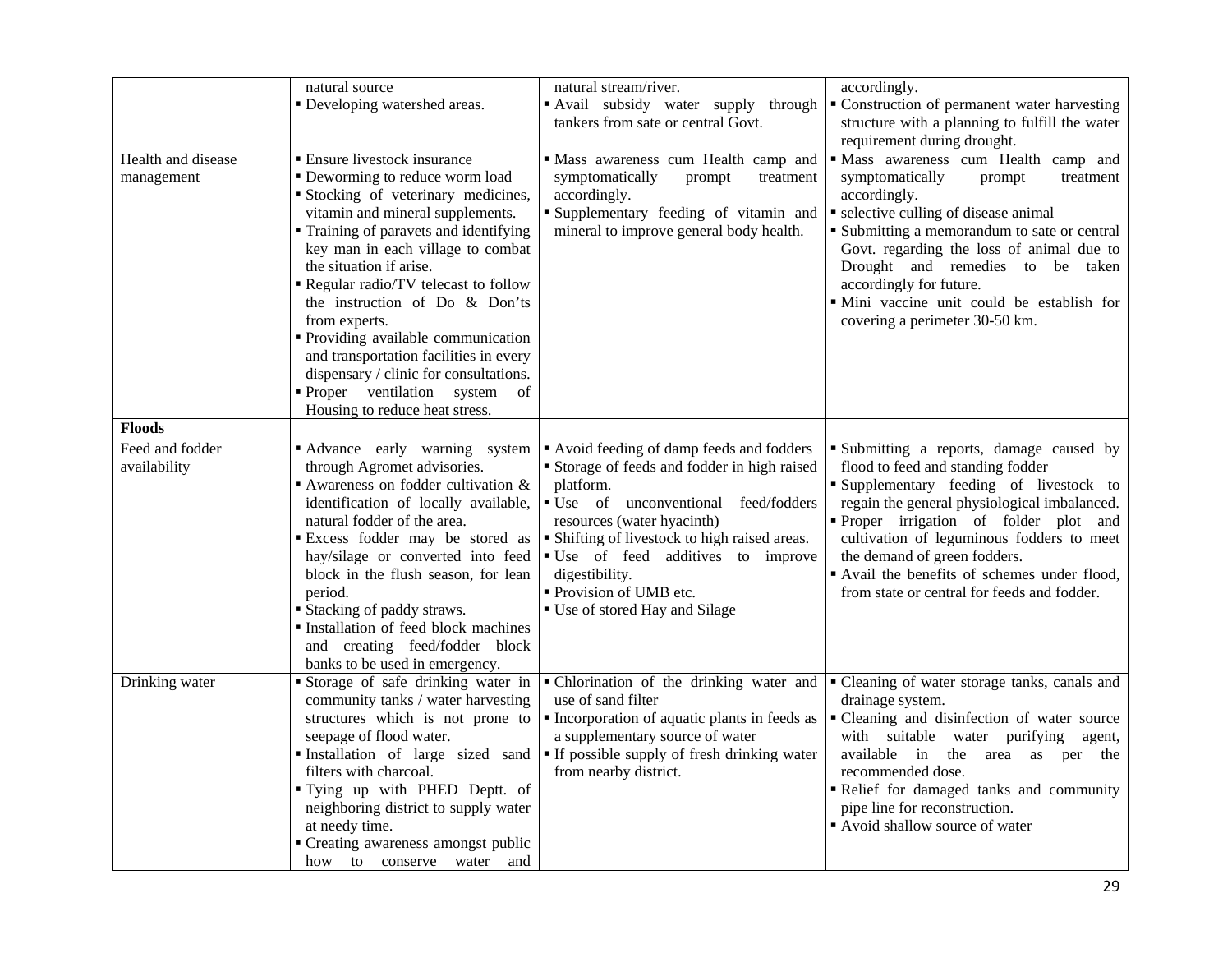|                                  | natural source<br>• Developing watershed areas.                                                                                                                                                                                                                                                                                                                                                                                                                                                                                              | natural stream/river.<br>Avail subsidy water supply through                                                                                                                                                                                                                                        | accordingly.<br>• Construction of permanent water harvesting                                                                                                                                                                                                                                                                                                                    |
|----------------------------------|----------------------------------------------------------------------------------------------------------------------------------------------------------------------------------------------------------------------------------------------------------------------------------------------------------------------------------------------------------------------------------------------------------------------------------------------------------------------------------------------------------------------------------------------|----------------------------------------------------------------------------------------------------------------------------------------------------------------------------------------------------------------------------------------------------------------------------------------------------|---------------------------------------------------------------------------------------------------------------------------------------------------------------------------------------------------------------------------------------------------------------------------------------------------------------------------------------------------------------------------------|
|                                  |                                                                                                                                                                                                                                                                                                                                                                                                                                                                                                                                              | tankers from sate or central Govt.                                                                                                                                                                                                                                                                 | structure with a planning to fulfill the water                                                                                                                                                                                                                                                                                                                                  |
|                                  |                                                                                                                                                                                                                                                                                                                                                                                                                                                                                                                                              |                                                                                                                                                                                                                                                                                                    | requirement during drought.                                                                                                                                                                                                                                                                                                                                                     |
| Health and disease<br>management | ■ Ensure livestock insurance<br>• Deworming to reduce worm load<br>Stocking of veterinary medicines,<br>vitamin and mineral supplements.<br>• Training of paravets and identifying<br>key man in each village to combat<br>the situation if arise.<br>Regular radio/TV telecast to follow<br>the instruction of Do & Don'ts<br>from experts.<br>· Providing available communication<br>and transportation facilities in every<br>dispensary / clinic for consultations.<br>Proper ventilation system<br>of<br>Housing to reduce heat stress. | " Mass awareness cum Health camp and<br>symptomatically<br>prompt<br>treatment<br>accordingly.<br>"Supplementary feeding of vitamin and<br>mineral to improve general body health.                                                                                                                 | Mass awareness cum Health camp and<br>symptomatically<br>prompt<br>treatment<br>accordingly.<br>• selective culling of disease animal<br>Submitting a memorandum to sate or central<br>Govt. regarding the loss of animal due to<br>Drought and remedies to be taken<br>accordingly for future.<br>· Mini vaccine unit could be establish for<br>covering a perimeter 30-50 km. |
| <b>Floods</b>                    |                                                                                                                                                                                                                                                                                                                                                                                                                                                                                                                                              |                                                                                                                                                                                                                                                                                                    |                                                                                                                                                                                                                                                                                                                                                                                 |
| Feed and fodder                  | Advance early warning system                                                                                                                                                                                                                                                                                                                                                                                                                                                                                                                 | Avoid feeding of damp feeds and fodders                                                                                                                                                                                                                                                            | Submitting a reports, damage caused by                                                                                                                                                                                                                                                                                                                                          |
| availability                     | through Agromet advisories.<br>Awareness on fodder cultivation $\&$<br>identification of locally available,<br>natural fodder of the area.<br><b>Excess fodder may be stored as</b><br>hay/silage or converted into feed<br>block in the flush season, for lean<br>period.<br><b>Stacking of paddy straws.</b><br>Installation of feed block machines<br>and creating feed/fodder block<br>banks to be used in emergency.                                                                                                                    | Storage of feeds and fodder in high raised<br>platform.<br>• Use of unconventional feed/fodders<br>resources (water hyacinth)<br>• Shifting of livestock to high raised areas.<br>"Use of feed additives to improve<br>digestibility.<br>• Provision of UMB etc.<br>■ Use of stored Hay and Silage | flood to feed and standing fodder<br>Supplementary feeding of livestock to<br>regain the general physiological imbalanced.<br>Proper irrigation of folder plot and<br>cultivation of leguminous fodders to meet<br>the demand of green fodders.<br>" Avail the benefits of schemes under flood,<br>from state or central for feeds and fodder.                                  |
| Drinking water                   | Storage of safe drinking water in<br>community tanks / water harvesting<br>structures which is not prone to<br>seepage of flood water.<br>Installation of large sized sand<br>filters with charcoal.<br>"Tying up with PHED Deptt. of<br>neighboring district to supply water<br>at needy time.<br>• Creating awareness amongst public<br>how to conserve water and                                                                                                                                                                          | · Chlorination of the drinking water and<br>use of sand filter<br>• Incorporation of aquatic plants in feeds as<br>a supplementary source of water<br>If possible supply of fresh drinking water<br>from nearby district.                                                                          | • Cleaning of water storage tanks, canals and<br>drainage system.<br>• Cleaning and disinfection of water source<br>with suitable water purifying<br>agent,<br>available in<br>the area as per the<br>recommended dose.<br>Relief for damaged tanks and community<br>pipe line for reconstruction.<br>Avoid shallow source of water                                             |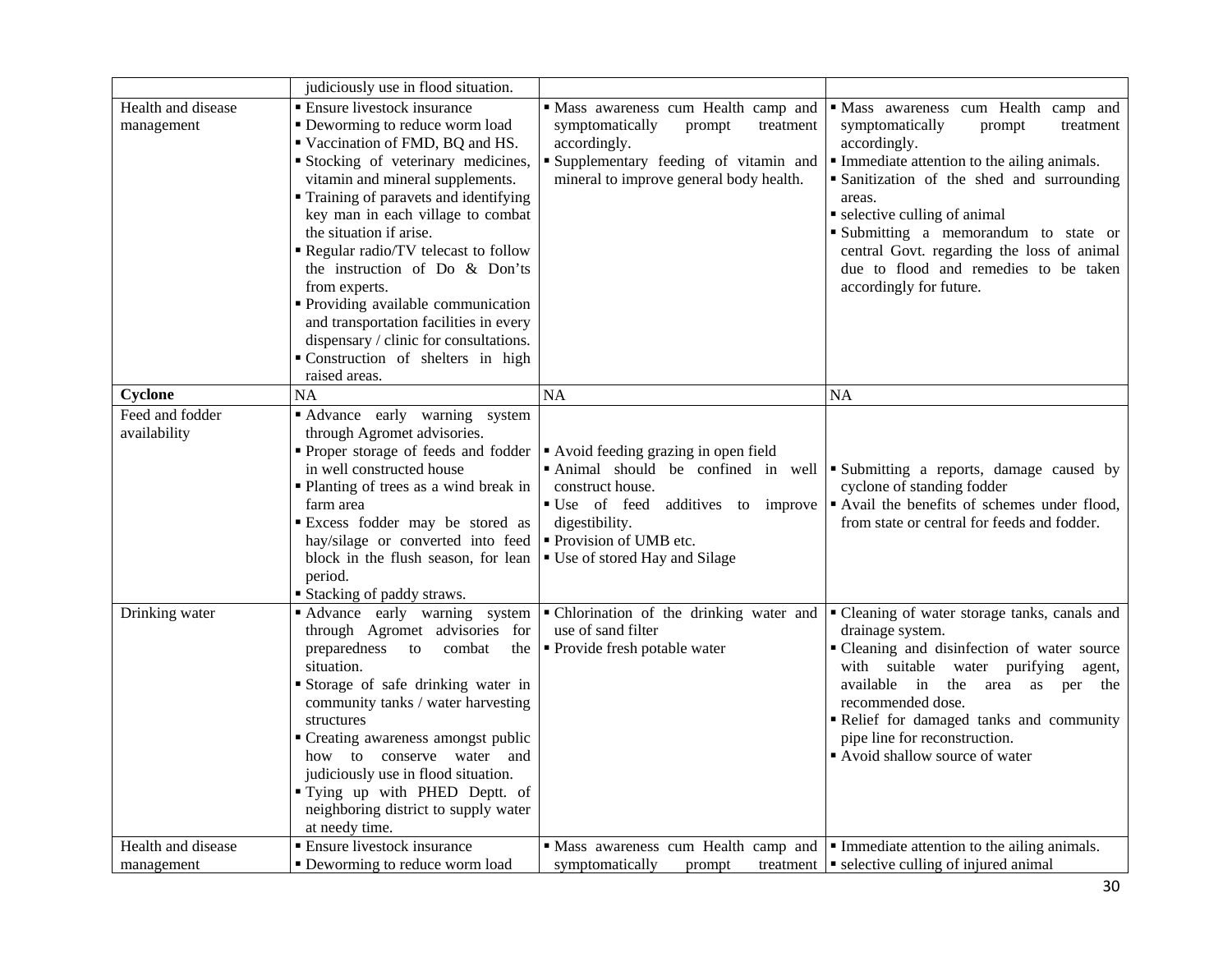|                                  | judiciously use in flood situation.                                                                                                                                                                                                                                                                                                                                                                                                                                                                                                                                 |                                                                                                                                                                                                                   |                                                                                                                                                                                                                                                                                                                                                                                                |
|----------------------------------|---------------------------------------------------------------------------------------------------------------------------------------------------------------------------------------------------------------------------------------------------------------------------------------------------------------------------------------------------------------------------------------------------------------------------------------------------------------------------------------------------------------------------------------------------------------------|-------------------------------------------------------------------------------------------------------------------------------------------------------------------------------------------------------------------|------------------------------------------------------------------------------------------------------------------------------------------------------------------------------------------------------------------------------------------------------------------------------------------------------------------------------------------------------------------------------------------------|
| Health and disease<br>management | <b>Ensure livestock insurance</b><br>• Deworming to reduce worm load<br>Vaccination of FMD, BQ and HS.<br>Stocking of veterinary medicines,<br>vitamin and mineral supplements.<br>• Training of paravets and identifying<br>key man in each village to combat<br>the situation if arise.<br>Regular radio/TV telecast to follow<br>the instruction of Do & Don'ts<br>from experts.<br>• Providing available communication<br>and transportation facilities in every<br>dispensary / clinic for consultations.<br>Construction of shelters in high<br>raised areas. | · Mass awareness cum Health camp and<br>symptomatically<br>prompt<br>treatment<br>accordingly.<br>Supplementary feeding of vitamin and<br>mineral to improve general body health.                                 | · Mass awareness cum Health camp and<br>symptomatically<br>prompt<br>treatment<br>accordingly.<br>Immediate attention to the ailing animals.<br>• Sanitization of the shed and surrounding<br>areas.<br>• selective culling of animal<br>Submitting a memorandum to state or<br>central Govt. regarding the loss of animal<br>due to flood and remedies to be taken<br>accordingly for future. |
| Cyclone                          | NA                                                                                                                                                                                                                                                                                                                                                                                                                                                                                                                                                                  | <b>NA</b>                                                                                                                                                                                                         | <b>NA</b>                                                                                                                                                                                                                                                                                                                                                                                      |
| Feed and fodder<br>availability  | Advance early warning system<br>through Agromet advisories.<br>Proper storage of feeds and fodder<br>in well constructed house<br>• Planting of trees as a wind break in<br>farm area<br>Excess fodder may be stored as<br>hay/silage or converted into feed<br>block in the flush season, for lean<br>period.<br><b>Stacking of paddy straws.</b>                                                                                                                                                                                                                  | Avoid feeding grazing in open field<br>Animal should be confined in well<br>construct house.<br>" Use of feed additives to improve<br>digestibility.<br>• Provision of UMB etc.<br>■ Use of stored Hay and Silage | Submitting a reports, damage caused by<br>cyclone of standing fodder<br>" Avail the benefits of schemes under flood,<br>from state or central for feeds and fodder.                                                                                                                                                                                                                            |
| Drinking water                   | Advance early warning system<br>through Agromet advisories for<br>preparedness<br>combat<br>to<br>the<br>situation.<br>Storage of safe drinking water in<br>community tanks / water harvesting<br>structures<br>• Creating awareness amongst public<br>how to conserve water and<br>judiciously use in flood situation.<br>"Tying up with PHED Deptt. of<br>neighboring district to supply water<br>at needy time.                                                                                                                                                  | · Chlorination of the drinking water and<br>use of sand filter<br>• Provide fresh potable water                                                                                                                   | " Cleaning of water storage tanks, canals and<br>drainage system.<br>• Cleaning and disinfection of water source<br>with suitable water purifying agent,<br>available in<br>the area as per the<br>recommended dose.<br>Relief for damaged tanks and community<br>pipe line for reconstruction.<br>Avoid shallow source of water                                                               |
| Health and disease               | <b>Ensure livestock insurance</b>                                                                                                                                                                                                                                                                                                                                                                                                                                                                                                                                   | $\blacksquare$ Mass awareness cum Health camp and $\blacksquare$ Immediate attention to the ailing animals.                                                                                                       |                                                                                                                                                                                                                                                                                                                                                                                                |
| management                       | • Deworming to reduce worm load                                                                                                                                                                                                                                                                                                                                                                                                                                                                                                                                     | symptomatically<br>prompt                                                                                                                                                                                         | treatment $\vert \cdot \vert$ selective culling of injured animal                                                                                                                                                                                                                                                                                                                              |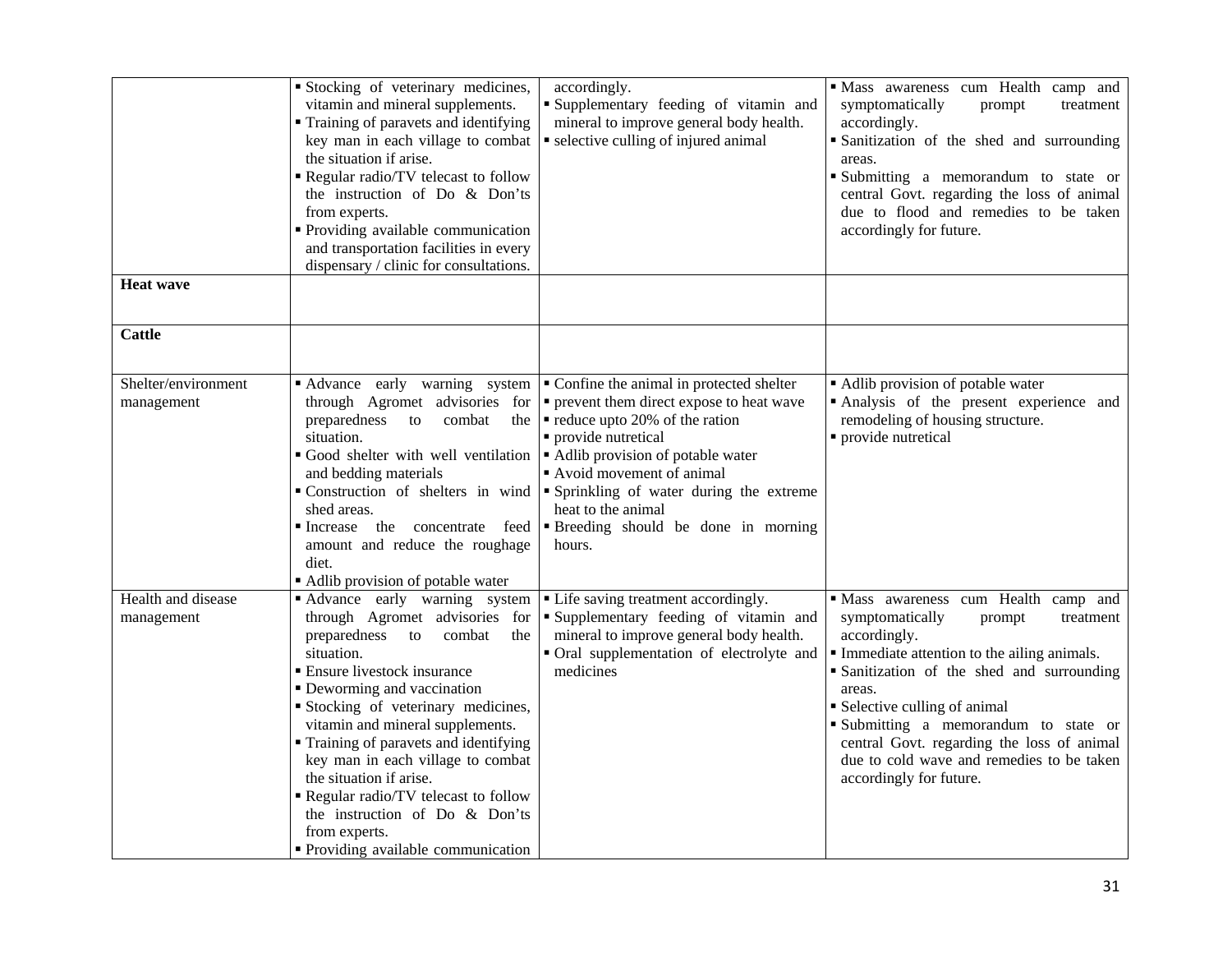| <b>Heat wave</b>                  | Stocking of veterinary medicines,<br>vitamin and mineral supplements.<br>• Training of paravets and identifying<br>key man in each village to combat<br>the situation if arise.<br>Regular radio/TV telecast to follow<br>the instruction of Do & Don'ts<br>from experts.<br>• Providing available communication<br>and transportation facilities in every<br>dispensary / clinic for consultations.                                                                                                        | accordingly.<br>Supplementary feeding of vitamin and<br>mineral to improve general body health.<br>• selective culling of injured animal                                                                                                                                                                                              | Mass awareness cum Health camp and<br>symptomatically<br>treatment<br>prompt<br>accordingly.<br>· Sanitization of the shed and surrounding<br>areas.<br>Submitting a memorandum to state or<br>central Govt. regarding the loss of animal<br>due to flood and remedies to be taken<br>accordingly for future.                                                                                      |
|-----------------------------------|-------------------------------------------------------------------------------------------------------------------------------------------------------------------------------------------------------------------------------------------------------------------------------------------------------------------------------------------------------------------------------------------------------------------------------------------------------------------------------------------------------------|---------------------------------------------------------------------------------------------------------------------------------------------------------------------------------------------------------------------------------------------------------------------------------------------------------------------------------------|----------------------------------------------------------------------------------------------------------------------------------------------------------------------------------------------------------------------------------------------------------------------------------------------------------------------------------------------------------------------------------------------------|
|                                   |                                                                                                                                                                                                                                                                                                                                                                                                                                                                                                             |                                                                                                                                                                                                                                                                                                                                       |                                                                                                                                                                                                                                                                                                                                                                                                    |
| <b>Cattle</b>                     |                                                                                                                                                                                                                                                                                                                                                                                                                                                                                                             |                                                                                                                                                                                                                                                                                                                                       |                                                                                                                                                                                                                                                                                                                                                                                                    |
| Shelter/environment<br>management | Advance early warning system<br>through Agromet advisories for<br>preparedness<br>to<br>combat<br>the<br>situation.<br>Good shelter with well ventilation<br>and bedding materials<br>Construction of shelters in wind<br>shed areas.<br>the concentrate feed<br>lncrease<br>amount and reduce the roughage<br>diet.<br>• Adlib provision of potable water                                                                                                                                                  | • Confine the animal in protected shelter<br>• prevent them direct expose to heat wave<br>reduce upto 20% of the ration<br>· provide nutretical<br>• Adlib provision of potable water<br>Avoid movement of animal<br>• Sprinkling of water during the extreme<br>heat to the animal<br>" Breeding should be done in morning<br>hours. | • Adlib provision of potable water<br>Analysis of the present experience and<br>remodeling of housing structure.<br>· provide nutretical                                                                                                                                                                                                                                                           |
| Health and disease<br>management  | Advance early warning system<br>through Agromet advisories for<br>preparedness<br>combat<br>to<br>the<br>situation.<br><b>Ensure livestock insurance</b><br>• Deworming and vaccination<br>Stocking of veterinary medicines,<br>vitamin and mineral supplements.<br>• Training of paravets and identifying<br>key man in each village to combat<br>the situation if arise.<br>Regular radio/TV telecast to follow<br>the instruction of Do & Don'ts<br>from experts.<br>• Providing available communication | • Life saving treatment accordingly.<br>"Supplementary feeding of vitamin and<br>mineral to improve general body health.<br>• Oral supplementation of electrolyte and<br>medicines                                                                                                                                                    | · Mass awareness cum Health camp and<br>symptomatically<br>prompt<br>treatment<br>accordingly.<br>Immediate attention to the ailing animals.<br>· Sanitization of the shed and surrounding<br>areas.<br>• Selective culling of animal<br>Submitting a memorandum to state or<br>central Govt. regarding the loss of animal<br>due to cold wave and remedies to be taken<br>accordingly for future. |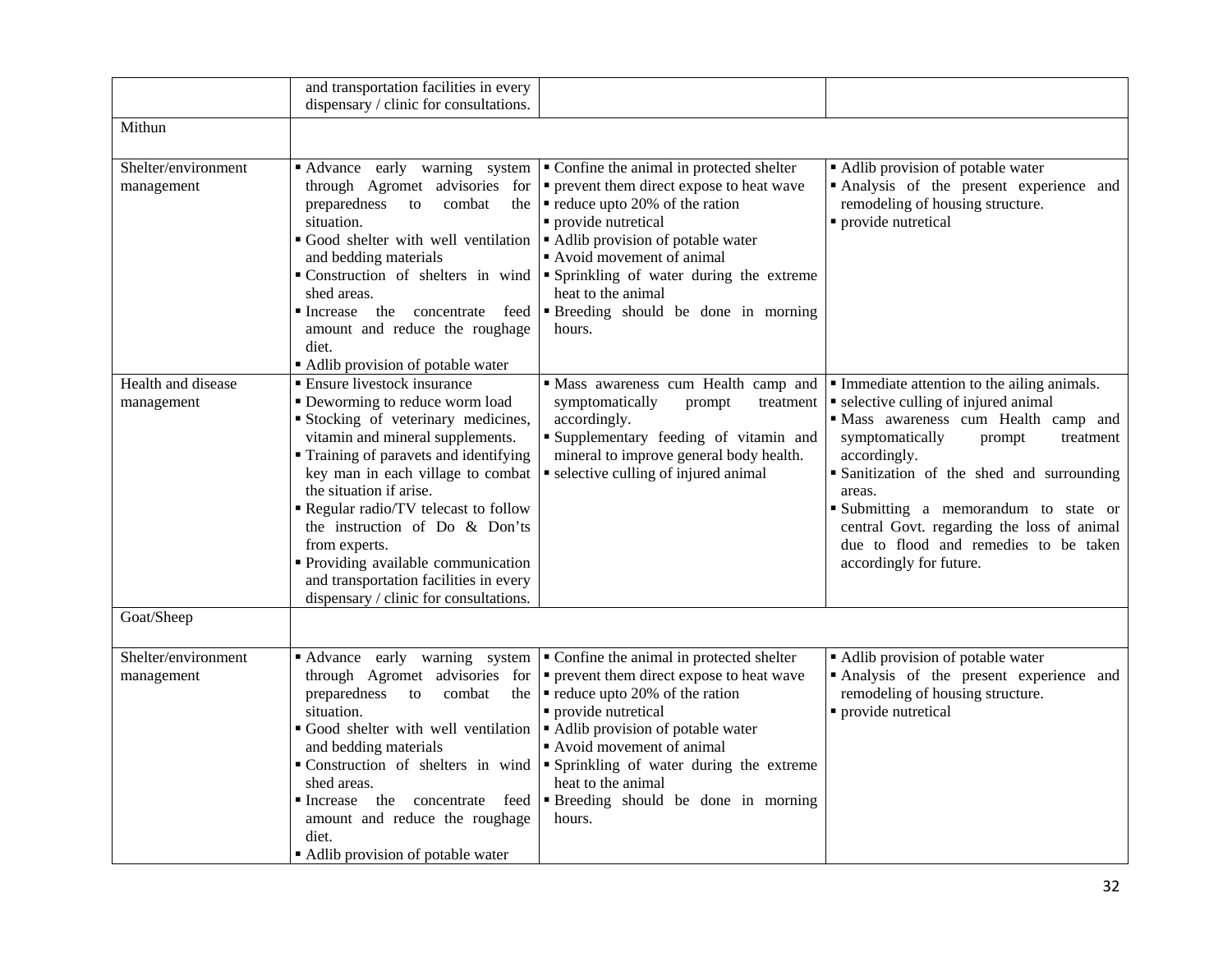|                                   | and transportation facilities in every<br>dispensary / clinic for consultations.                                                                                                                                                                                                                                                                                                                                                                                             |                                                                                                                                                                                                                                                                                                                                                     |                                                                                                                                                                                                                                                                                                                                                                                                        |
|-----------------------------------|------------------------------------------------------------------------------------------------------------------------------------------------------------------------------------------------------------------------------------------------------------------------------------------------------------------------------------------------------------------------------------------------------------------------------------------------------------------------------|-----------------------------------------------------------------------------------------------------------------------------------------------------------------------------------------------------------------------------------------------------------------------------------------------------------------------------------------------------|--------------------------------------------------------------------------------------------------------------------------------------------------------------------------------------------------------------------------------------------------------------------------------------------------------------------------------------------------------------------------------------------------------|
| Mithun                            |                                                                                                                                                                                                                                                                                                                                                                                                                                                                              |                                                                                                                                                                                                                                                                                                                                                     |                                                                                                                                                                                                                                                                                                                                                                                                        |
| Shelter/environment<br>management | Advance early warning system<br>through Agromet advisories for<br>preparedness<br>combat<br>to<br>the<br>situation.<br>Good shelter with well ventilation<br>and bedding materials<br>Construction of shelters in wind<br>shed areas.<br>lncrease<br>the concentrate feed<br>amount and reduce the roughage<br>diet.<br>• Adlib provision of potable water                                                                                                                   | • Confine the animal in protected shelter<br>• prevent them direct expose to heat wave<br>reduce upto 20% of the ration<br>· provide nutretical<br>• Adlib provision of potable water<br>Avoid movement of animal<br>" Sprinkling of water during the extreme<br>heat to the animal<br><b>Breeding</b> should be done in morning<br>hours.          | • Adlib provision of potable water<br>· Analysis of the present experience and<br>remodeling of housing structure.<br>• provide nutretical                                                                                                                                                                                                                                                             |
| Health and disease<br>management  | <b>Ensure livestock insurance</b><br>• Deworming to reduce worm load<br>Stocking of veterinary medicines,<br>vitamin and mineral supplements.<br>• Training of paravets and identifying<br>key man in each village to combat<br>the situation if arise.<br>Regular radio/TV telecast to follow<br>the instruction of Do & Don'ts<br>from experts.<br>· Providing available communication<br>and transportation facilities in every<br>dispensary / clinic for consultations. | Mass awareness cum Health camp and<br>symptomatically<br>prompt<br>treatment<br>accordingly.<br>Supplementary feeding of vitamin and<br>mineral to improve general body health.<br>• selective culling of injured animal                                                                                                                            | Immediate attention to the ailing animals.<br>• selective culling of injured animal<br>· Mass awareness cum Health camp and<br>symptomatically<br>prompt<br>treatment<br>accordingly.<br>· Sanitization of the shed and surrounding<br>areas.<br>Submitting a memorandum to state or<br>central Govt. regarding the loss of animal<br>due to flood and remedies to be taken<br>accordingly for future. |
| Goat/Sheep                        |                                                                                                                                                                                                                                                                                                                                                                                                                                                                              |                                                                                                                                                                                                                                                                                                                                                     |                                                                                                                                                                                                                                                                                                                                                                                                        |
| Shelter/environment<br>management | Advance early warning system<br>through Agromet advisories for<br>preparedness<br>combat<br>to<br>the<br>situation.<br>Good shelter with well ventilation<br>and bedding materials<br>Construction of shelters in wind<br>shed areas.<br>Increase the concentrate feed<br>amount and reduce the roughage<br>diet.<br>• Adlib provision of potable water                                                                                                                      | • Confine the animal in protected shelter<br>• prevent them direct expose to heat wave<br>$\blacksquare$ reduce upto 20% of the ration<br>· provide nutretical<br>• Adlib provision of potable water<br>Avoid movement of animal<br>· Sprinkling of water during the extreme<br>heat to the animal<br>"Breeding should be done in morning<br>hours. | • Adlib provision of potable water<br>Analysis of the present experience and<br>remodeling of housing structure.<br>· provide nutretical                                                                                                                                                                                                                                                               |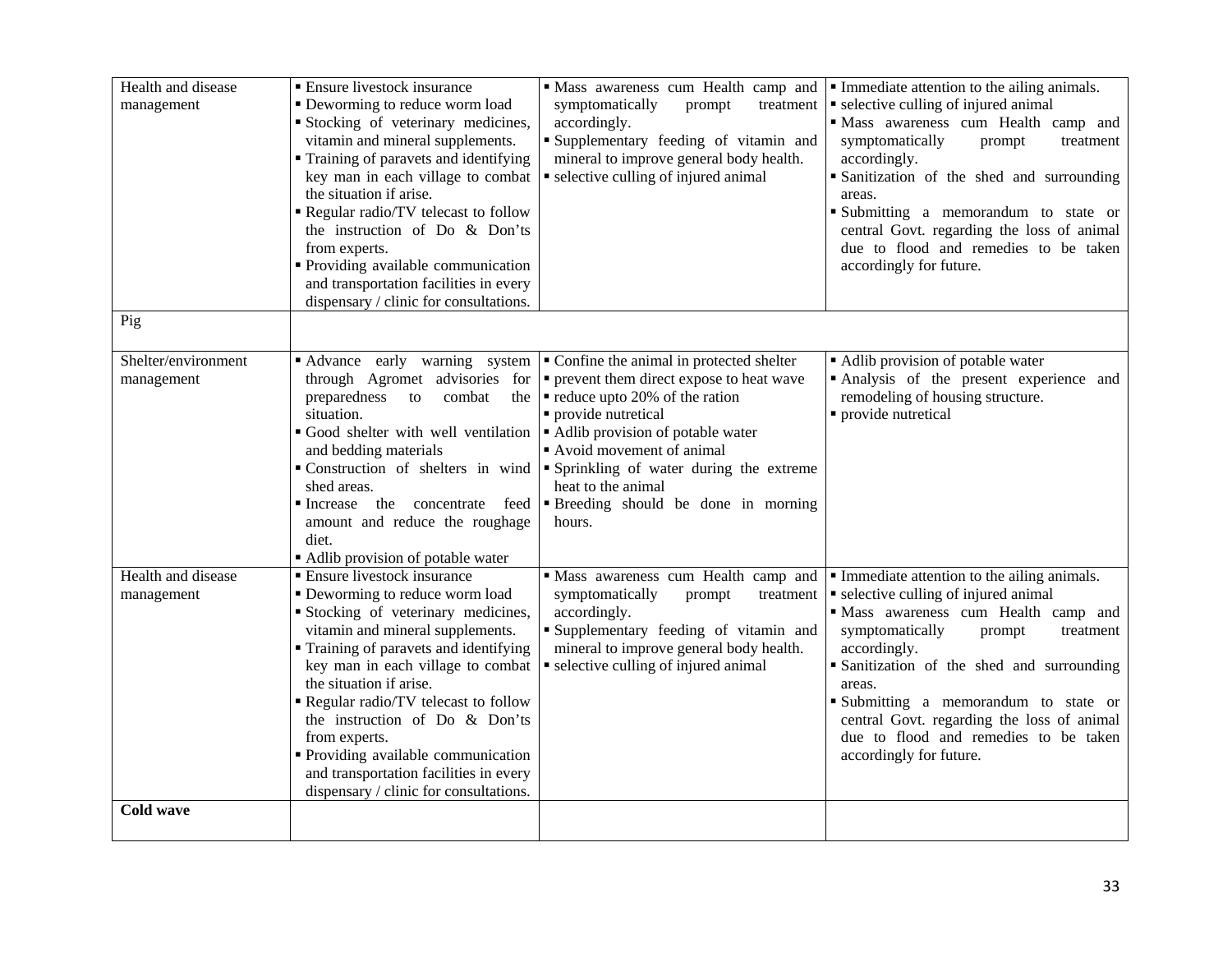| Health and disease<br>management  | <b>Ensure livestock insurance</b><br>• Deworming to reduce worm load<br>Stocking of veterinary medicines,<br>vitamin and mineral supplements.<br>Training of paravets and identifying<br>key man in each village to combat<br>the situation if arise.<br>Regular radio/TV telecast to follow<br>the instruction of Do & Don'ts<br>from experts.<br>• Providing available communication<br>and transportation facilities in every<br>dispensary / clinic for consultations. | " Mass awareness cum Health camp and<br>symptomatically<br>prompt<br>treatment<br>accordingly.<br>"Supplementary feeding of vitamin and<br>mineral to improve general body health.<br>• selective culling of injured animal                                                                                                          | Immediate attention to the ailing animals.<br>• selective culling of injured animal<br>· Mass awareness cum Health camp and<br>symptomatically<br>prompt<br>treatment<br>accordingly.<br>· Sanitization of the shed and surrounding<br>areas.<br>Submitting a memorandum to state or<br>central Govt. regarding the loss of animal<br>due to flood and remedies to be taken<br>accordingly for future.   |
|-----------------------------------|----------------------------------------------------------------------------------------------------------------------------------------------------------------------------------------------------------------------------------------------------------------------------------------------------------------------------------------------------------------------------------------------------------------------------------------------------------------------------|--------------------------------------------------------------------------------------------------------------------------------------------------------------------------------------------------------------------------------------------------------------------------------------------------------------------------------------|----------------------------------------------------------------------------------------------------------------------------------------------------------------------------------------------------------------------------------------------------------------------------------------------------------------------------------------------------------------------------------------------------------|
| Pig                               |                                                                                                                                                                                                                                                                                                                                                                                                                                                                            |                                                                                                                                                                                                                                                                                                                                      |                                                                                                                                                                                                                                                                                                                                                                                                          |
| Shelter/environment<br>management | Advance early warning system<br>through Agromet advisories for<br>preparedness<br>combat<br>to<br>the<br>situation.<br>Good shelter with well ventilation<br>and bedding materials<br>Construction of shelters in wind<br>shed areas.<br>• Increase<br>the concentrate<br>feed<br>amount and reduce the roughage<br>diet.<br>Adlib provision of potable water                                                                                                              | • Confine the animal in protected shelter<br>• prevent them direct expose to heat wave<br>• reduce upto 20% of the ration<br>• provide nutretical<br>Adlib provision of potable water<br>Avoid movement of animal<br>• Sprinkling of water during the extreme<br>heat to the animal<br>"Breeding should be done in morning<br>hours. | • Adlib provision of potable water<br>Analysis of the present experience and<br>remodeling of housing structure.<br>· provide nutretical                                                                                                                                                                                                                                                                 |
| Health and disease<br>management  | <b>Ensure livestock insurance</b><br>• Deworming to reduce worm load<br>Stocking of veterinary medicines,<br>vitamin and mineral supplements.<br>Training of paravets and identifying<br>key man in each village to combat<br>the situation if arise.<br>Regular radio/TV telecast to follow<br>the instruction of Do & Don'ts<br>from experts.<br>• Providing available communication<br>and transportation facilities in every<br>dispensary / clinic for consultations. | Mass awareness cum Health camp and<br>symptomatically<br>prompt<br>treatment<br>accordingly.<br>Supplementary feeding of vitamin and<br>mineral to improve general body health.<br>• selective culling of injured animal                                                                                                             | • Immediate attention to the ailing animals.<br>• selective culling of injured animal<br>· Mass awareness cum Health camp and<br>symptomatically<br>prompt<br>treatment<br>accordingly.<br>• Sanitization of the shed and surrounding<br>areas.<br>Submitting a memorandum to state or<br>central Govt. regarding the loss of animal<br>due to flood and remedies to be taken<br>accordingly for future. |
| <b>Cold wave</b>                  |                                                                                                                                                                                                                                                                                                                                                                                                                                                                            |                                                                                                                                                                                                                                                                                                                                      |                                                                                                                                                                                                                                                                                                                                                                                                          |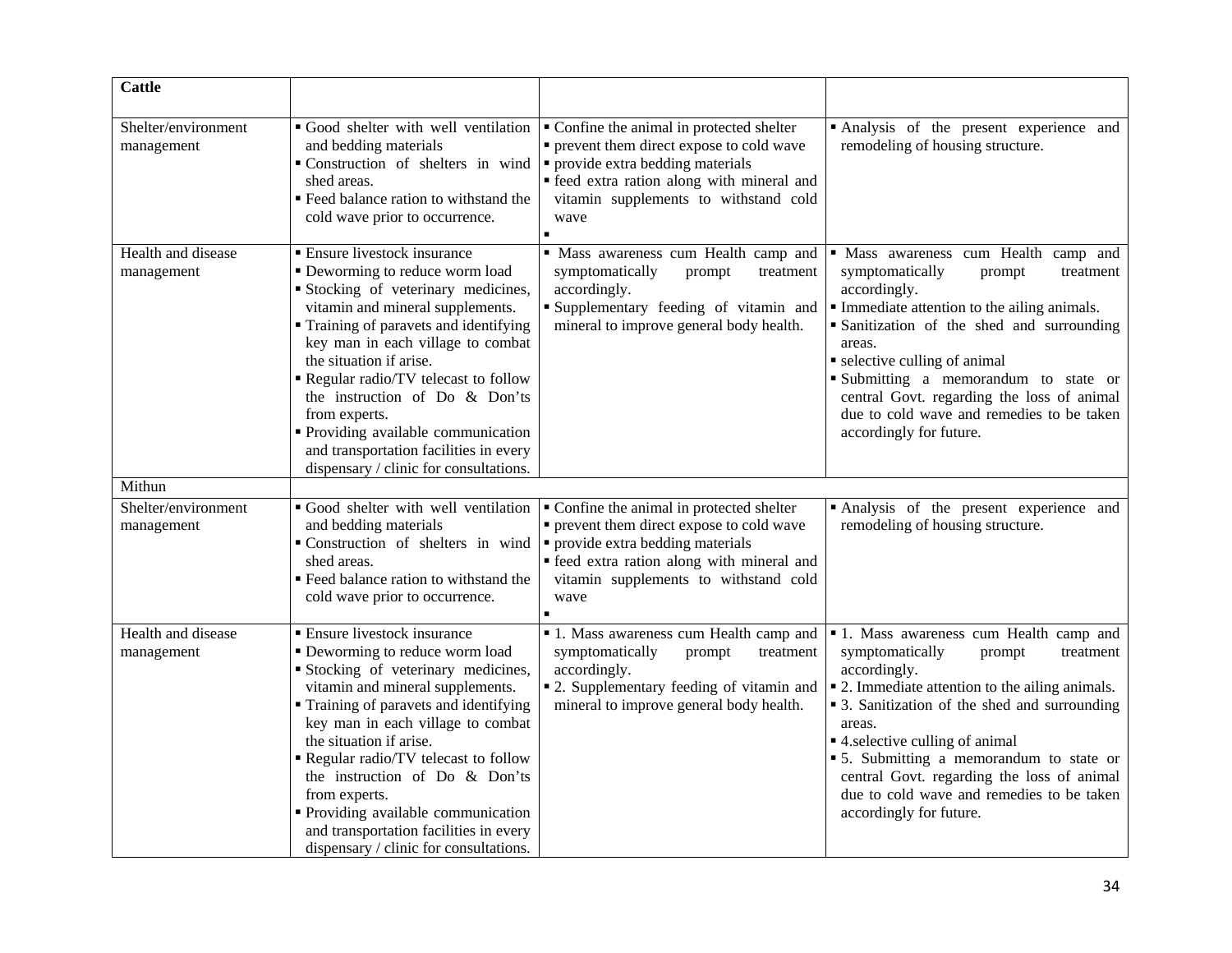| <b>Cattle</b>                     |                                                                                                                                                                                                                                                                                                                                                                                                                                                                            |                                                                                                                                                                                                                            |                                                                                                                                                                                                                                                                                                                                                                                                                            |
|-----------------------------------|----------------------------------------------------------------------------------------------------------------------------------------------------------------------------------------------------------------------------------------------------------------------------------------------------------------------------------------------------------------------------------------------------------------------------------------------------------------------------|----------------------------------------------------------------------------------------------------------------------------------------------------------------------------------------------------------------------------|----------------------------------------------------------------------------------------------------------------------------------------------------------------------------------------------------------------------------------------------------------------------------------------------------------------------------------------------------------------------------------------------------------------------------|
| Shelter/environment<br>management | Good shelter with well ventilation<br>and bedding materials<br>Construction of shelters in wind<br>shed areas.<br>" Feed balance ration to withstand the<br>cold wave prior to occurrence.                                                                                                                                                                                                                                                                                 | • Confine the animal in protected shelter<br>• prevent them direct expose to cold wave<br>• provide extra bedding materials<br>• feed extra ration along with mineral and<br>vitamin supplements to withstand cold<br>wave | Analysis of the present experience and<br>remodeling of housing structure.                                                                                                                                                                                                                                                                                                                                                 |
| Health and disease<br>management  | <b>Ensure livestock insurance</b><br>• Deworming to reduce worm load<br>Stocking of veterinary medicines,<br>vitamin and mineral supplements.<br>Training of paravets and identifying<br>key man in each village to combat<br>the situation if arise.<br>Regular radio/TV telecast to follow<br>the instruction of Do & Don'ts<br>from experts.<br>• Providing available communication<br>and transportation facilities in every<br>dispensary / clinic for consultations. | · Mass awareness cum Health camp and<br>symptomatically<br>treatment<br>prompt<br>accordingly.<br>Supplementary feeding of vitamin and<br>mineral to improve general body health.                                          | · Mass awareness cum Health camp and<br>symptomatically<br>treatment<br>prompt<br>accordingly.<br>Immediate attention to the ailing animals.<br>Sanitization of the shed and surrounding<br>areas.<br>• selective culling of animal<br>Submitting a memorandum to state or<br>central Govt. regarding the loss of animal<br>due to cold wave and remedies to be taken<br>accordingly for future.                           |
| Mithun                            |                                                                                                                                                                                                                                                                                                                                                                                                                                                                            |                                                                                                                                                                                                                            |                                                                                                                                                                                                                                                                                                                                                                                                                            |
| Shelter/environment<br>management | Good shelter with well ventilation<br>and bedding materials<br>Construction of shelters in wind<br>shed areas.<br>" Feed balance ration to withstand the<br>cold wave prior to occurrence.                                                                                                                                                                                                                                                                                 | • Confine the animal in protected shelter<br>• prevent them direct expose to cold wave<br>• provide extra bedding materials<br>· feed extra ration along with mineral and<br>vitamin supplements to withstand cold<br>wave | Analysis of the present experience and<br>remodeling of housing structure.                                                                                                                                                                                                                                                                                                                                                 |
| Health and disease<br>management  | <b>Ensure livestock insurance</b><br>• Deworming to reduce worm load<br>Stocking of veterinary medicines,<br>vitamin and mineral supplements.<br>Training of paravets and identifying<br>key man in each village to combat<br>the situation if arise.<br>Regular radio/TV telecast to follow<br>the instruction of Do & Don'ts<br>from experts.<br>• Providing available communication<br>and transportation facilities in every<br>dispensary / clinic for consultations. | ■ 1. Mass awareness cum Health camp and<br>symptomatically<br>prompt<br>treatment<br>accordingly.<br>• 2. Supplementary feeding of vitamin and<br>mineral to improve general body health.                                  | <b>1</b> . Mass awareness cum Health camp and<br>symptomatically<br>prompt<br>treatment<br>accordingly.<br>• 2. Immediate attention to the ailing animals.<br>• 3. Sanitization of the shed and surrounding<br>areas.<br>■ 4.selective culling of animal<br>• 5. Submitting a memorandum to state or<br>central Govt. regarding the loss of animal<br>due to cold wave and remedies to be taken<br>accordingly for future. |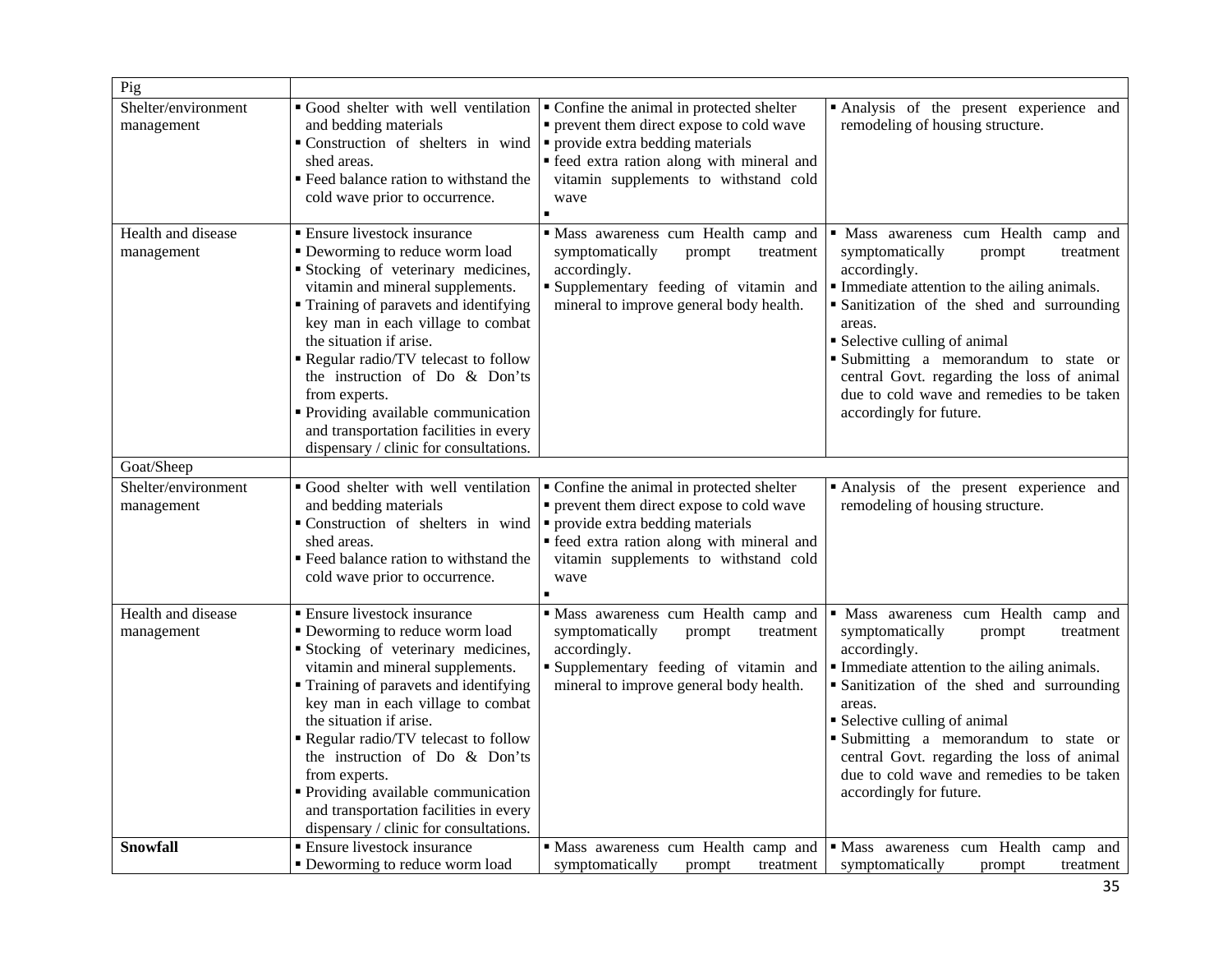| Pig                               |                                                                                                                                                                                                                                                                                                                                                                                                                                                                              |                                                                                                                                                                                       |                                                                                                                                                                                                                                                                                                                                                                                                    |
|-----------------------------------|------------------------------------------------------------------------------------------------------------------------------------------------------------------------------------------------------------------------------------------------------------------------------------------------------------------------------------------------------------------------------------------------------------------------------------------------------------------------------|---------------------------------------------------------------------------------------------------------------------------------------------------------------------------------------|----------------------------------------------------------------------------------------------------------------------------------------------------------------------------------------------------------------------------------------------------------------------------------------------------------------------------------------------------------------------------------------------------|
| Shelter/environment<br>management | Good shelter with well ventilation<br>and bedding materials<br>• Construction of shelters in wind $\vert \cdot \vert$ provide extra bedding materials<br>shed areas.<br>Feed balance ration to withstand the<br>cold wave prior to occurrence.                                                                                                                                                                                                                               | Confine the animal in protected shelter<br>• prevent them direct expose to cold wave<br>• feed extra ration along with mineral and<br>vitamin supplements to withstand cold<br>wave   | Analysis of the present experience and<br>remodeling of housing structure.                                                                                                                                                                                                                                                                                                                         |
| Health and disease<br>management  | <b>Ensure livestock insurance</b><br>• Deworming to reduce worm load<br>Stocking of veterinary medicines,<br>vitamin and mineral supplements.<br>Training of paravets and identifying<br>key man in each village to combat<br>the situation if arise.<br>Regular radio/TV telecast to follow<br>the instruction of Do & Don'ts<br>from experts.<br>• Providing available communication<br>and transportation facilities in every<br>dispensary / clinic for consultations.   | Mass awareness cum Health camp and<br>symptomatically<br>prompt<br>treatment<br>accordingly.<br>Supplementary feeding of vitamin and<br>mineral to improve general body health.       | · Mass awareness cum Health camp and<br>symptomatically<br>prompt<br>treatment<br>accordingly.<br>Immediate attention to the ailing animals.<br>Sanitization of the shed and surrounding<br>areas.<br>• Selective culling of animal<br>Submitting a memorandum to state or<br>central Govt. regarding the loss of animal<br>due to cold wave and remedies to be taken<br>accordingly for future.   |
| Goat/Sheep                        |                                                                                                                                                                                                                                                                                                                                                                                                                                                                              |                                                                                                                                                                                       |                                                                                                                                                                                                                                                                                                                                                                                                    |
| Shelter/environment<br>management | Good shelter with well ventilation<br>and bedding materials<br>• Construction of shelters in wind $\vert \cdot \vert$ provide extra bedding materials<br>shed areas.<br>" Feed balance ration to withstand the<br>cold wave prior to occurrence.                                                                                                                                                                                                                             | • Confine the animal in protected shelter<br>• prevent them direct expose to cold wave<br>" feed extra ration along with mineral and<br>vitamin supplements to withstand cold<br>wave | Analysis of the present experience and<br>remodeling of housing structure.                                                                                                                                                                                                                                                                                                                         |
| Health and disease<br>management  | <b>Ensure livestock insurance</b><br>• Deworming to reduce worm load<br>Stocking of veterinary medicines,<br>vitamin and mineral supplements.<br>" Training of paravets and identifying<br>key man in each village to combat<br>the situation if arise.<br>Regular radio/TV telecast to follow<br>the instruction of Do & Don'ts<br>from experts.<br>• Providing available communication<br>and transportation facilities in every<br>dispensary / clinic for consultations. | · Mass awareness cum Health camp and<br>symptomatically<br>prompt<br>treatment<br>accordingly.<br>Supplementary feeding of vitamin and<br>mineral to improve general body health.     | · Mass awareness cum Health camp and<br>symptomatically<br>prompt<br>treatment<br>accordingly.<br>Immediate attention to the ailing animals.<br>• Sanitization of the shed and surrounding<br>areas.<br>• Selective culling of animal<br>Submitting a memorandum to state or<br>central Govt. regarding the loss of animal<br>due to cold wave and remedies to be taken<br>accordingly for future. |
| Snowfall                          | <b>Ensure livestock insurance</b><br>• Deworming to reduce worm load                                                                                                                                                                                                                                                                                                                                                                                                         | Mass awareness cum Health camp and<br>symptomatically<br>treatment<br>prompt                                                                                                          | · Mass awareness cum Health camp and<br>symptomatically<br>prompt<br>treatment                                                                                                                                                                                                                                                                                                                     |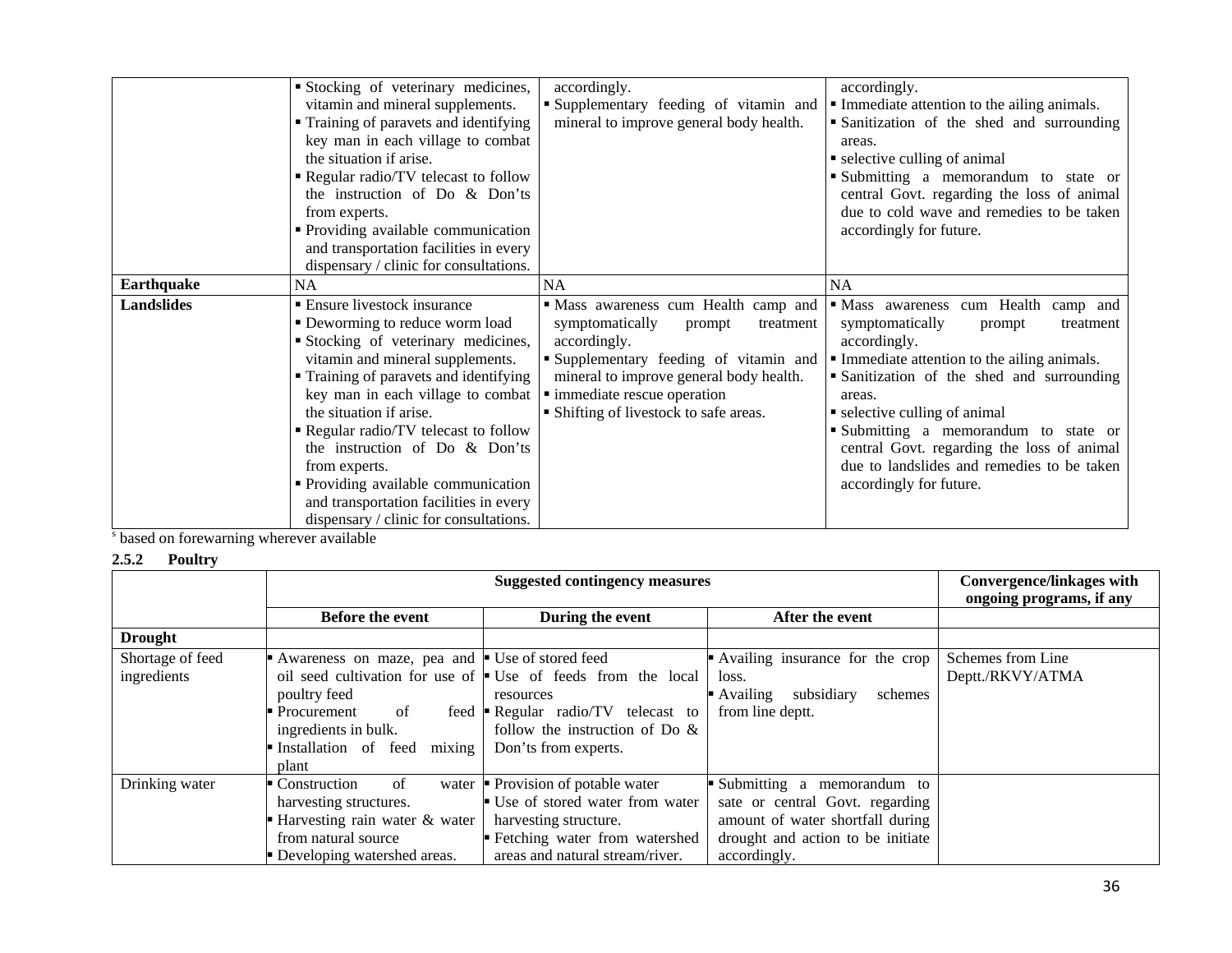|                   | Stocking of veterinary medicines,<br>vitamin and mineral supplements.<br>• Training of paravets and identifying<br>key man in each village to combat<br>the situation if arise.<br>Regular radio/TV telecast to follow<br>the instruction of Do & Don'ts<br>from experts.<br>• Providing available communication<br>and transportation facilities in every                                                                                                                 | accordingly.<br>Supplementary feeding of vitamin and<br>mineral to improve general body health.                                                                                                                                                             | accordingly.<br>Immediate attention to the ailing animals.<br>• Sanitization of the shed and surrounding<br>areas.<br>• selective culling of animal<br>Submitting a memorandum to state or<br>central Govt. regarding the loss of animal<br>due to cold wave and remedies to be taken<br>accordingly for future.                                                                                    |  |
|-------------------|----------------------------------------------------------------------------------------------------------------------------------------------------------------------------------------------------------------------------------------------------------------------------------------------------------------------------------------------------------------------------------------------------------------------------------------------------------------------------|-------------------------------------------------------------------------------------------------------------------------------------------------------------------------------------------------------------------------------------------------------------|-----------------------------------------------------------------------------------------------------------------------------------------------------------------------------------------------------------------------------------------------------------------------------------------------------------------------------------------------------------------------------------------------------|--|
|                   | dispensary / clinic for consultations.                                                                                                                                                                                                                                                                                                                                                                                                                                     |                                                                                                                                                                                                                                                             |                                                                                                                                                                                                                                                                                                                                                                                                     |  |
| <b>Earthquake</b> | <b>NA</b>                                                                                                                                                                                                                                                                                                                                                                                                                                                                  | <b>NA</b>                                                                                                                                                                                                                                                   | <b>NA</b>                                                                                                                                                                                                                                                                                                                                                                                           |  |
| <b>Landslides</b> | <b>Ensure livestock insurance</b><br>• Deworming to reduce worm load<br>Stocking of veterinary medicines,<br>vitamin and mineral supplements.<br>• Training of paravets and identifying<br>key man in each village to combat<br>the situation if arise.<br>Regular radio/TV telecast to follow<br>the instruction of Do & Don'ts<br>from experts.<br>Providing available communication<br>and transportation facilities in every<br>dispensary / clinic for consultations. | · Mass awareness cum Health camp and<br>symptomatically<br>treatment<br>prompt<br>accordingly.<br>Supplementary feeding of vitamin and<br>mineral to improve general body health.<br>• immediate rescue operation<br>• Shifting of livestock to safe areas. | · Mass awareness cum Health camp and<br>symptomatically<br>treatment<br>prompt<br>accordingly.<br>Immediate attention to the ailing animals.<br>• Sanitization of the shed and surrounding<br>areas.<br>• selective culling of animal<br>Submitting a memorandum to state or<br>central Govt. regarding the loss of animal<br>due to landslides and remedies to be taken<br>accordingly for future. |  |

s based on forewarning wherever available

## **2.5.2 Poultry**

|                  |                                               | <b>Convergence/linkages with</b><br>ongoing programs, if any               |                                   |                   |
|------------------|-----------------------------------------------|----------------------------------------------------------------------------|-----------------------------------|-------------------|
|                  | <b>Before the event</b>                       | During the event                                                           | After the event                   |                   |
| <b>Drought</b>   |                                               |                                                                            |                                   |                   |
| Shortage of feed | Awareness on maze, pea and Use of stored feed |                                                                            | Availing insurance for the crop   | Schemes from Line |
| ingredients      |                                               | oil seed cultivation for use of $\blacksquare$ Use of feeds from the local | loss.                             | Deptt./RKVY/ATMA  |
|                  | poultry feed                                  | resources                                                                  | subsidiary<br>Availing<br>schemes |                   |
|                  | • Procurement<br>of<br>feed                   | $\blacksquare$ Regular radio/TV telecast to                                | from line deptt.                  |                   |
|                  | ingredients in bulk.                          | follow the instruction of Do $\&$                                          |                                   |                   |
|                  | mixing<br>Installation of feed                | Don'ts from experts.                                                       |                                   |                   |
|                  | plant                                         |                                                                            |                                   |                   |
| Drinking water   | of<br>$\blacksquare$ Construction<br>water    | Provision of potable water                                                 | Submitting a memorandum to        |                   |
|                  | harvesting structures.                        | Use of stored water from water                                             | sate or central Govt. regarding   |                   |
|                  | - Harvesting rain water $\&$ water            | harvesting structure.                                                      | amount of water shortfall during  |                   |
|                  | from natural source                           | Electring water from watershed                                             | drought and action to be initiate |                   |
|                  | • Developing watershed areas.                 | areas and natural stream/river.                                            | accordingly.                      |                   |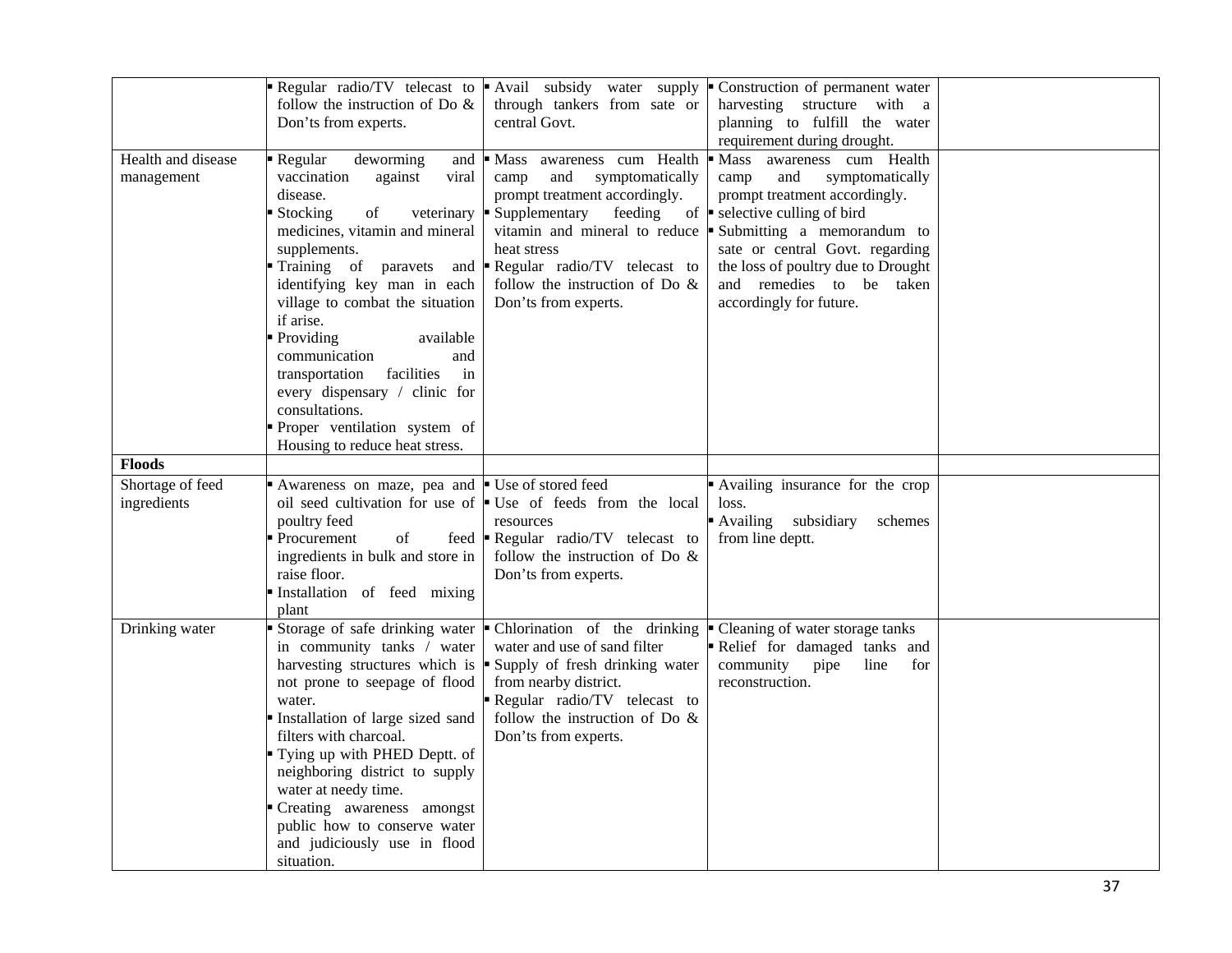|                                  | Regular radio/TV telecast to<br>follow the instruction of Do $\&$<br>Don'ts from experts.                                                                                                                                                                                                                                                                                                                                                                                               | Avail subsidy water supply<br>through tankers from sate or<br>central Govt.                                                                                                                                                                                                          | Construction of permanent water<br>harvesting structure with a<br>planning to fulfill the water<br>requirement during drought.                                                                                                                                                                              |  |
|----------------------------------|-----------------------------------------------------------------------------------------------------------------------------------------------------------------------------------------------------------------------------------------------------------------------------------------------------------------------------------------------------------------------------------------------------------------------------------------------------------------------------------------|--------------------------------------------------------------------------------------------------------------------------------------------------------------------------------------------------------------------------------------------------------------------------------------|-------------------------------------------------------------------------------------------------------------------------------------------------------------------------------------------------------------------------------------------------------------------------------------------------------------|--|
| Health and disease<br>management | Regular<br>deworming<br>and<br>vaccination<br>against<br>viral<br>disease.<br>Stocking<br>of<br>veterinary<br>medicines, vitamin and mineral<br>supplements.<br>Training of paravets<br>and<br>identifying key man in each<br>village to combat the situation<br>if arise.<br>Providing<br>available<br>communication<br>and<br>facilities<br>transportation<br>in<br>every dispensary / clinic for<br>consultations.<br>Proper ventilation system of<br>Housing to reduce heat stress. | Mass awareness cum Health<br>symptomatically<br>camp<br>and<br>prompt treatment accordingly.<br>Supplementary<br>feeding<br>vitamin and mineral to reduce $\blacksquare$<br>heat stress<br>Regular radio/TV telecast to<br>follow the instruction of Do $\&$<br>Don'ts from experts. | • Mass awareness cum Health<br>camp<br>and<br>symptomatically<br>prompt treatment accordingly.<br>of $\blacksquare$ selective culling of bird<br>Submitting a memorandum to<br>sate or central Govt. regarding<br>the loss of poultry due to Drought<br>and remedies to be taken<br>accordingly for future. |  |
| <b>Floods</b>                    |                                                                                                                                                                                                                                                                                                                                                                                                                                                                                         |                                                                                                                                                                                                                                                                                      |                                                                                                                                                                                                                                                                                                             |  |
| Shortage of feed<br>ingredients  | Awareness on maze, pea and<br>oil seed cultivation for use of $\blacksquare$<br>poultry feed<br>Procurement<br>of<br>feed<br>ingredients in bulk and store in<br>raise floor.<br>Installation of feed mixing<br>plant                                                                                                                                                                                                                                                                   | ■ Use of stored feed<br>Use of feeds from the local<br>resources<br>Regular radio/TV telecast to<br>follow the instruction of Do $\&$<br>Don'ts from experts.                                                                                                                        | Availing insurance for the crop<br>loss.<br>Availing<br>subsidiary<br>schemes<br>from line deptt.                                                                                                                                                                                                           |  |
| Drinking water                   | Storage of safe drinking water<br>in community tanks / water<br>harvesting structures which is<br>not prone to seepage of flood<br>water.<br>Installation of large sized sand<br>filters with charcoal.<br>Tying up with PHED Deptt. of<br>neighboring district to supply<br>water at needy time.<br>Creating awareness amongst<br>public how to conserve water<br>and judiciously use in flood<br>situation.                                                                           | Chlorination of the drinking<br>water and use of sand filter<br>Supply of fresh drinking water<br>from nearby district.<br>Regular radio/TV telecast to<br>follow the instruction of Do $\&$<br>Don'ts from experts.                                                                 | • Cleaning of water storage tanks<br>Relief for damaged tanks and<br>community<br>pipe<br>line<br>for<br>reconstruction.                                                                                                                                                                                    |  |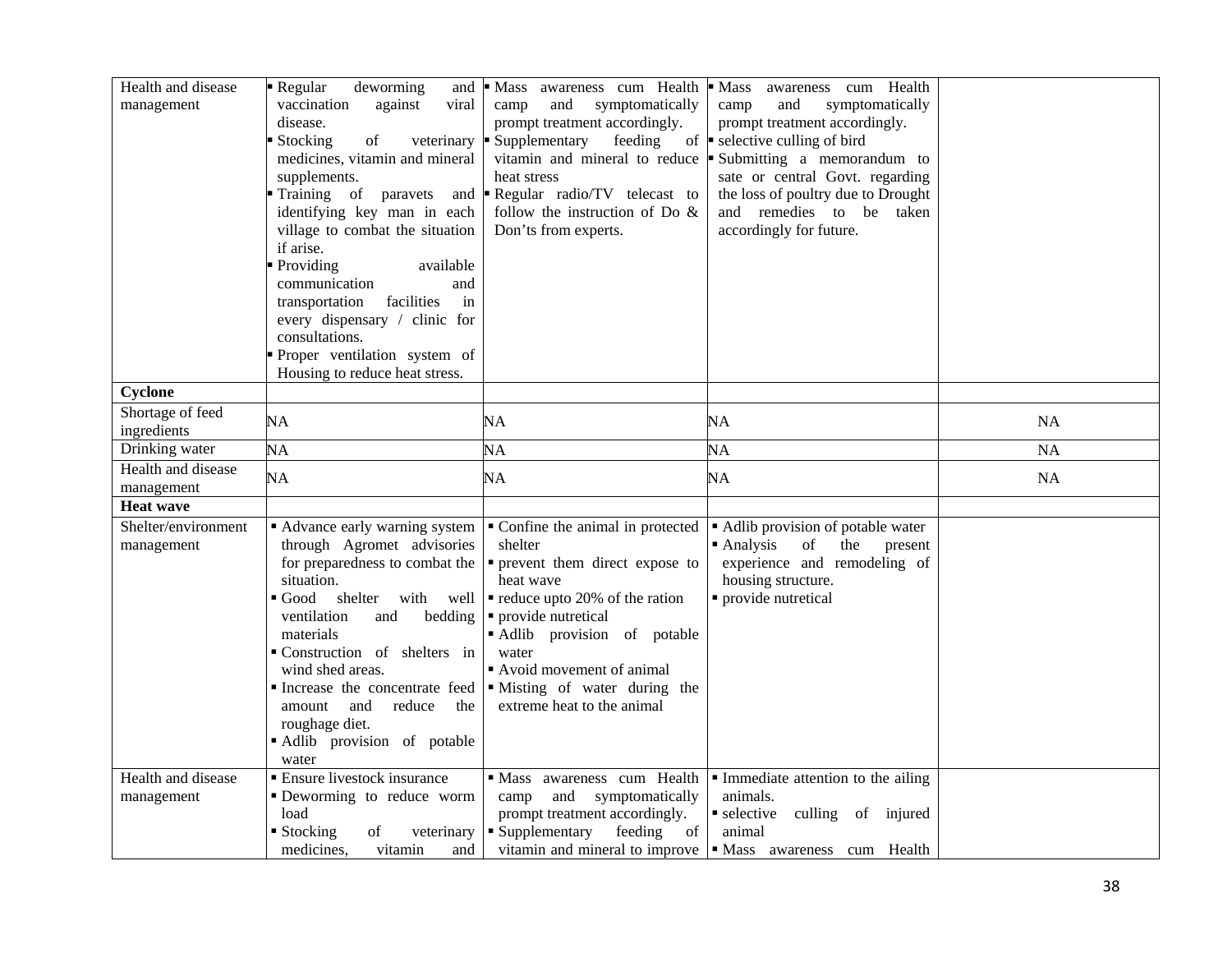| Health and disease<br>management  | Regular<br>deworming<br>and<br>vaccination<br>against<br>viral<br>disease.<br>Stocking<br>$% \left( \left( \mathcal{A},\mathcal{A}\right) \right) =\left( \mathcal{A},\mathcal{A}\right)$ of<br>veterinary<br>medicines, vitamin and mineral<br>supplements.<br>identifying key man in each<br>village to combat the situation<br>if arise.<br>Providing<br>available<br>communication<br>and<br>facilities<br>transportation<br>in<br>every dispensary / clinic for<br>consultations.<br>Proper ventilation system of<br>Housing to reduce heat stress. | Mass awareness cum Health<br>and<br>symptomatically<br>camp<br>prompt treatment accordingly.<br>Supplementary<br>feeding<br>vitamin and mineral to reduce<br>heat stress<br>Training of paravets and <b>Regular</b> radio/TV telecast to<br>follow the instruction of Do $\&$<br>Don'ts from experts. | awareness cum Health<br>Mass<br>E<br>and<br>symptomatically<br>camp<br>prompt treatment accordingly.<br>of $\bullet$ selective culling of bird<br>Submitting a memorandum to<br>sate or central Govt. regarding<br>the loss of poultry due to Drought<br>and remedies to be taken<br>accordingly for future. |           |
|-----------------------------------|----------------------------------------------------------------------------------------------------------------------------------------------------------------------------------------------------------------------------------------------------------------------------------------------------------------------------------------------------------------------------------------------------------------------------------------------------------------------------------------------------------------------------------------------------------|-------------------------------------------------------------------------------------------------------------------------------------------------------------------------------------------------------------------------------------------------------------------------------------------------------|--------------------------------------------------------------------------------------------------------------------------------------------------------------------------------------------------------------------------------------------------------------------------------------------------------------|-----------|
| Cyclone                           |                                                                                                                                                                                                                                                                                                                                                                                                                                                                                                                                                          |                                                                                                                                                                                                                                                                                                       |                                                                                                                                                                                                                                                                                                              |           |
| Shortage of feed<br>ingredients   | NA                                                                                                                                                                                                                                                                                                                                                                                                                                                                                                                                                       | NA                                                                                                                                                                                                                                                                                                    | NA                                                                                                                                                                                                                                                                                                           | <b>NA</b> |
| Drinking water                    | NA                                                                                                                                                                                                                                                                                                                                                                                                                                                                                                                                                       | NA                                                                                                                                                                                                                                                                                                    | NA                                                                                                                                                                                                                                                                                                           | <b>NA</b> |
| Health and disease<br>management  | NA                                                                                                                                                                                                                                                                                                                                                                                                                                                                                                                                                       | NA                                                                                                                                                                                                                                                                                                    | NA                                                                                                                                                                                                                                                                                                           | NA        |
| <b>Heat wave</b>                  |                                                                                                                                                                                                                                                                                                                                                                                                                                                                                                                                                          |                                                                                                                                                                                                                                                                                                       |                                                                                                                                                                                                                                                                                                              |           |
| Shelter/environment<br>management | • Advance early warning system<br>through Agromet advisories<br>for preparedness to combat the<br>situation.<br>$\blacksquare$ Good<br>shelter with well<br>ventilation<br>bedding<br>and<br>materials<br>Construction of shelters in<br>wind shed areas.<br>Increase the concentrate feed<br>reduce<br>amount<br>and<br>the<br>roughage diet.<br>Adlib provision of potable<br>water                                                                                                                                                                    | • Confine the animal in protected<br>shelter<br>• prevent them direct expose to<br>heat wave<br>$\bullet$ reduce upto 20% of the ration<br>• provide nutretical<br>Adlib provision of potable<br>water<br>Avoid movement of animal<br>• Misting of water during the<br>extreme heat to the animal     | Adlib provision of potable water<br>$\blacksquare$ Analysis<br>of<br>the<br>present<br>experience and remodeling of<br>housing structure.<br>• provide nutretical                                                                                                                                            |           |
| Health and disease<br>management  | <b>Ensure livestock insurance</b><br>Deworming to reduce worm<br>load<br>$\blacksquare$ Stocking<br>of<br>veterinary<br>medicines.<br>vitamin<br>and                                                                                                                                                                                                                                                                                                                                                                                                     | · Mass awareness cum Health<br>and symptomatically<br>camp<br>prompt treatment accordingly.<br>Supplementary feeding<br>of                                                                                                                                                                            | Immediate attention to the ailing<br>animals.<br>selective culling of injured<br>animal<br>vitamin and mineral to improve $\vert \cdot \vert$ Mass awareness cum Health                                                                                                                                      |           |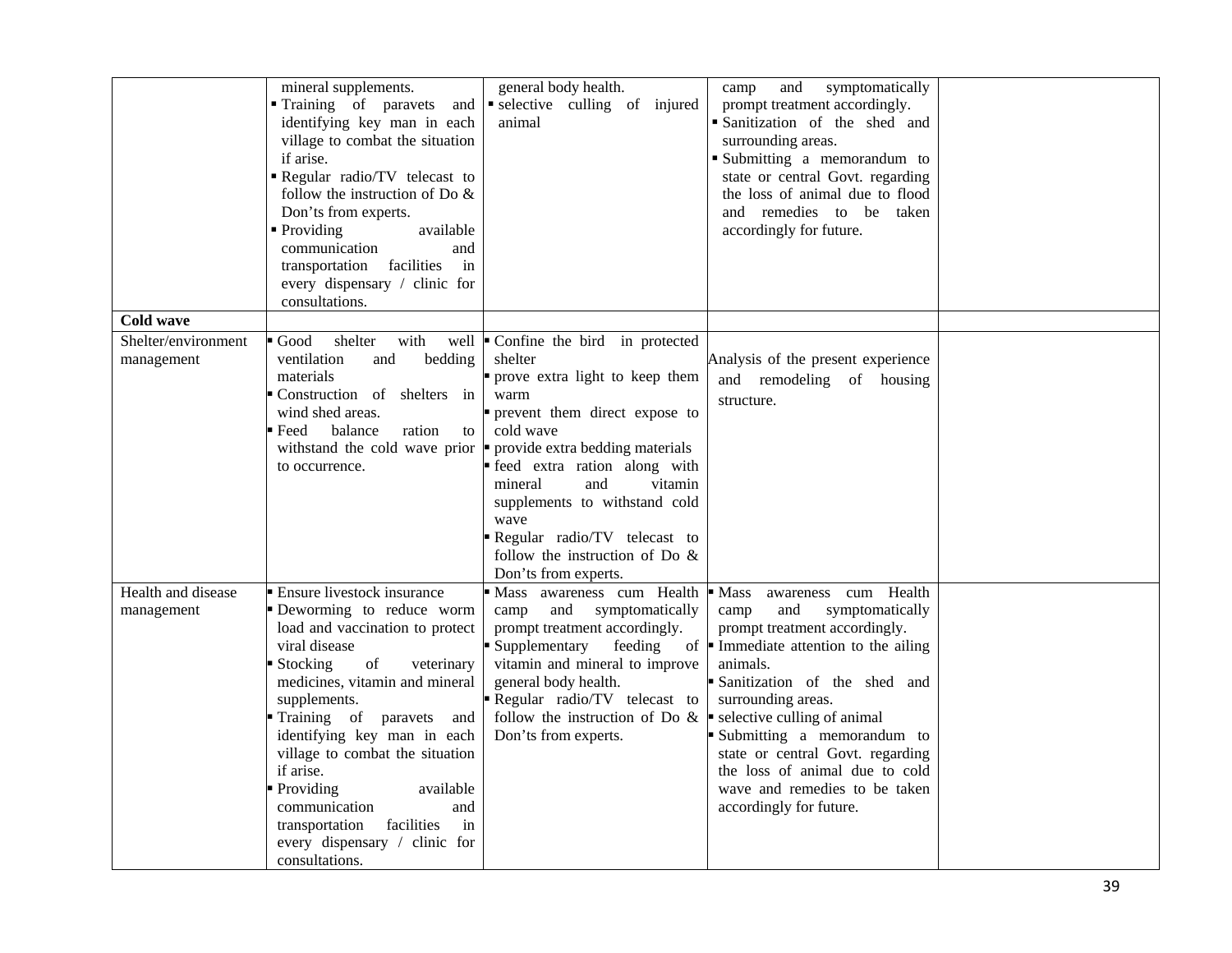|                                   | mineral supplements.<br>Training of paravets<br>and<br>identifying key man in each<br>village to combat the situation<br>if arise.<br>Regular radio/TV telecast to<br>follow the instruction of Do $\&$<br>Don'ts from experts.<br>• Providing<br>available<br>communication<br>and<br>transportation facilities<br>in<br>every dispensary / clinic for<br>consultations.                                                                          | general body health.<br>selective culling of injured<br>animal                                                                                                                                                                                                                                                                                                                        | and<br>symptomatically<br>camp<br>prompt treatment accordingly.<br>Sanitization of the shed and<br>surrounding areas.<br>Submitting a memorandum to<br>state or central Govt. regarding<br>the loss of animal due to flood<br>and remedies to be taken<br>accordingly for future.                                                                                                                                                         |  |
|-----------------------------------|----------------------------------------------------------------------------------------------------------------------------------------------------------------------------------------------------------------------------------------------------------------------------------------------------------------------------------------------------------------------------------------------------------------------------------------------------|---------------------------------------------------------------------------------------------------------------------------------------------------------------------------------------------------------------------------------------------------------------------------------------------------------------------------------------------------------------------------------------|-------------------------------------------------------------------------------------------------------------------------------------------------------------------------------------------------------------------------------------------------------------------------------------------------------------------------------------------------------------------------------------------------------------------------------------------|--|
| Cold wave                         |                                                                                                                                                                                                                                                                                                                                                                                                                                                    |                                                                                                                                                                                                                                                                                                                                                                                       |                                                                                                                                                                                                                                                                                                                                                                                                                                           |  |
| Shelter/environment<br>management | Good<br>shelter<br>with<br>ventilation<br>and<br>bedding<br>materials<br>Construction of shelters in<br>wind shed areas.<br>$\blacksquare$ Feed<br>balance<br>ration<br>to<br>withstand the cold wave prior<br>to occurrence.                                                                                                                                                                                                                      | well $\bullet$ Confine the bird in protected<br>shelter<br>prove extra light to keep them<br>warm<br>prevent them direct expose to<br>cold wave<br>provide extra bedding materials<br>feed extra ration along with<br>vitamin<br>mineral<br>and<br>supplements to withstand cold<br>wave<br>Regular radio/TV telecast to<br>follow the instruction of Do $\&$<br>Don'ts from experts. | Analysis of the present experience<br>and remodeling of housing<br>structure.                                                                                                                                                                                                                                                                                                                                                             |  |
| Health and disease<br>management  | Ensure livestock insurance<br>Deworming to reduce worm<br>load and vaccination to protect<br>viral disease<br>of<br>Stocking<br>veterinary<br>medicines, vitamin and mineral<br>supplements.<br>Training of paravets and<br>identifying key man in each<br>village to combat the situation<br>if arise.<br>Providing<br>available<br>communication<br>and<br>facilities<br>transportation<br>in<br>every dispensary / clinic for<br>consultations. | Mass awareness cum Health<br>and symptomatically<br>camp<br>prompt treatment accordingly.<br>Supplementary<br>feeding<br>vitamin and mineral to improve<br>general body health.<br>Regular radio/TV telecast to<br>follow the instruction of Do $\&$<br>Don'ts from experts.                                                                                                          | cum Health<br>$\blacksquare$ Mass<br>awareness<br>and<br>symptomatically<br>camp<br>prompt treatment accordingly.<br>of $\blacksquare$ Immediate attention to the ailing<br>animals.<br>Sanitization of the shed and<br>surrounding areas.<br>selective culling of animal<br>Submitting a memorandum to<br>state or central Govt. regarding<br>the loss of animal due to cold<br>wave and remedies to be taken<br>accordingly for future. |  |